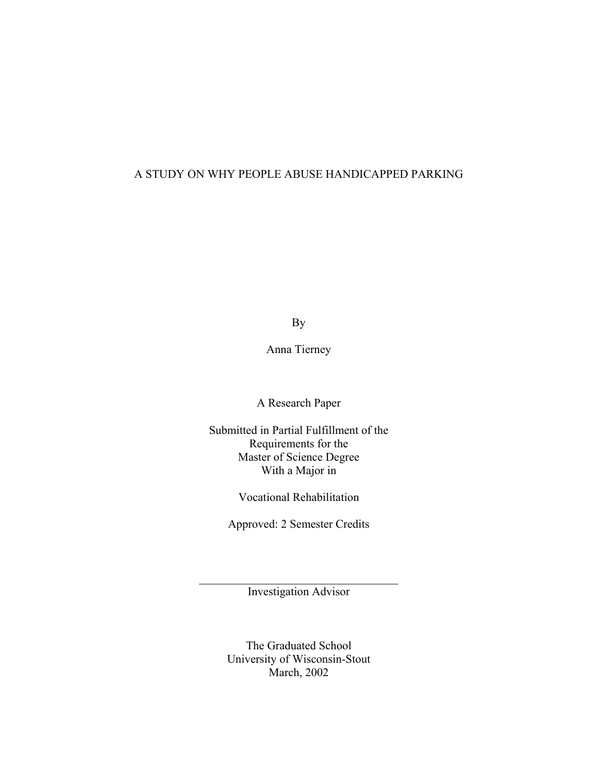# A STUDY ON WHY PEOPLE ABUSE HANDICAPPED PARKING

By

Anna Tierney

A Research Paper

Submitted in Partial Fulfillment of the Requirements for the Master of Science Degree With a Major in

Vocational Rehabilitation

Approved: 2 Semester Credits

\_\_\_\_\_\_\_\_\_\_\_\_\_\_\_\_\_\_\_\_\_\_\_\_\_\_\_\_\_\_\_\_\_\_ Investigation Advisor

> The Graduated School University of Wisconsin-Stout March, 2002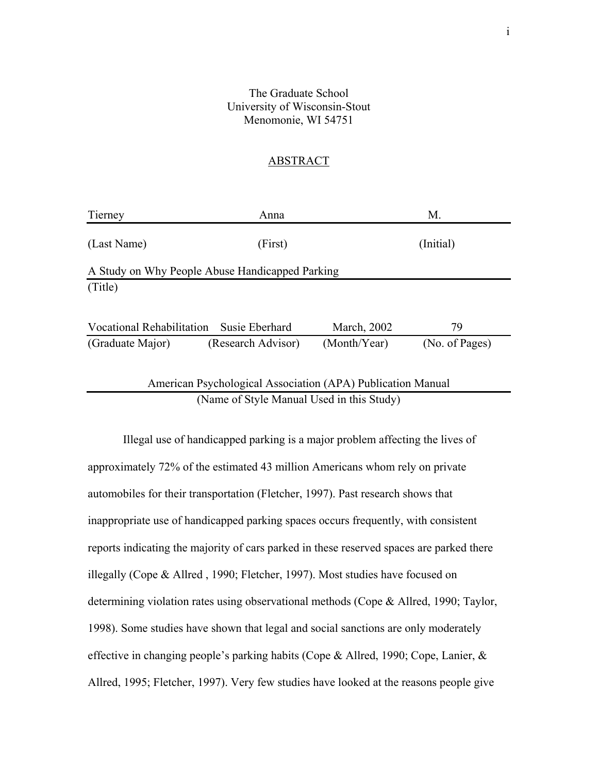## The Graduate School University of Wisconsin-Stout Menomonie, WI 54751

## ABSTRACT

| Tierney                                                     | Anna               |              | M.             |
|-------------------------------------------------------------|--------------------|--------------|----------------|
| (Last Name)                                                 | (First)            |              | (Initial)      |
| A Study on Why People Abuse Handicapped Parking             |                    |              |                |
| (Title)                                                     |                    |              |                |
|                                                             |                    |              |                |
| Vocational Rehabilitation Susie Eberhard                    |                    | March, 2002  | 79             |
| (Graduate Major)                                            | (Research Advisor) | (Month/Year) | (No. of Pages) |
|                                                             |                    |              |                |
| American Psychological Association (APA) Publication Manual |                    |              |                |
| (Name of Style Manual Used in this Study)                   |                    |              |                |

Illegal use of handicapped parking is a major problem affecting the lives of approximately 72% of the estimated 43 million Americans whom rely on private automobiles for their transportation (Fletcher, 1997). Past research shows that inappropriate use of handicapped parking spaces occurs frequently, with consistent reports indicating the majority of cars parked in these reserved spaces are parked there illegally (Cope & Allred , 1990; Fletcher, 1997). Most studies have focused on determining violation rates using observational methods (Cope & Allred, 1990; Taylor, 1998). Some studies have shown that legal and social sanctions are only moderately effective in changing people's parking habits (Cope & Allred, 1990; Cope, Lanier, & Allred, 1995; Fletcher, 1997). Very few studies have looked at the reasons people give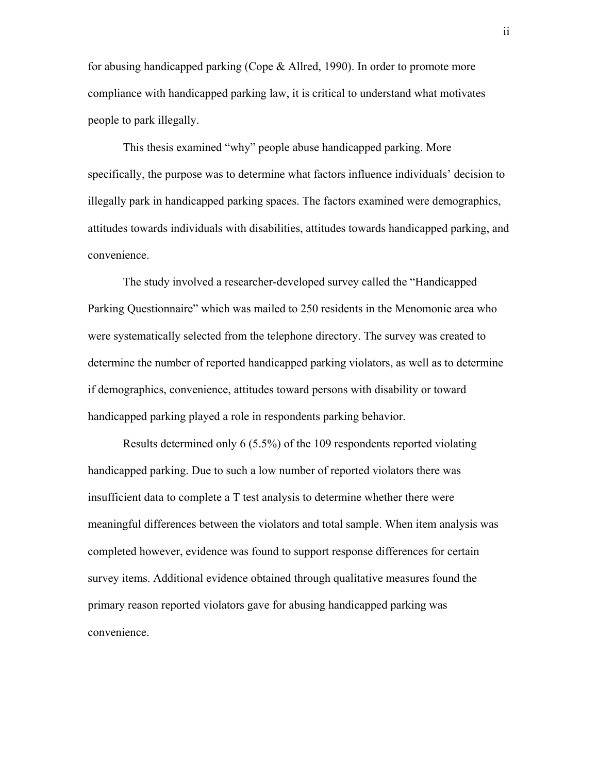for abusing handicapped parking (Cope & Allred, 1990). In order to promote more compliance with handicapped parking law, it is critical to understand what motivates people to park illegally.

This thesis examined "why" people abuse handicapped parking. More specifically, the purpose was to determine what factors influence individuals' decision to illegally park in handicapped parking spaces. The factors examined were demographics, attitudes towards individuals with disabilities, attitudes towards handicapped parking, and convenience.

The study involved a researcher-developed survey called the "Handicapped Parking Questionnaire" which was mailed to 250 residents in the Menomonie area who were systematically selected from the telephone directory. The survey was created to determine the number of reported handicapped parking violators, as well as to determine if demographics, convenience, attitudes toward persons with disability or toward handicapped parking played a role in respondents parking behavior.

Results determined only 6 (5.5%) of the 109 respondents reported violating handicapped parking. Due to such a low number of reported violators there was insufficient data to complete a T test analysis to determine whether there were meaningful differences between the violators and total sample. When item analysis was completed however, evidence was found to support response differences for certain survey items. Additional evidence obtained through qualitative measures found the primary reason reported violators gave for abusing handicapped parking was convenience.

ii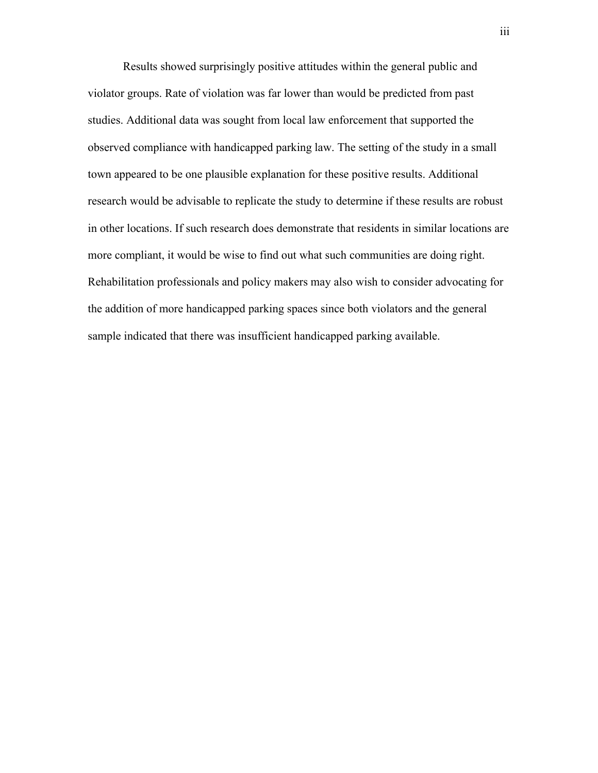Results showed surprisingly positive attitudes within the general public and violator groups. Rate of violation was far lower than would be predicted from past studies. Additional data was sought from local law enforcement that supported the observed compliance with handicapped parking law. The setting of the study in a small town appeared to be one plausible explanation for these positive results. Additional research would be advisable to replicate the study to determine if these results are robust in other locations. If such research does demonstrate that residents in similar locations are more compliant, it would be wise to find out what such communities are doing right. Rehabilitation professionals and policy makers may also wish to consider advocating for the addition of more handicapped parking spaces since both violators and the general sample indicated that there was insufficient handicapped parking available.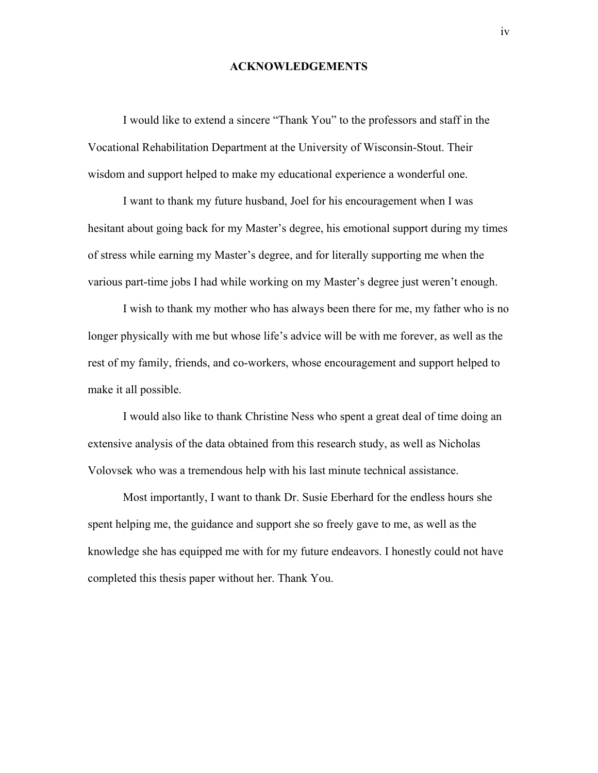### **ACKNOWLEDGEMENTS**

I would like to extend a sincere "Thank You" to the professors and staff in the Vocational Rehabilitation Department at the University of Wisconsin-Stout. Their wisdom and support helped to make my educational experience a wonderful one.

I want to thank my future husband, Joel for his encouragement when I was hesitant about going back for my Master's degree, his emotional support during my times of stress while earning my Master's degree, and for literally supporting me when the various part-time jobs I had while working on my Master's degree just weren't enough.

I wish to thank my mother who has always been there for me, my father who is no longer physically with me but whose life's advice will be with me forever, as well as the rest of my family, friends, and co-workers, whose encouragement and support helped to make it all possible.

I would also like to thank Christine Ness who spent a great deal of time doing an extensive analysis of the data obtained from this research study, as well as Nicholas Volovsek who was a tremendous help with his last minute technical assistance.

Most importantly, I want to thank Dr. Susie Eberhard for the endless hours she spent helping me, the guidance and support she so freely gave to me, as well as the knowledge she has equipped me with for my future endeavors. I honestly could not have completed this thesis paper without her. Thank You.

iv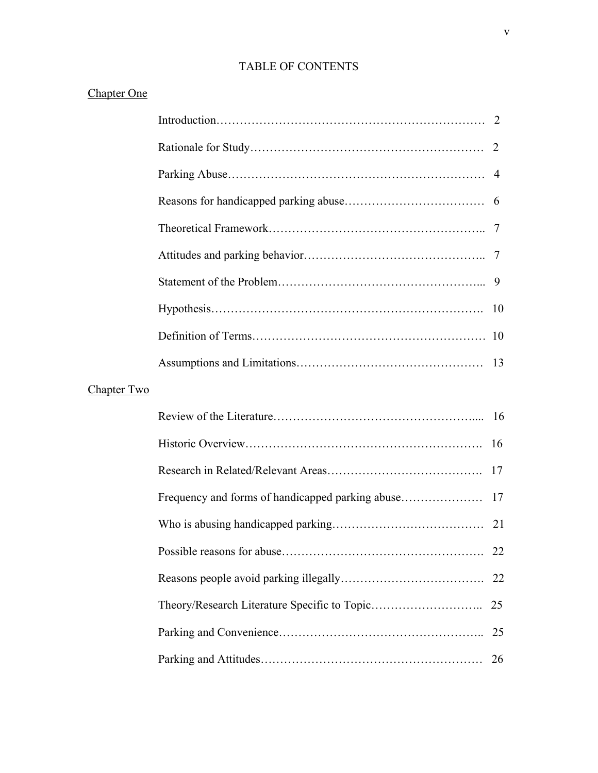# TABLE OF CONTENTS

|  | <b>Chapter One</b> |
|--|--------------------|
|  |                    |

|             | 2   |
|-------------|-----|
|             |     |
|             |     |
|             |     |
|             |     |
|             |     |
|             | -10 |
|             |     |
|             |     |
| Chapter Two |     |
|             |     |
|             | 16  |
|             | 17  |
|             | 17  |
|             | 21  |
|             | 22  |
|             | 22  |
|             | 25  |
|             | 25  |
|             | 26  |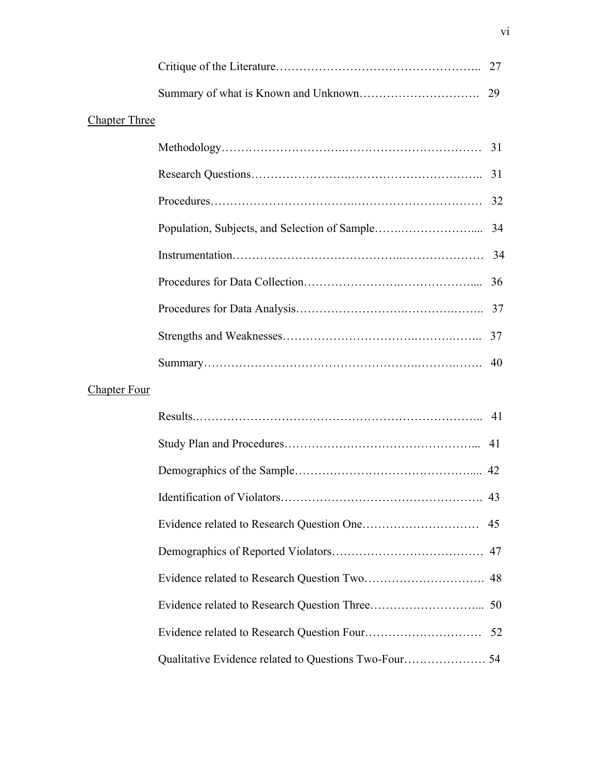|                      | 27 |
|----------------------|----|
|                      | 29 |
| <b>Chapter Three</b> |    |
|                      | 31 |
|                      |    |
|                      | 32 |
|                      | 34 |
|                      |    |
|                      | 36 |
|                      |    |
|                      | 37 |
|                      | 40 |
| <b>Chapter Four</b>  |    |
|                      |    |
|                      | 41 |
|                      | 42 |
|                      |    |
|                      | 45 |
|                      | 47 |
|                      | 48 |
|                      | 50 |
|                      |    |
|                      |    |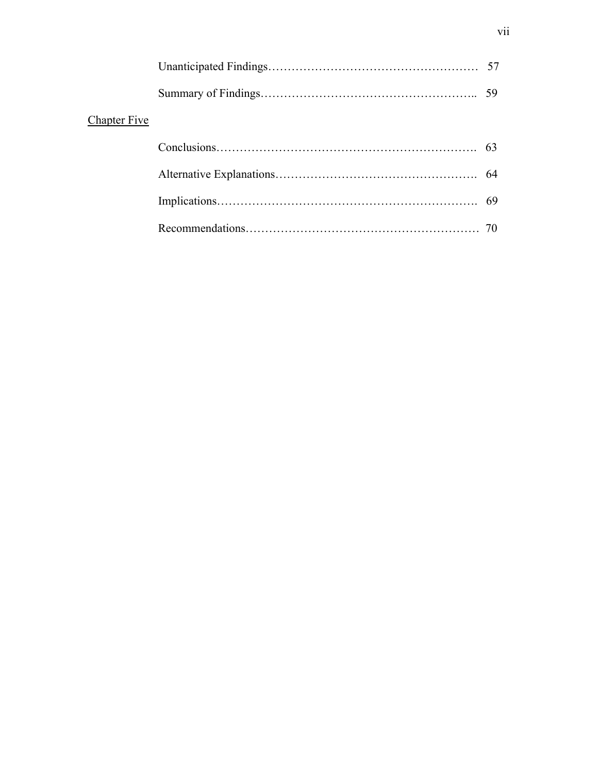| <b>Chapter Five</b> |  |
|---------------------|--|
|                     |  |
|                     |  |
|                     |  |
|                     |  |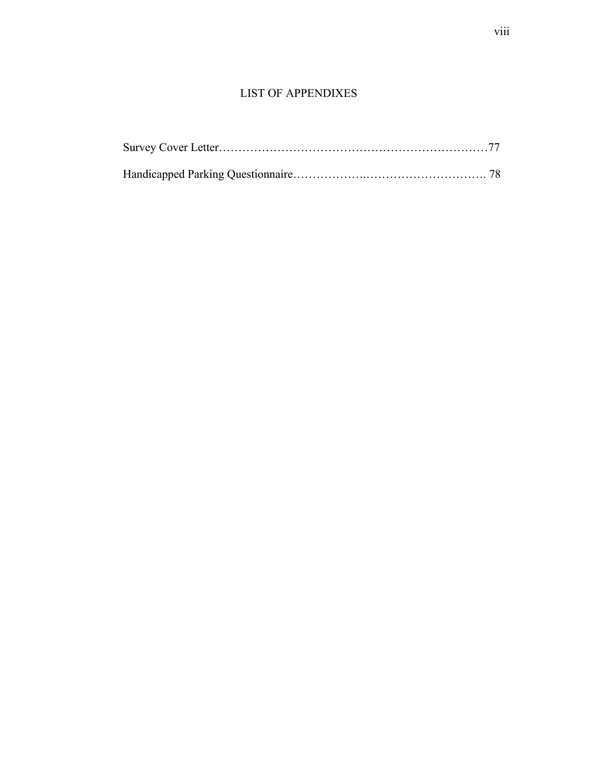# LIST OF APPENDIXES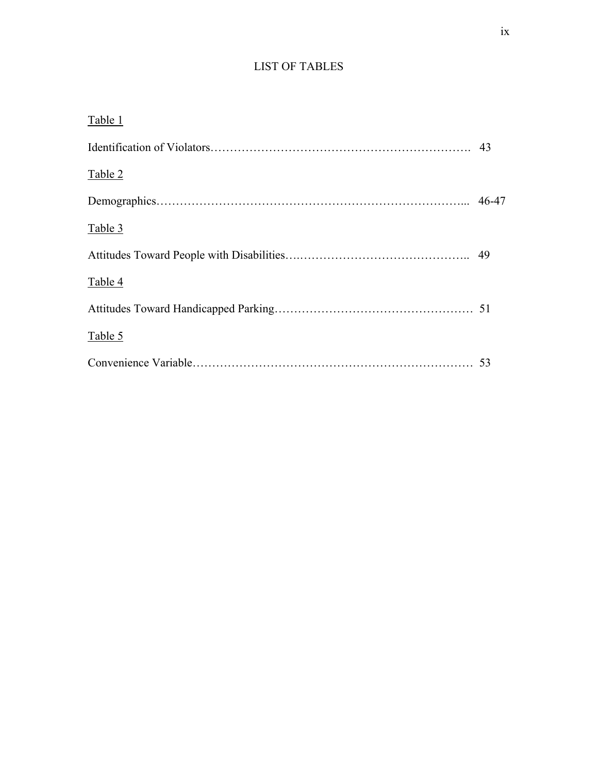# LIST OF TABLES

| Table 1 |       |
|---------|-------|
|         |       |
| Table 2 |       |
|         | 46-47 |
| Table 3 |       |
|         |       |
| Table 4 |       |
|         |       |
| Table 5 |       |
|         | 53    |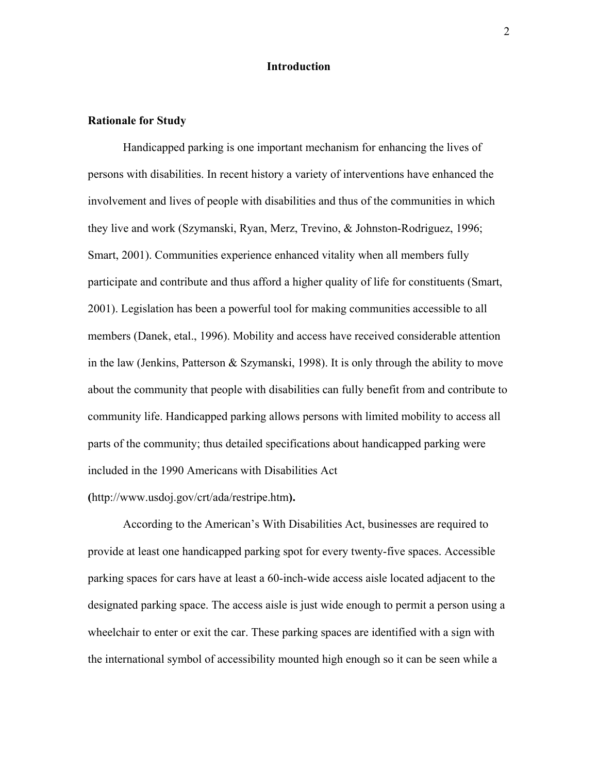## **Introduction**

#### **Rationale for Study**

Handicapped parking is one important mechanism for enhancing the lives of persons with disabilities. In recent history a variety of interventions have enhanced the involvement and lives of people with disabilities and thus of the communities in which they live and work (Szymanski, Ryan, Merz, Trevino, & Johnston-Rodriguez, 1996; Smart, 2001). Communities experience enhanced vitality when all members fully participate and contribute and thus afford a higher quality of life for constituents (Smart, 2001). Legislation has been a powerful tool for making communities accessible to all members (Danek, etal., 1996). Mobility and access have received considerable attention in the law (Jenkins, Patterson  $&$  Szymanski, 1998). It is only through the ability to move about the community that people with disabilities can fully benefit from and contribute to community life. Handicapped parking allows persons with limited mobility to access all parts of the community; thus detailed specifications about handicapped parking were included in the 1990 Americans with Disabilities Act

#### **(**http://www.usdoj.gov/crt/ada/restripe.htm**).**

According to the American's With Disabilities Act, businesses are required to provide at least one handicapped parking spot for every twenty-five spaces. Accessible parking spaces for cars have at least a 60-inch-wide access aisle located adjacent to the designated parking space. The access aisle is just wide enough to permit a person using a wheelchair to enter or exit the car. These parking spaces are identified with a sign with the international symbol of accessibility mounted high enough so it can be seen while a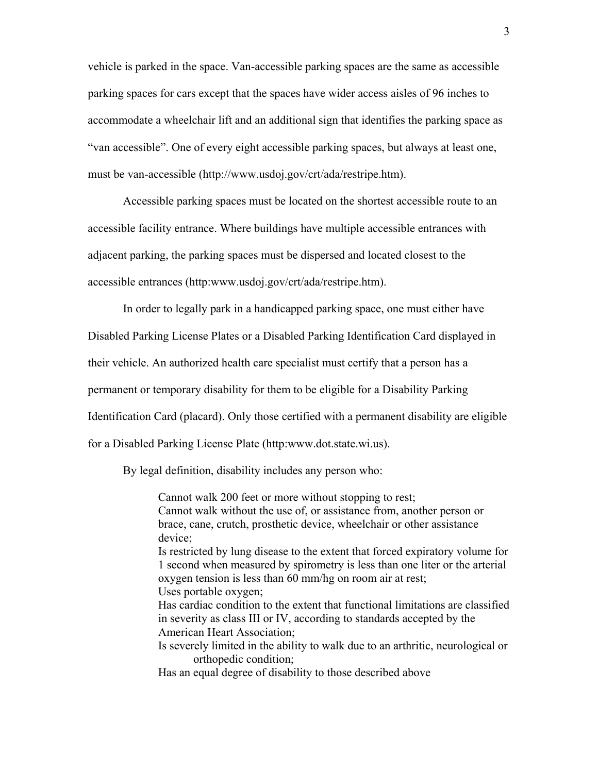vehicle is parked in the space. Van-accessible parking spaces are the same as accessible parking spaces for cars except that the spaces have wider access aisles of 96 inches to accommodate a wheelchair lift and an additional sign that identifies the parking space as "van accessible". One of every eight accessible parking spaces, but always at least one, must be van-accessible (http://www.usdoj.gov/crt/ada/restripe.htm).

Accessible parking spaces must be located on the shortest accessible route to an accessible facility entrance. Where buildings have multiple accessible entrances with adjacent parking, the parking spaces must be dispersed and located closest to the accessible entrances (http:www.usdoj.gov/crt/ada/restripe.htm).

In order to legally park in a handicapped parking space, one must either have Disabled Parking License Plates or a Disabled Parking Identification Card displayed in their vehicle. An authorized health care specialist must certify that a person has a permanent or temporary disability for them to be eligible for a Disability Parking Identification Card (placard). Only those certified with a permanent disability are eligible for a Disabled Parking License Plate (http:www.dot.state.wi.us).

By legal definition, disability includes any person who:

Cannot walk 200 feet or more without stopping to rest; Cannot walk without the use of, or assistance from, another person or brace, cane, crutch, prosthetic device, wheelchair or other assistance device; Is restricted by lung disease to the extent that forced expiratory volume for 1 second when measured by spirometry is less than one liter or the arterial oxygen tension is less than 60 mm/hg on room air at rest; Uses portable oxygen; Has cardiac condition to the extent that functional limitations are classified in severity as class III or IV, according to standards accepted by the American Heart Association; Is severely limited in the ability to walk due to an arthritic, neurological or orthopedic condition; Has an equal degree of disability to those described above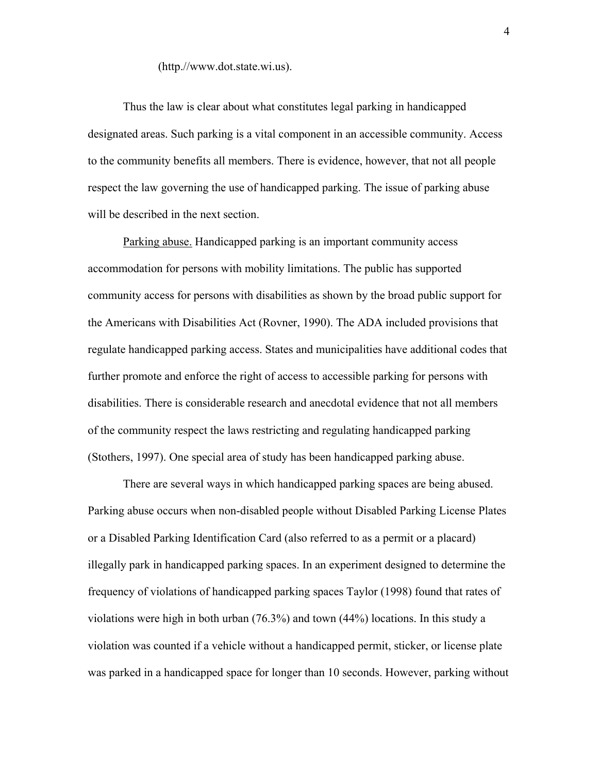#### (http.//www.dot.state.wi.us).

Thus the law is clear about what constitutes legal parking in handicapped designated areas. Such parking is a vital component in an accessible community. Access to the community benefits all members. There is evidence, however, that not all people respect the law governing the use of handicapped parking. The issue of parking abuse will be described in the next section.

Parking abuse. Handicapped parking is an important community access accommodation for persons with mobility limitations. The public has supported community access for persons with disabilities as shown by the broad public support for the Americans with Disabilities Act (Rovner, 1990). The ADA included provisions that regulate handicapped parking access. States and municipalities have additional codes that further promote and enforce the right of access to accessible parking for persons with disabilities. There is considerable research and anecdotal evidence that not all members of the community respect the laws restricting and regulating handicapped parking (Stothers, 1997). One special area of study has been handicapped parking abuse.

There are several ways in which handicapped parking spaces are being abused. Parking abuse occurs when non-disabled people without Disabled Parking License Plates or a Disabled Parking Identification Card (also referred to as a permit or a placard) illegally park in handicapped parking spaces. In an experiment designed to determine the frequency of violations of handicapped parking spaces Taylor (1998) found that rates of violations were high in both urban (76.3%) and town (44%) locations. In this study a violation was counted if a vehicle without a handicapped permit, sticker, or license plate was parked in a handicapped space for longer than 10 seconds. However, parking without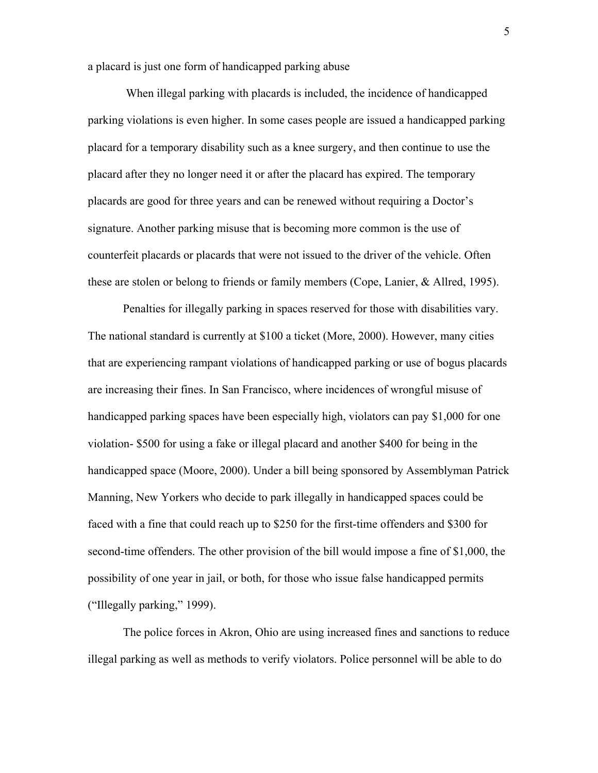a placard is just one form of handicapped parking abuse

 When illegal parking with placards is included, the incidence of handicapped parking violations is even higher. In some cases people are issued a handicapped parking placard for a temporary disability such as a knee surgery, and then continue to use the placard after they no longer need it or after the placard has expired. The temporary placards are good for three years and can be renewed without requiring a Doctor's signature. Another parking misuse that is becoming more common is the use of counterfeit placards or placards that were not issued to the driver of the vehicle. Often these are stolen or belong to friends or family members (Cope, Lanier, & Allred, 1995).

Penalties for illegally parking in spaces reserved for those with disabilities vary. The national standard is currently at \$100 a ticket (More, 2000). However, many cities that are experiencing rampant violations of handicapped parking or use of bogus placards are increasing their fines. In San Francisco, where incidences of wrongful misuse of handicapped parking spaces have been especially high, violators can pay \$1,000 for one violation- \$500 for using a fake or illegal placard and another \$400 for being in the handicapped space (Moore, 2000). Under a bill being sponsored by Assemblyman Patrick Manning, New Yorkers who decide to park illegally in handicapped spaces could be faced with a fine that could reach up to \$250 for the first-time offenders and \$300 for second-time offenders. The other provision of the bill would impose a fine of \$1,000, the possibility of one year in jail, or both, for those who issue false handicapped permits ("Illegally parking," 1999).

The police forces in Akron, Ohio are using increased fines and sanctions to reduce illegal parking as well as methods to verify violators. Police personnel will be able to do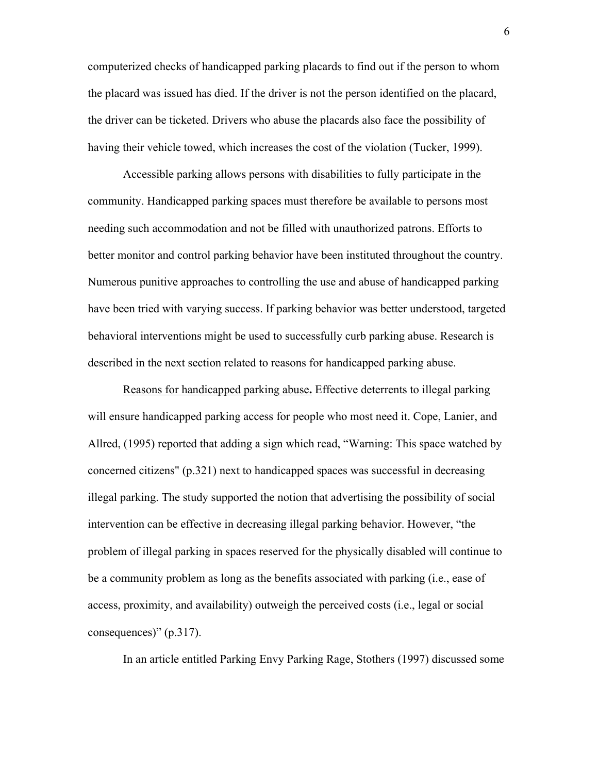computerized checks of handicapped parking placards to find out if the person to whom the placard was issued has died. If the driver is not the person identified on the placard, the driver can be ticketed. Drivers who abuse the placards also face the possibility of having their vehicle towed, which increases the cost of the violation (Tucker, 1999).

Accessible parking allows persons with disabilities to fully participate in the community. Handicapped parking spaces must therefore be available to persons most needing such accommodation and not be filled with unauthorized patrons. Efforts to better monitor and control parking behavior have been instituted throughout the country. Numerous punitive approaches to controlling the use and abuse of handicapped parking have been tried with varying success. If parking behavior was better understood, targeted behavioral interventions might be used to successfully curb parking abuse. Research is described in the next section related to reasons for handicapped parking abuse.

Reasons for handicapped parking abuse**.** Effective deterrents to illegal parking will ensure handicapped parking access for people who most need it. Cope, Lanier, and Allred, (1995) reported that adding a sign which read, "Warning: This space watched by concerned citizens" (p.321) next to handicapped spaces was successful in decreasing illegal parking. The study supported the notion that advertising the possibility of social intervention can be effective in decreasing illegal parking behavior. However, "the problem of illegal parking in spaces reserved for the physically disabled will continue to be a community problem as long as the benefits associated with parking (i.e., ease of access, proximity, and availability) outweigh the perceived costs (i.e., legal or social consequences)" (p.317).

In an article entitled Parking Envy Parking Rage, Stothers (1997) discussed some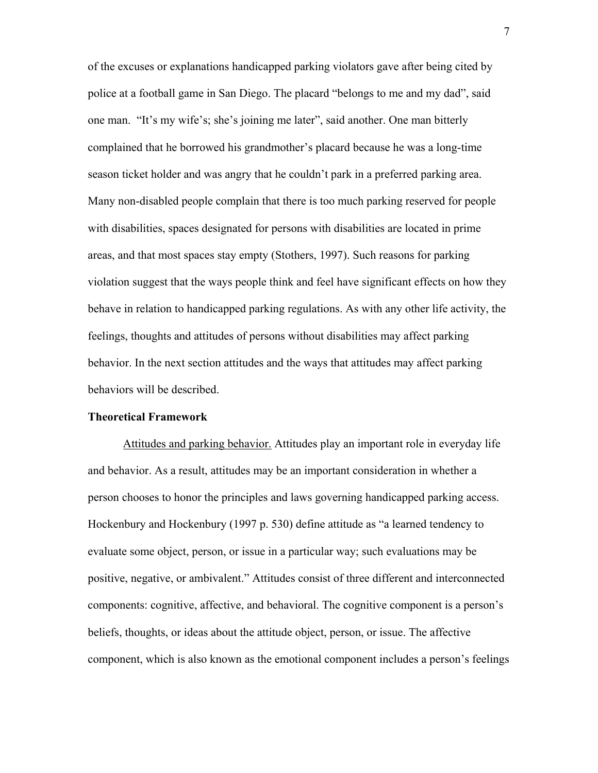of the excuses or explanations handicapped parking violators gave after being cited by police at a football game in San Diego. The placard "belongs to me and my dad", said one man. "It's my wife's; she's joining me later", said another. One man bitterly complained that he borrowed his grandmother's placard because he was a long-time season ticket holder and was angry that he couldn't park in a preferred parking area. Many non-disabled people complain that there is too much parking reserved for people with disabilities, spaces designated for persons with disabilities are located in prime areas, and that most spaces stay empty (Stothers, 1997). Such reasons for parking violation suggest that the ways people think and feel have significant effects on how they behave in relation to handicapped parking regulations. As with any other life activity, the feelings, thoughts and attitudes of persons without disabilities may affect parking behavior. In the next section attitudes and the ways that attitudes may affect parking behaviors will be described.

#### **Theoretical Framework**

Attitudes and parking behavior. Attitudes play an important role in everyday life and behavior. As a result, attitudes may be an important consideration in whether a person chooses to honor the principles and laws governing handicapped parking access. Hockenbury and Hockenbury (1997 p. 530) define attitude as "a learned tendency to evaluate some object, person, or issue in a particular way; such evaluations may be positive, negative, or ambivalent." Attitudes consist of three different and interconnected components: cognitive, affective, and behavioral. The cognitive component is a person's beliefs, thoughts, or ideas about the attitude object, person, or issue. The affective component, which is also known as the emotional component includes a person's feelings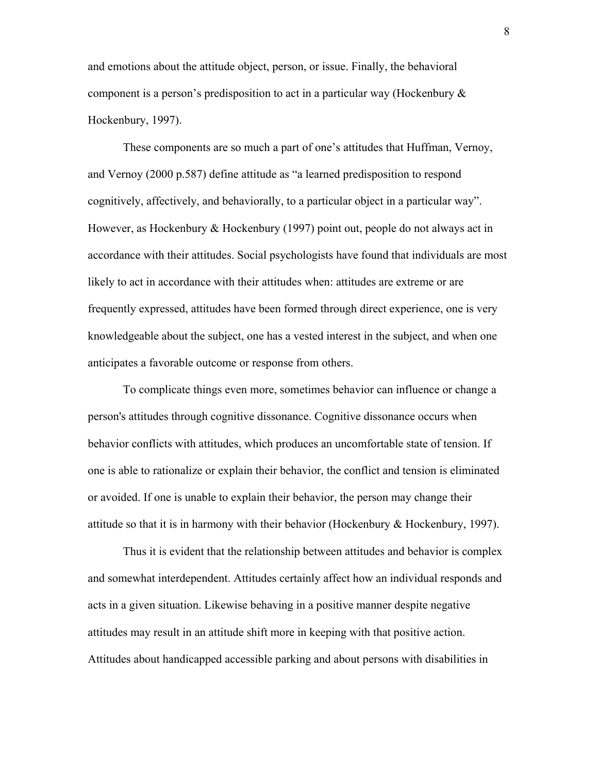and emotions about the attitude object, person, or issue. Finally, the behavioral component is a person's predisposition to act in a particular way (Hockenbury  $\&$ Hockenbury, 1997).

These components are so much a part of one's attitudes that Huffman, Vernoy, and Vernoy (2000 p.587) define attitude as "a learned predisposition to respond cognitively, affectively, and behaviorally, to a particular object in a particular way". However, as Hockenbury & Hockenbury (1997) point out, people do not always act in accordance with their attitudes. Social psychologists have found that individuals are most likely to act in accordance with their attitudes when: attitudes are extreme or are frequently expressed, attitudes have been formed through direct experience, one is very knowledgeable about the subject, one has a vested interest in the subject, and when one anticipates a favorable outcome or response from others.

To complicate things even more, sometimes behavior can influence or change a person's attitudes through cognitive dissonance. Cognitive dissonance occurs when behavior conflicts with attitudes, which produces an uncomfortable state of tension. If one is able to rationalize or explain their behavior, the conflict and tension is eliminated or avoided. If one is unable to explain their behavior, the person may change their attitude so that it is in harmony with their behavior (Hockenbury  $\&$  Hockenbury, 1997).

Thus it is evident that the relationship between attitudes and behavior is complex and somewhat interdependent. Attitudes certainly affect how an individual responds and acts in a given situation. Likewise behaving in a positive manner despite negative attitudes may result in an attitude shift more in keeping with that positive action. Attitudes about handicapped accessible parking and about persons with disabilities in

8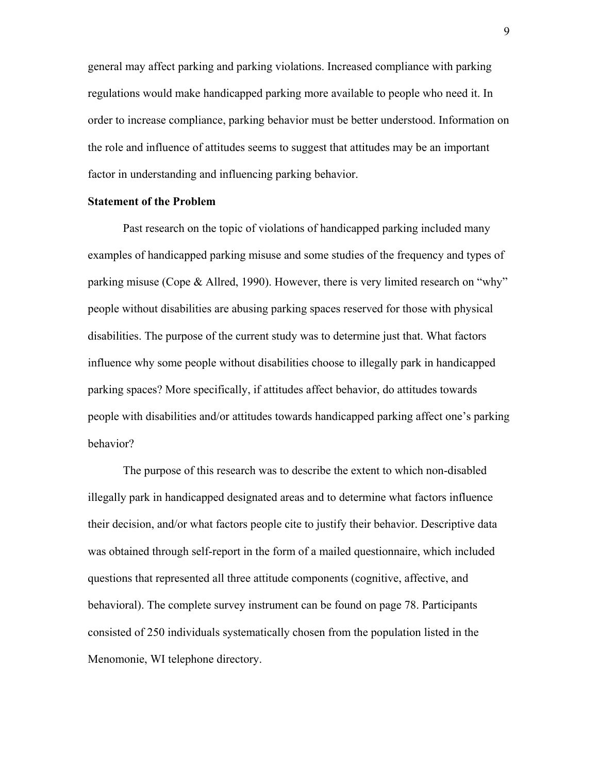general may affect parking and parking violations. Increased compliance with parking regulations would make handicapped parking more available to people who need it. In order to increase compliance, parking behavior must be better understood. Information on the role and influence of attitudes seems to suggest that attitudes may be an important factor in understanding and influencing parking behavior.

#### **Statement of the Problem**

Past research on the topic of violations of handicapped parking included many examples of handicapped parking misuse and some studies of the frequency and types of parking misuse (Cope & Allred, 1990). However, there is very limited research on "why" people without disabilities are abusing parking spaces reserved for those with physical disabilities. The purpose of the current study was to determine just that. What factors influence why some people without disabilities choose to illegally park in handicapped parking spaces? More specifically, if attitudes affect behavior, do attitudes towards people with disabilities and/or attitudes towards handicapped parking affect one's parking behavior?

The purpose of this research was to describe the extent to which non-disabled illegally park in handicapped designated areas and to determine what factors influence their decision, and/or what factors people cite to justify their behavior. Descriptive data was obtained through self-report in the form of a mailed questionnaire, which included questions that represented all three attitude components (cognitive, affective, and behavioral). The complete survey instrument can be found on page 78. Participants consisted of 250 individuals systematically chosen from the population listed in the Menomonie, WI telephone directory.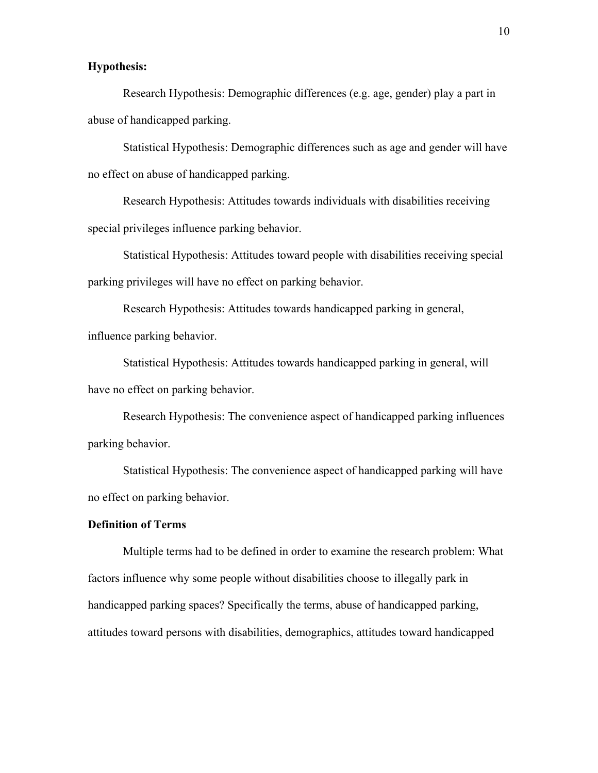## **Hypothesis:**

Research Hypothesis: Demographic differences (e.g. age, gender) play a part in abuse of handicapped parking.

Statistical Hypothesis: Demographic differences such as age and gender will have no effect on abuse of handicapped parking.

Research Hypothesis: Attitudes towards individuals with disabilities receiving special privileges influence parking behavior.

Statistical Hypothesis: Attitudes toward people with disabilities receiving special parking privileges will have no effect on parking behavior.

Research Hypothesis: Attitudes towards handicapped parking in general, influence parking behavior.

Statistical Hypothesis: Attitudes towards handicapped parking in general, will have no effect on parking behavior.

Research Hypothesis: The convenience aspect of handicapped parking influences parking behavior.

Statistical Hypothesis: The convenience aspect of handicapped parking will have no effect on parking behavior.

#### **Definition of Terms**

Multiple terms had to be defined in order to examine the research problem: What factors influence why some people without disabilities choose to illegally park in handicapped parking spaces? Specifically the terms, abuse of handicapped parking, attitudes toward persons with disabilities, demographics, attitudes toward handicapped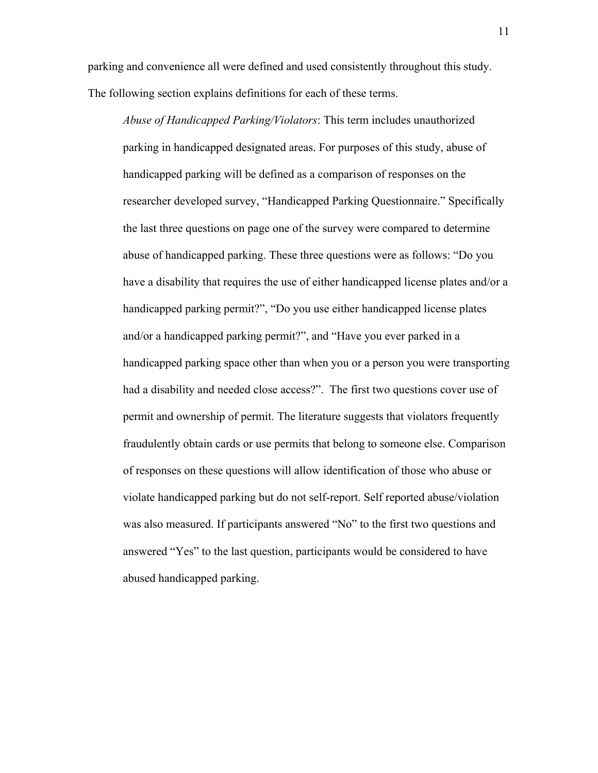parking and convenience all were defined and used consistently throughout this study. The following section explains definitions for each of these terms.

*Abuse of Handicapped Parking/Violators*: This term includes unauthorized parking in handicapped designated areas. For purposes of this study, abuse of handicapped parking will be defined as a comparison of responses on the researcher developed survey, "Handicapped Parking Questionnaire." Specifically the last three questions on page one of the survey were compared to determine abuse of handicapped parking. These three questions were as follows: "Do you have a disability that requires the use of either handicapped license plates and/or a handicapped parking permit?", "Do you use either handicapped license plates and/or a handicapped parking permit?", and "Have you ever parked in a handicapped parking space other than when you or a person you were transporting had a disability and needed close access?". The first two questions cover use of permit and ownership of permit. The literature suggests that violators frequently fraudulently obtain cards or use permits that belong to someone else. Comparison of responses on these questions will allow identification of those who abuse or violate handicapped parking but do not self-report. Self reported abuse/violation was also measured. If participants answered "No" to the first two questions and answered "Yes" to the last question, participants would be considered to have abused handicapped parking.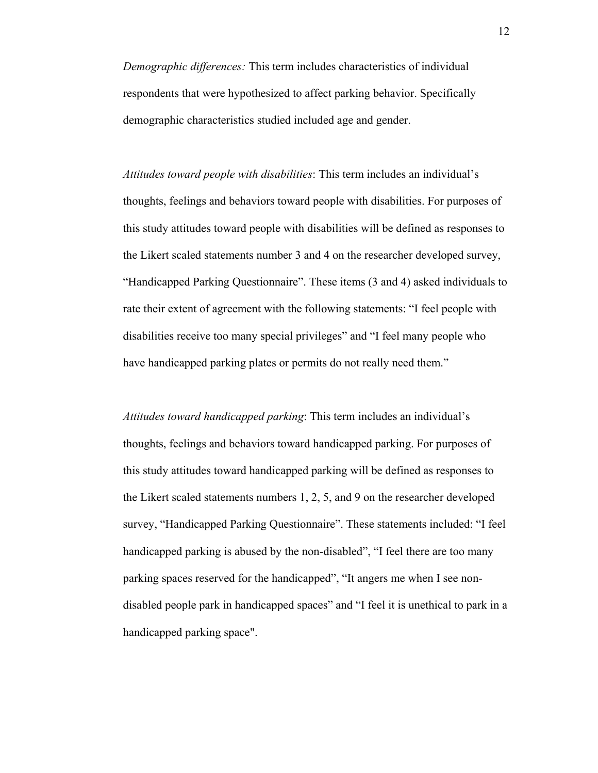*Demographic differences:* This term includes characteristics of individual respondents that were hypothesized to affect parking behavior. Specifically demographic characteristics studied included age and gender.

*Attitudes toward people with disabilities*: This term includes an individual's thoughts, feelings and behaviors toward people with disabilities. For purposes of this study attitudes toward people with disabilities will be defined as responses to the Likert scaled statements number 3 and 4 on the researcher developed survey, "Handicapped Parking Questionnaire". These items (3 and 4) asked individuals to rate their extent of agreement with the following statements: "I feel people with disabilities receive too many special privileges" and "I feel many people who have handicapped parking plates or permits do not really need them."

*Attitudes toward handicapped parking*: This term includes an individual's thoughts, feelings and behaviors toward handicapped parking. For purposes of this study attitudes toward handicapped parking will be defined as responses to the Likert scaled statements numbers 1, 2, 5, and 9 on the researcher developed survey, "Handicapped Parking Questionnaire". These statements included: "I feel handicapped parking is abused by the non-disabled", "I feel there are too many parking spaces reserved for the handicapped", "It angers me when I see nondisabled people park in handicapped spaces" and "I feel it is unethical to park in a handicapped parking space".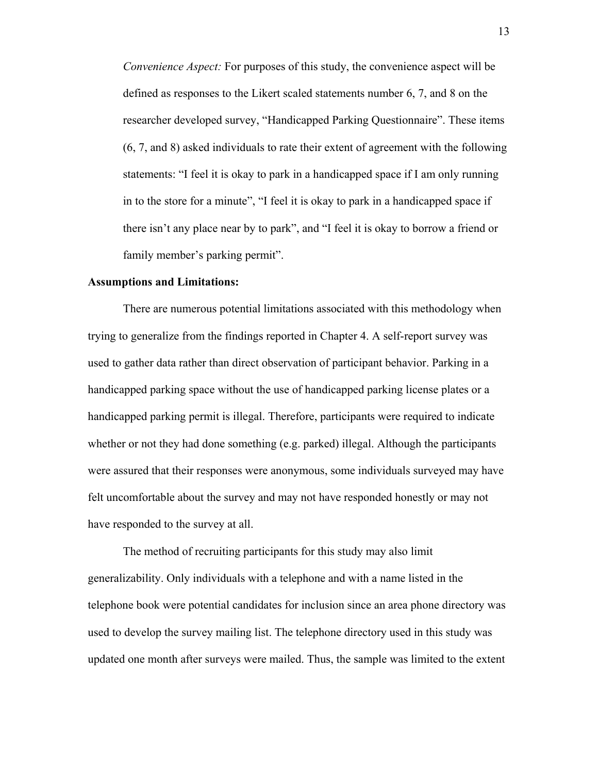*Convenience Aspect:* For purposes of this study, the convenience aspect will be defined as responses to the Likert scaled statements number 6, 7, and 8 on the researcher developed survey, "Handicapped Parking Questionnaire". These items (6, 7, and 8) asked individuals to rate their extent of agreement with the following statements: "I feel it is okay to park in a handicapped space if I am only running in to the store for a minute", "I feel it is okay to park in a handicapped space if there isn't any place near by to park", and "I feel it is okay to borrow a friend or family member's parking permit".

#### **Assumptions and Limitations:**

There are numerous potential limitations associated with this methodology when trying to generalize from the findings reported in Chapter 4. A self-report survey was used to gather data rather than direct observation of participant behavior. Parking in a handicapped parking space without the use of handicapped parking license plates or a handicapped parking permit is illegal. Therefore, participants were required to indicate whether or not they had done something (e.g. parked) illegal. Although the participants were assured that their responses were anonymous, some individuals surveyed may have felt uncomfortable about the survey and may not have responded honestly or may not have responded to the survey at all.

The method of recruiting participants for this study may also limit generalizability. Only individuals with a telephone and with a name listed in the telephone book were potential candidates for inclusion since an area phone directory was used to develop the survey mailing list. The telephone directory used in this study was updated one month after surveys were mailed. Thus, the sample was limited to the extent

13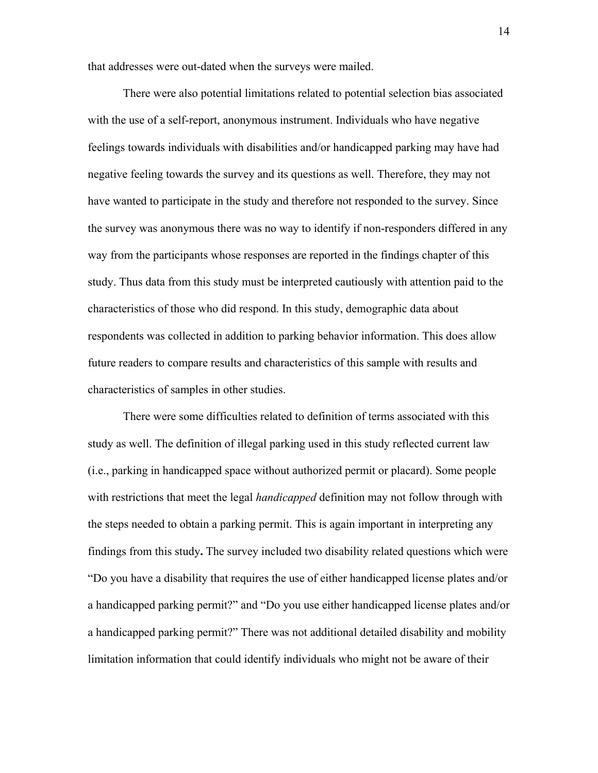that addresses were out-dated when the surveys were mailed.

There were also potential limitations related to potential selection bias associated with the use of a self-report, anonymous instrument. Individuals who have negative feelings towards individuals with disabilities and/or handicapped parking may have had negative feeling towards the survey and its questions as well. Therefore, they may not have wanted to participate in the study and therefore not responded to the survey. Since the survey was anonymous there was no way to identify if non-responders differed in any way from the participants whose responses are reported in the findings chapter of this study. Thus data from this study must be interpreted cautiously with attention paid to the characteristics of those who did respond. In this study, demographic data about respondents was collected in addition to parking behavior information. This does allow future readers to compare results and characteristics of this sample with results and characteristics of samples in other studies.

There were some difficulties related to definition of terms associated with this study as well. The definition of illegal parking used in this study reflected current law (i.e., parking in handicapped space without authorized permit or placard). Some people with restrictions that meet the legal *handicapped* definition may not follow through with the steps needed to obtain a parking permit. This is again important in interpreting any findings from this study**.** The survey included two disability related questions which were "Do you have a disability that requires the use of either handicapped license plates and/or a handicapped parking permit?" and "Do you use either handicapped license plates and/or a handicapped parking permit?" There was not additional detailed disability and mobility limitation information that could identify individuals who might not be aware of their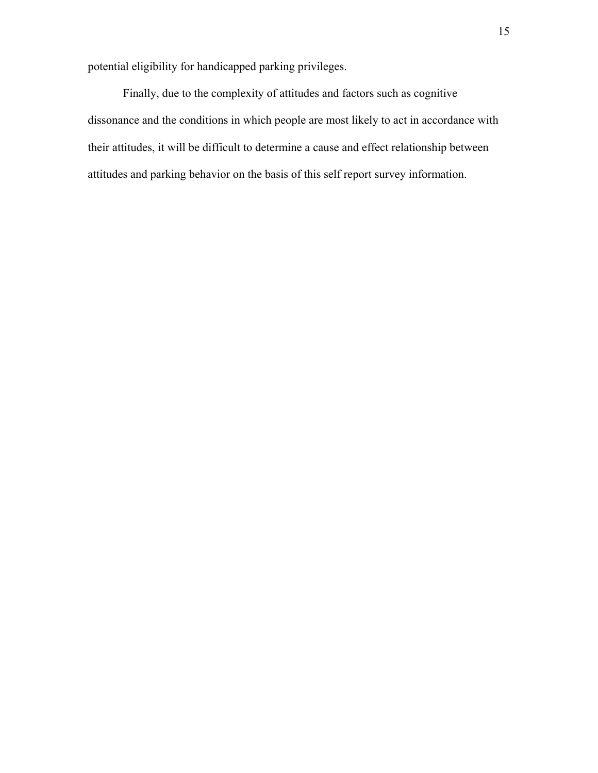potential eligibility for handicapped parking privileges.

Finally, due to the complexity of attitudes and factors such as cognitive dissonance and the conditions in which people are most likely to act in accordance with their attitudes, it will be difficult to determine a cause and effect relationship between attitudes and parking behavior on the basis of this self report survey information.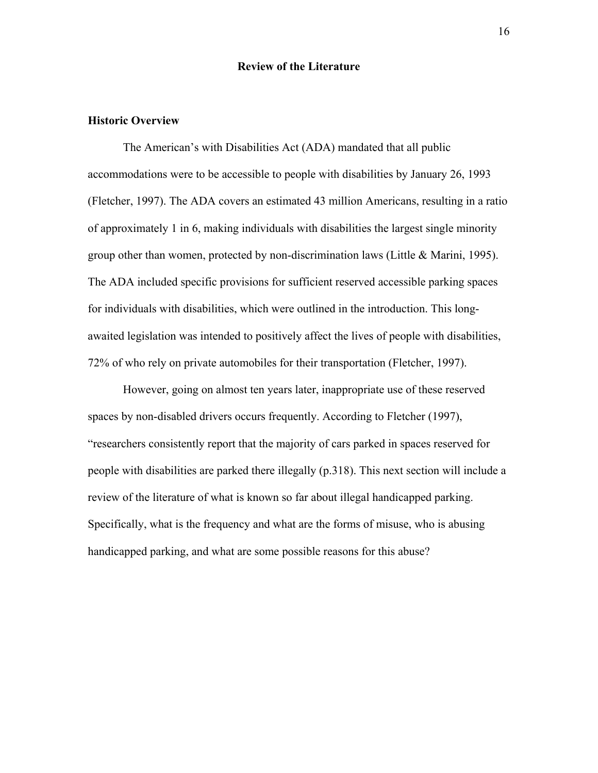## **Review of the Literature**

### **Historic Overview**

The American's with Disabilities Act (ADA) mandated that all public accommodations were to be accessible to people with disabilities by January 26, 1993 (Fletcher, 1997). The ADA covers an estimated 43 million Americans, resulting in a ratio of approximately 1 in 6, making individuals with disabilities the largest single minority group other than women, protected by non-discrimination laws (Little  $&$  Marini, 1995). The ADA included specific provisions for sufficient reserved accessible parking spaces for individuals with disabilities, which were outlined in the introduction. This longawaited legislation was intended to positively affect the lives of people with disabilities, 72% of who rely on private automobiles for their transportation (Fletcher, 1997).

However, going on almost ten years later, inappropriate use of these reserved spaces by non-disabled drivers occurs frequently. According to Fletcher (1997), "researchers consistently report that the majority of cars parked in spaces reserved for people with disabilities are parked there illegally (p.318). This next section will include a review of the literature of what is known so far about illegal handicapped parking. Specifically, what is the frequency and what are the forms of misuse, who is abusing handicapped parking, and what are some possible reasons for this abuse?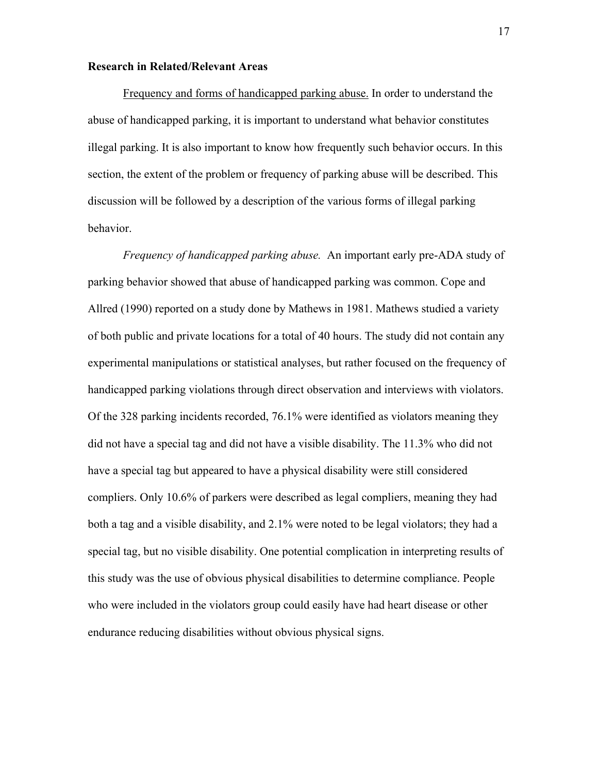#### **Research in Related/Relevant Areas**

Frequency and forms of handicapped parking abuse. In order to understand the abuse of handicapped parking, it is important to understand what behavior constitutes illegal parking. It is also important to know how frequently such behavior occurs. In this section, the extent of the problem or frequency of parking abuse will be described. This discussion will be followed by a description of the various forms of illegal parking behavior.

*Frequency of handicapped parking abuse.* An important early pre-ADA study of parking behavior showed that abuse of handicapped parking was common. Cope and Allred (1990) reported on a study done by Mathews in 1981. Mathews studied a variety of both public and private locations for a total of 40 hours. The study did not contain any experimental manipulations or statistical analyses, but rather focused on the frequency of handicapped parking violations through direct observation and interviews with violators. Of the 328 parking incidents recorded, 76.1% were identified as violators meaning they did not have a special tag and did not have a visible disability. The 11.3% who did not have a special tag but appeared to have a physical disability were still considered compliers. Only 10.6% of parkers were described as legal compliers, meaning they had both a tag and a visible disability, and 2.1% were noted to be legal violators; they had a special tag, but no visible disability. One potential complication in interpreting results of this study was the use of obvious physical disabilities to determine compliance. People who were included in the violators group could easily have had heart disease or other endurance reducing disabilities without obvious physical signs.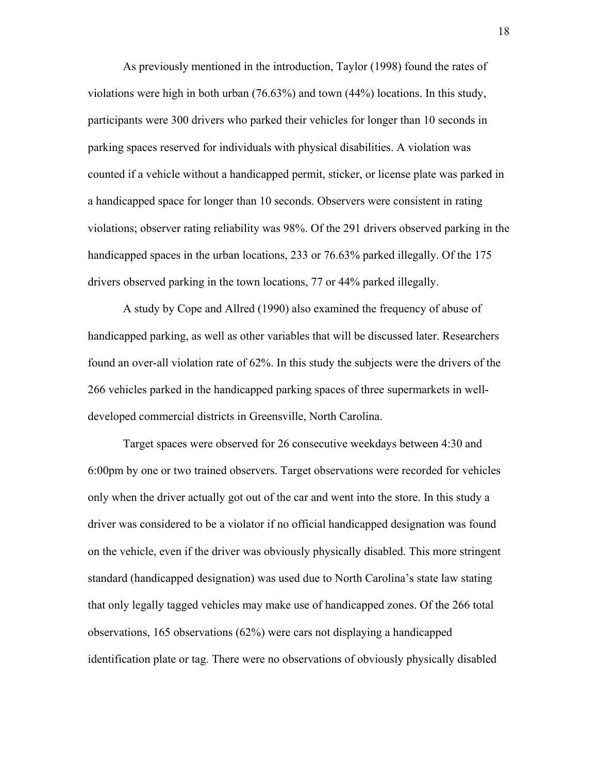As previously mentioned in the introduction, Taylor (1998) found the rates of violations were high in both urban (76.63%) and town (44%) locations. In this study, participants were 300 drivers who parked their vehicles for longer than 10 seconds in parking spaces reserved for individuals with physical disabilities. A violation was counted if a vehicle without a handicapped permit, sticker, or license plate was parked in a handicapped space for longer than 10 seconds. Observers were consistent in rating violations; observer rating reliability was 98%. Of the 291 drivers observed parking in the handicapped spaces in the urban locations, 233 or 76.63% parked illegally. Of the 175 drivers observed parking in the town locations, 77 or 44% parked illegally.

A study by Cope and Allred (1990) also examined the frequency of abuse of handicapped parking, as well as other variables that will be discussed later. Researchers found an over-all violation rate of 62%. In this study the subjects were the drivers of the 266 vehicles parked in the handicapped parking spaces of three supermarkets in welldeveloped commercial districts in Greensville, North Carolina.

Target spaces were observed for 26 consecutive weekdays between 4:30 and 6:00pm by one or two trained observers. Target observations were recorded for vehicles only when the driver actually got out of the car and went into the store. In this study a driver was considered to be a violator if no official handicapped designation was found on the vehicle, even if the driver was obviously physically disabled. This more stringent standard (handicapped designation) was used due to North Carolina's state law stating that only legally tagged vehicles may make use of handicapped zones. Of the 266 total observations, 165 observations (62%) were cars not displaying a handicapped identification plate or tag. There were no observations of obviously physically disabled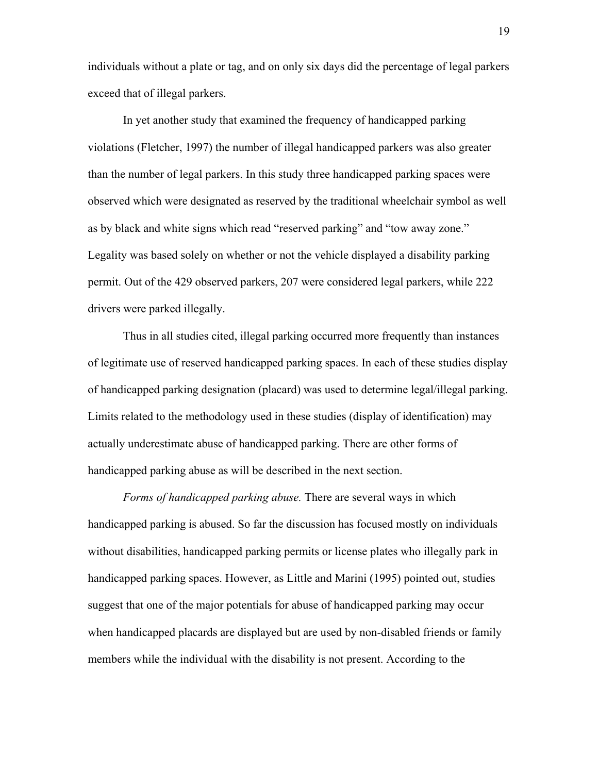individuals without a plate or tag, and on only six days did the percentage of legal parkers exceed that of illegal parkers.

In yet another study that examined the frequency of handicapped parking violations (Fletcher, 1997) the number of illegal handicapped parkers was also greater than the number of legal parkers. In this study three handicapped parking spaces were observed which were designated as reserved by the traditional wheelchair symbol as well as by black and white signs which read "reserved parking" and "tow away zone." Legality was based solely on whether or not the vehicle displayed a disability parking permit. Out of the 429 observed parkers, 207 were considered legal parkers, while 222 drivers were parked illegally.

Thus in all studies cited, illegal parking occurred more frequently than instances of legitimate use of reserved handicapped parking spaces. In each of these studies display of handicapped parking designation (placard) was used to determine legal/illegal parking. Limits related to the methodology used in these studies (display of identification) may actually underestimate abuse of handicapped parking. There are other forms of handicapped parking abuse as will be described in the next section.

*Forms of handicapped parking abuse.* There are several ways in which handicapped parking is abused. So far the discussion has focused mostly on individuals without disabilities, handicapped parking permits or license plates who illegally park in handicapped parking spaces. However, as Little and Marini (1995) pointed out, studies suggest that one of the major potentials for abuse of handicapped parking may occur when handicapped placards are displayed but are used by non-disabled friends or family members while the individual with the disability is not present. According to the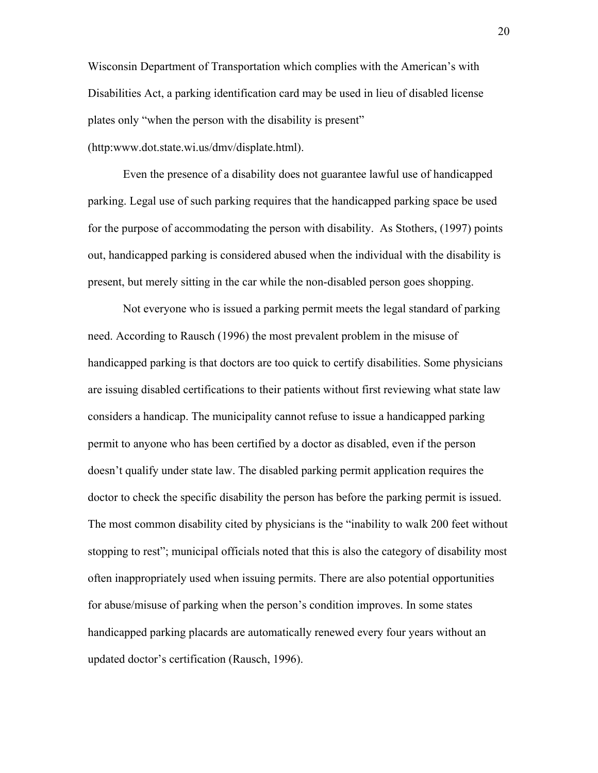Wisconsin Department of Transportation which complies with the American's with Disabilities Act, a parking identification card may be used in lieu of disabled license plates only "when the person with the disability is present"

(http:www.dot.state.wi.us/dmv/displate.html).

Even the presence of a disability does not guarantee lawful use of handicapped parking. Legal use of such parking requires that the handicapped parking space be used for the purpose of accommodating the person with disability. As Stothers, (1997) points out, handicapped parking is considered abused when the individual with the disability is present, but merely sitting in the car while the non-disabled person goes shopping.

Not everyone who is issued a parking permit meets the legal standard of parking need. According to Rausch (1996) the most prevalent problem in the misuse of handicapped parking is that doctors are too quick to certify disabilities. Some physicians are issuing disabled certifications to their patients without first reviewing what state law considers a handicap. The municipality cannot refuse to issue a handicapped parking permit to anyone who has been certified by a doctor as disabled, even if the person doesn't qualify under state law. The disabled parking permit application requires the doctor to check the specific disability the person has before the parking permit is issued. The most common disability cited by physicians is the "inability to walk 200 feet without stopping to rest"; municipal officials noted that this is also the category of disability most often inappropriately used when issuing permits. There are also potential opportunities for abuse/misuse of parking when the person's condition improves. In some states handicapped parking placards are automatically renewed every four years without an updated doctor's certification (Rausch, 1996).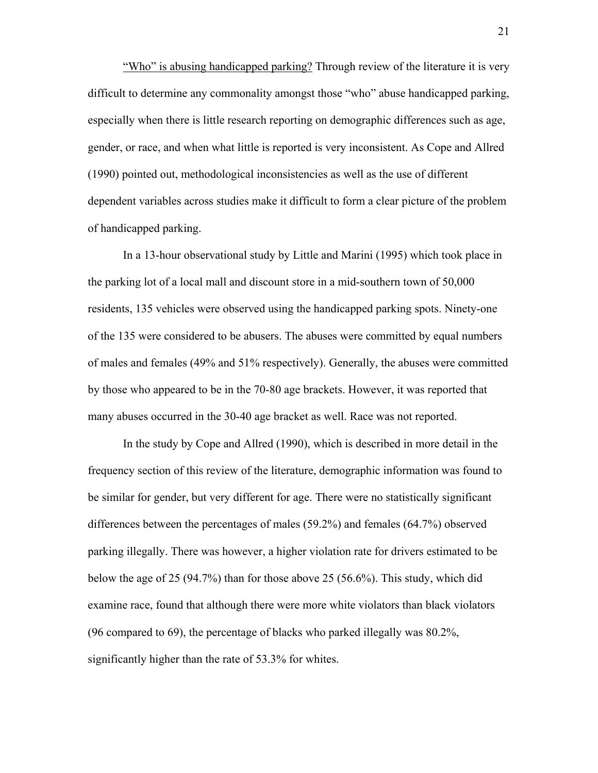"Who" is abusing handicapped parking? Through review of the literature it is very difficult to determine any commonality amongst those "who" abuse handicapped parking, especially when there is little research reporting on demographic differences such as age, gender, or race, and when what little is reported is very inconsistent. As Cope and Allred (1990) pointed out, methodological inconsistencies as well as the use of different dependent variables across studies make it difficult to form a clear picture of the problem of handicapped parking.

In a 13-hour observational study by Little and Marini (1995) which took place in the parking lot of a local mall and discount store in a mid-southern town of 50,000 residents, 135 vehicles were observed using the handicapped parking spots. Ninety-one of the 135 were considered to be abusers. The abuses were committed by equal numbers of males and females (49% and 51% respectively). Generally, the abuses were committed by those who appeared to be in the 70-80 age brackets. However, it was reported that many abuses occurred in the 30-40 age bracket as well. Race was not reported.

In the study by Cope and Allred (1990), which is described in more detail in the frequency section of this review of the literature, demographic information was found to be similar for gender, but very different for age. There were no statistically significant differences between the percentages of males (59.2%) and females (64.7%) observed parking illegally. There was however, a higher violation rate for drivers estimated to be below the age of 25 (94.7%) than for those above 25 (56.6%). This study, which did examine race, found that although there were more white violators than black violators (96 compared to 69), the percentage of blacks who parked illegally was 80.2%, significantly higher than the rate of 53.3% for whites.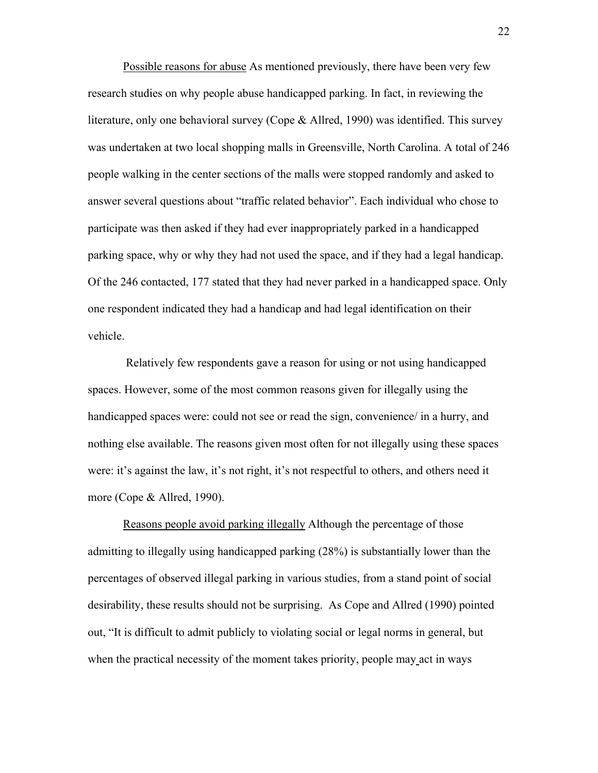Possible reasons for abuse As mentioned previously, there have been very few research studies on why people abuse handicapped parking. In fact, in reviewing the literature, only one behavioral survey (Cope & Allred, 1990) was identified. This survey was undertaken at two local shopping malls in Greensville, North Carolina. A total of 246 people walking in the center sections of the malls were stopped randomly and asked to answer several questions about "traffic related behavior". Each individual who chose to participate was then asked if they had ever inappropriately parked in a handicapped parking space, why or why they had not used the space, and if they had a legal handicap. Of the 246 contacted, 177 stated that they had never parked in a handicapped space. Only one respondent indicated they had a handicap and had legal identification on their vehicle.

 Relatively few respondents gave a reason for using or not using handicapped spaces. However, some of the most common reasons given for illegally using the handicapped spaces were: could not see or read the sign, convenience/ in a hurry, and nothing else available. The reasons given most often for not illegally using these spaces were: it's against the law, it's not right, it's not respectful to others, and others need it more (Cope & Allred, 1990).

Reasons people avoid parking illegally Although the percentage of those admitting to illegally using handicapped parking (28%) is substantially lower than the percentages of observed illegal parking in various studies, from a stand point of social desirability, these results should not be surprising. As Cope and Allred (1990) pointed out, "It is difficult to admit publicly to violating social or legal norms in general, but when the practical necessity of the moment takes priority, people may act in ways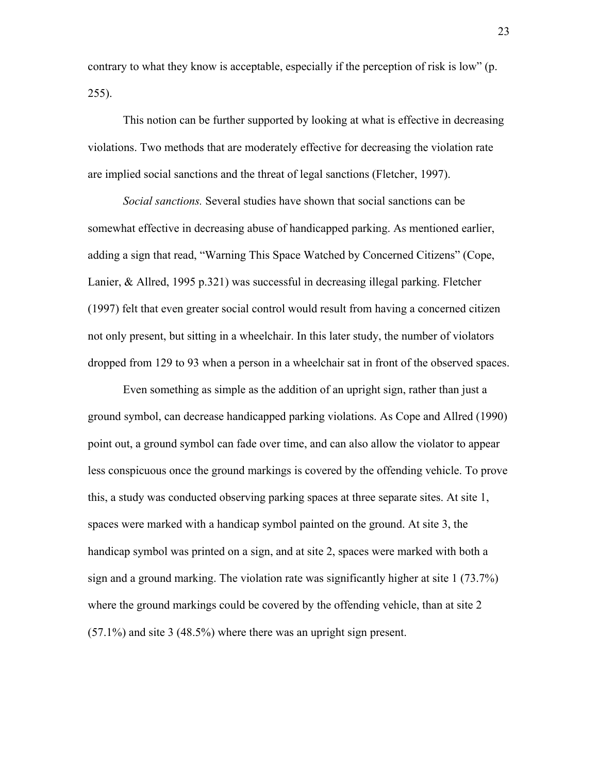contrary to what they know is acceptable, especially if the perception of risk is low" (p. 255).

This notion can be further supported by looking at what is effective in decreasing violations. Two methods that are moderately effective for decreasing the violation rate are implied social sanctions and the threat of legal sanctions (Fletcher, 1997).

*Social sanctions.* Several studies have shown that social sanctions can be somewhat effective in decreasing abuse of handicapped parking. As mentioned earlier, adding a sign that read, "Warning This Space Watched by Concerned Citizens" (Cope, Lanier, & Allred, 1995 p.321) was successful in decreasing illegal parking. Fletcher (1997) felt that even greater social control would result from having a concerned citizen not only present, but sitting in a wheelchair. In this later study, the number of violators dropped from 129 to 93 when a person in a wheelchair sat in front of the observed spaces.

Even something as simple as the addition of an upright sign, rather than just a ground symbol, can decrease handicapped parking violations. As Cope and Allred (1990) point out, a ground symbol can fade over time, and can also allow the violator to appear less conspicuous once the ground markings is covered by the offending vehicle. To prove this, a study was conducted observing parking spaces at three separate sites. At site 1, spaces were marked with a handicap symbol painted on the ground. At site 3, the handicap symbol was printed on a sign, and at site 2, spaces were marked with both a sign and a ground marking. The violation rate was significantly higher at site 1 (73.7%) where the ground markings could be covered by the offending vehicle, than at site 2 (57.1%) and site 3 (48.5%) where there was an upright sign present.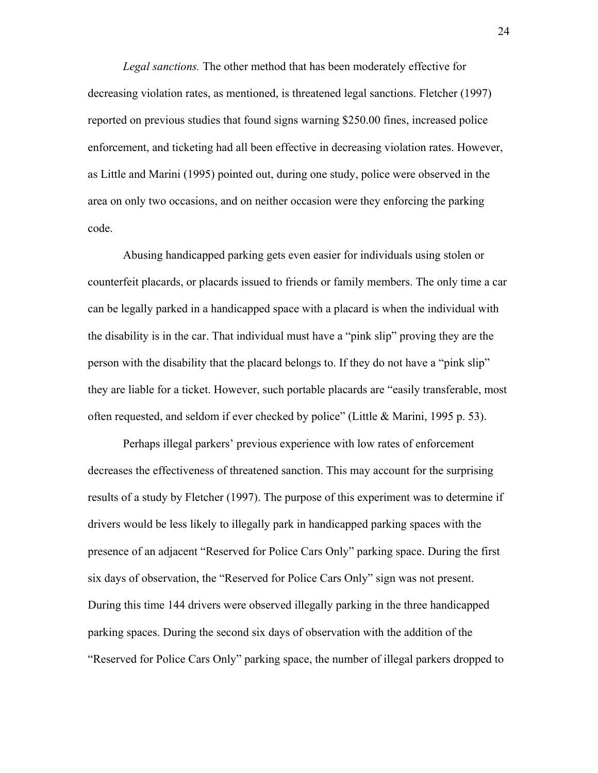*Legal sanctions.* The other method that has been moderately effective for decreasing violation rates, as mentioned, is threatened legal sanctions. Fletcher (1997) reported on previous studies that found signs warning \$250.00 fines, increased police enforcement, and ticketing had all been effective in decreasing violation rates. However, as Little and Marini (1995) pointed out, during one study, police were observed in the area on only two occasions, and on neither occasion were they enforcing the parking code.

Abusing handicapped parking gets even easier for individuals using stolen or counterfeit placards, or placards issued to friends or family members. The only time a car can be legally parked in a handicapped space with a placard is when the individual with the disability is in the car. That individual must have a "pink slip" proving they are the person with the disability that the placard belongs to. If they do not have a "pink slip" they are liable for a ticket. However, such portable placards are "easily transferable, most often requested, and seldom if ever checked by police" (Little & Marini, 1995 p. 53).

Perhaps illegal parkers' previous experience with low rates of enforcement decreases the effectiveness of threatened sanction. This may account for the surprising results of a study by Fletcher (1997). The purpose of this experiment was to determine if drivers would be less likely to illegally park in handicapped parking spaces with the presence of an adjacent "Reserved for Police Cars Only" parking space. During the first six days of observation, the "Reserved for Police Cars Only" sign was not present. During this time 144 drivers were observed illegally parking in the three handicapped parking spaces. During the second six days of observation with the addition of the "Reserved for Police Cars Only" parking space, the number of illegal parkers dropped to

24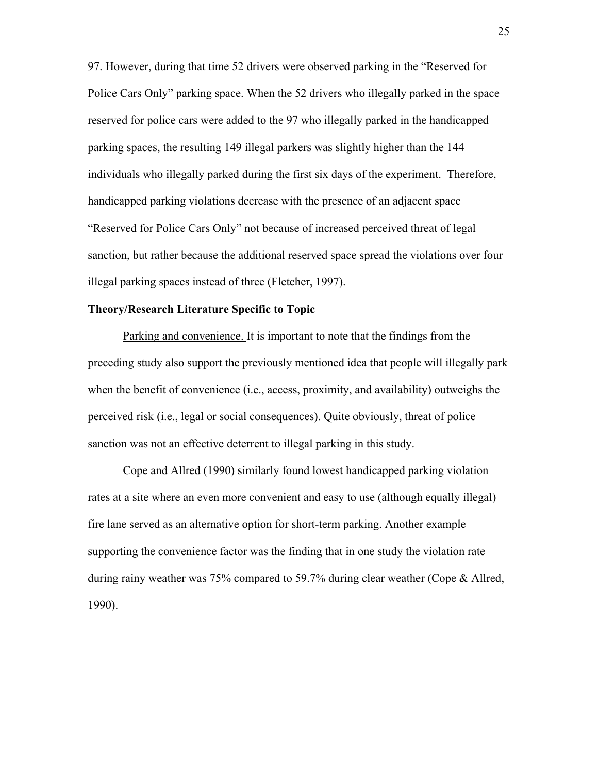97. However, during that time 52 drivers were observed parking in the "Reserved for Police Cars Only" parking space. When the 52 drivers who illegally parked in the space reserved for police cars were added to the 97 who illegally parked in the handicapped parking spaces, the resulting 149 illegal parkers was slightly higher than the 144 individuals who illegally parked during the first six days of the experiment. Therefore, handicapped parking violations decrease with the presence of an adjacent space "Reserved for Police Cars Only" not because of increased perceived threat of legal sanction, but rather because the additional reserved space spread the violations over four illegal parking spaces instead of three (Fletcher, 1997).

#### **Theory/Research Literature Specific to Topic**

Parking and convenience. It is important to note that the findings from the preceding study also support the previously mentioned idea that people will illegally park when the benefit of convenience (i.e., access, proximity, and availability) outweighs the perceived risk (i.e., legal or social consequences). Quite obviously, threat of police sanction was not an effective deterrent to illegal parking in this study.

Cope and Allred (1990) similarly found lowest handicapped parking violation rates at a site where an even more convenient and easy to use (although equally illegal) fire lane served as an alternative option for short-term parking. Another example supporting the convenience factor was the finding that in one study the violation rate during rainy weather was 75% compared to 59.7% during clear weather (Cope & Allred, 1990).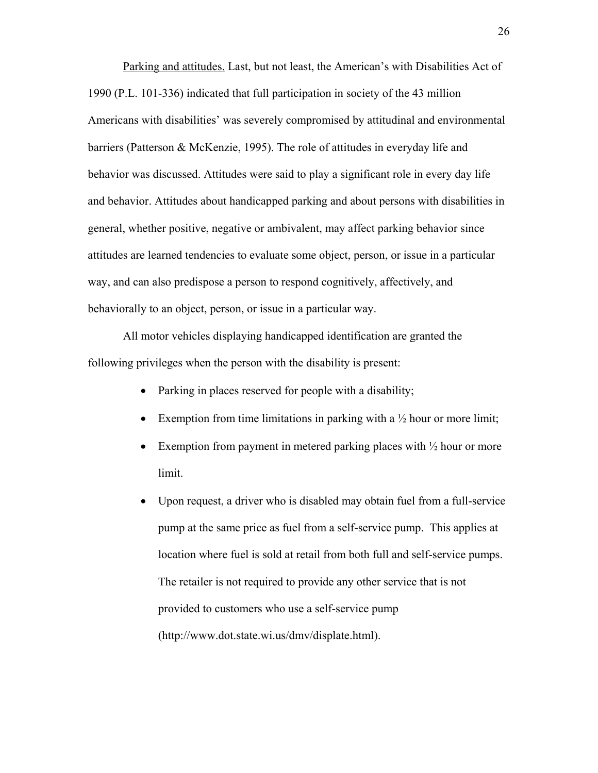Parking and attitudes. Last, but not least, the American's with Disabilities Act of 1990 (P.L. 101-336) indicated that full participation in society of the 43 million Americans with disabilities' was severely compromised by attitudinal and environmental barriers (Patterson & McKenzie, 1995). The role of attitudes in everyday life and behavior was discussed. Attitudes were said to play a significant role in every day life and behavior. Attitudes about handicapped parking and about persons with disabilities in general, whether positive, negative or ambivalent, may affect parking behavior since attitudes are learned tendencies to evaluate some object, person, or issue in a particular way, and can also predispose a person to respond cognitively, affectively, and behaviorally to an object, person, or issue in a particular way.

All motor vehicles displaying handicapped identification are granted the following privileges when the person with the disability is present:

- Parking in places reserved for people with a disability;
- Exemption from time limitations in parking with a  $\frac{1}{2}$  hour or more limit;
- Exemption from payment in metered parking places with  $\frac{1}{2}$  hour or more limit.
- Upon request, a driver who is disabled may obtain fuel from a full-service pump at the same price as fuel from a self-service pump. This applies at location where fuel is sold at retail from both full and self-service pumps. The retailer is not required to provide any other service that is not provided to customers who use a self-service pump (http://www.dot.state.wi.us/dmv/displate.html).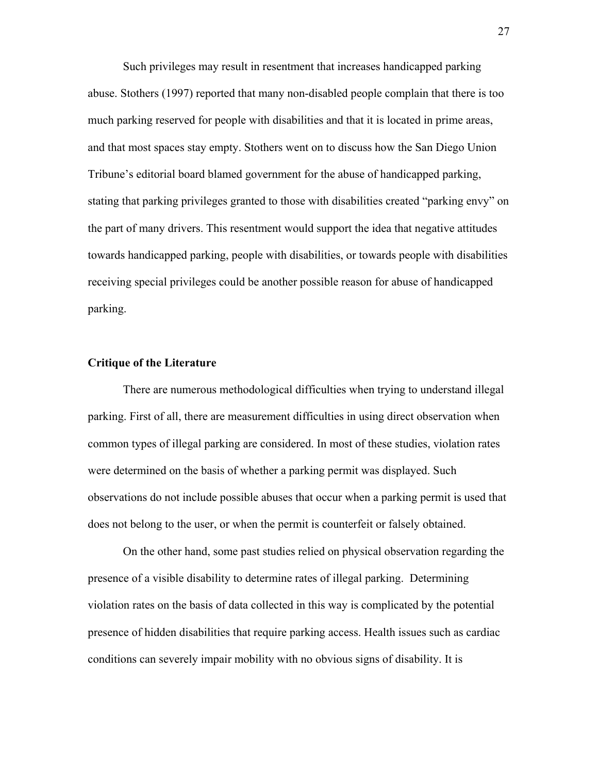Such privileges may result in resentment that increases handicapped parking abuse. Stothers (1997) reported that many non-disabled people complain that there is too much parking reserved for people with disabilities and that it is located in prime areas, and that most spaces stay empty. Stothers went on to discuss how the San Diego Union Tribune's editorial board blamed government for the abuse of handicapped parking, stating that parking privileges granted to those with disabilities created "parking envy" on the part of many drivers. This resentment would support the idea that negative attitudes towards handicapped parking, people with disabilities, or towards people with disabilities receiving special privileges could be another possible reason for abuse of handicapped parking.

#### **Critique of the Literature**

There are numerous methodological difficulties when trying to understand illegal parking. First of all, there are measurement difficulties in using direct observation when common types of illegal parking are considered. In most of these studies, violation rates were determined on the basis of whether a parking permit was displayed. Such observations do not include possible abuses that occur when a parking permit is used that does not belong to the user, or when the permit is counterfeit or falsely obtained.

On the other hand, some past studies relied on physical observation regarding the presence of a visible disability to determine rates of illegal parking. Determining violation rates on the basis of data collected in this way is complicated by the potential presence of hidden disabilities that require parking access. Health issues such as cardiac conditions can severely impair mobility with no obvious signs of disability. It is

27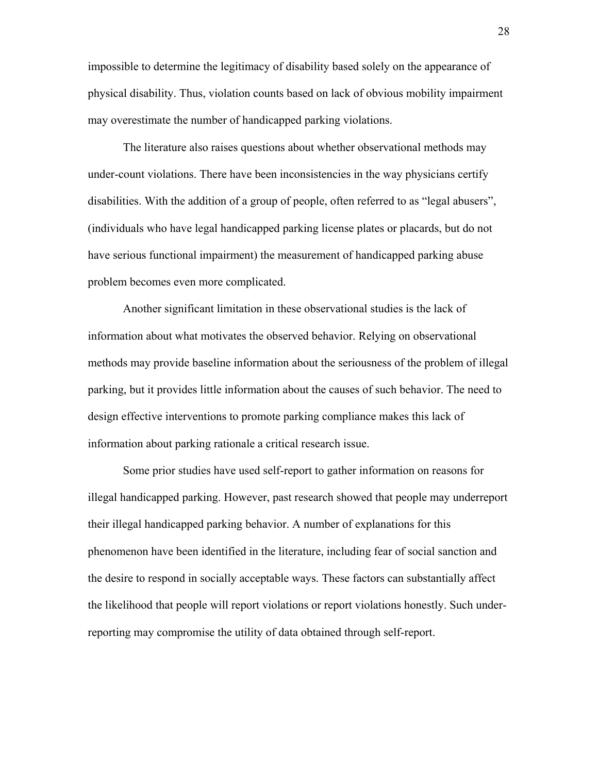impossible to determine the legitimacy of disability based solely on the appearance of physical disability. Thus, violation counts based on lack of obvious mobility impairment may overestimate the number of handicapped parking violations.

The literature also raises questions about whether observational methods may under-count violations. There have been inconsistencies in the way physicians certify disabilities. With the addition of a group of people, often referred to as "legal abusers", (individuals who have legal handicapped parking license plates or placards, but do not have serious functional impairment) the measurement of handicapped parking abuse problem becomes even more complicated.

Another significant limitation in these observational studies is the lack of information about what motivates the observed behavior. Relying on observational methods may provide baseline information about the seriousness of the problem of illegal parking, but it provides little information about the causes of such behavior. The need to design effective interventions to promote parking compliance makes this lack of information about parking rationale a critical research issue.

Some prior studies have used self-report to gather information on reasons for illegal handicapped parking. However, past research showed that people may underreport their illegal handicapped parking behavior. A number of explanations for this phenomenon have been identified in the literature, including fear of social sanction and the desire to respond in socially acceptable ways. These factors can substantially affect the likelihood that people will report violations or report violations honestly. Such underreporting may compromise the utility of data obtained through self-report.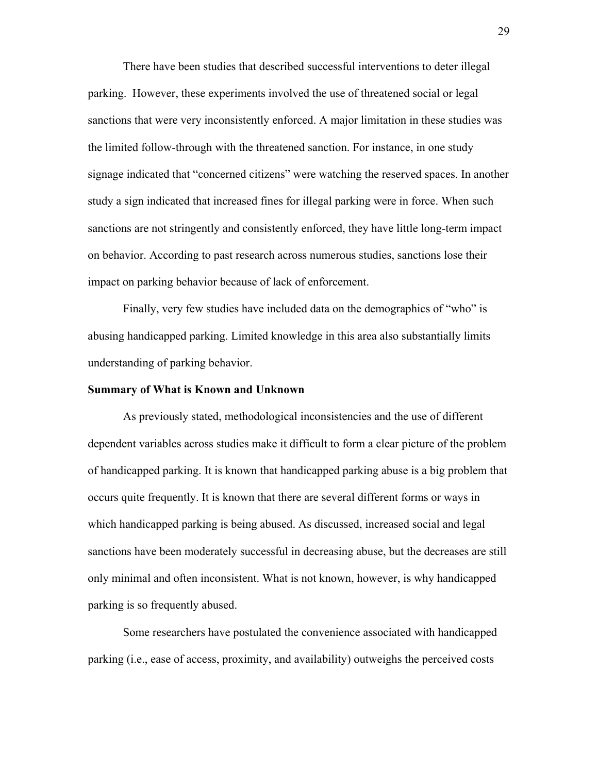There have been studies that described successful interventions to deter illegal parking. However, these experiments involved the use of threatened social or legal sanctions that were very inconsistently enforced. A major limitation in these studies was the limited follow-through with the threatened sanction. For instance, in one study signage indicated that "concerned citizens" were watching the reserved spaces. In another study a sign indicated that increased fines for illegal parking were in force. When such sanctions are not stringently and consistently enforced, they have little long-term impact on behavior. According to past research across numerous studies, sanctions lose their impact on parking behavior because of lack of enforcement.

Finally, very few studies have included data on the demographics of "who" is abusing handicapped parking. Limited knowledge in this area also substantially limits understanding of parking behavior.

#### **Summary of What is Known and Unknown**

As previously stated, methodological inconsistencies and the use of different dependent variables across studies make it difficult to form a clear picture of the problem of handicapped parking. It is known that handicapped parking abuse is a big problem that occurs quite frequently. It is known that there are several different forms or ways in which handicapped parking is being abused. As discussed, increased social and legal sanctions have been moderately successful in decreasing abuse, but the decreases are still only minimal and often inconsistent. What is not known, however, is why handicapped parking is so frequently abused.

Some researchers have postulated the convenience associated with handicapped parking (i.e., ease of access, proximity, and availability) outweighs the perceived costs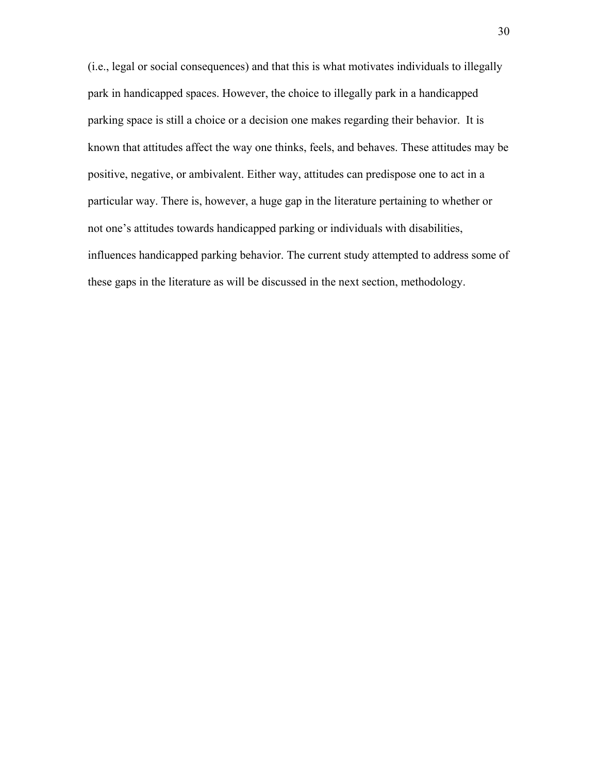(i.e., legal or social consequences) and that this is what motivates individuals to illegally park in handicapped spaces. However, the choice to illegally park in a handicapped parking space is still a choice or a decision one makes regarding their behavior. It is known that attitudes affect the way one thinks, feels, and behaves. These attitudes may be positive, negative, or ambivalent. Either way, attitudes can predispose one to act in a particular way. There is, however, a huge gap in the literature pertaining to whether or not one's attitudes towards handicapped parking or individuals with disabilities, influences handicapped parking behavior. The current study attempted to address some of these gaps in the literature as will be discussed in the next section, methodology.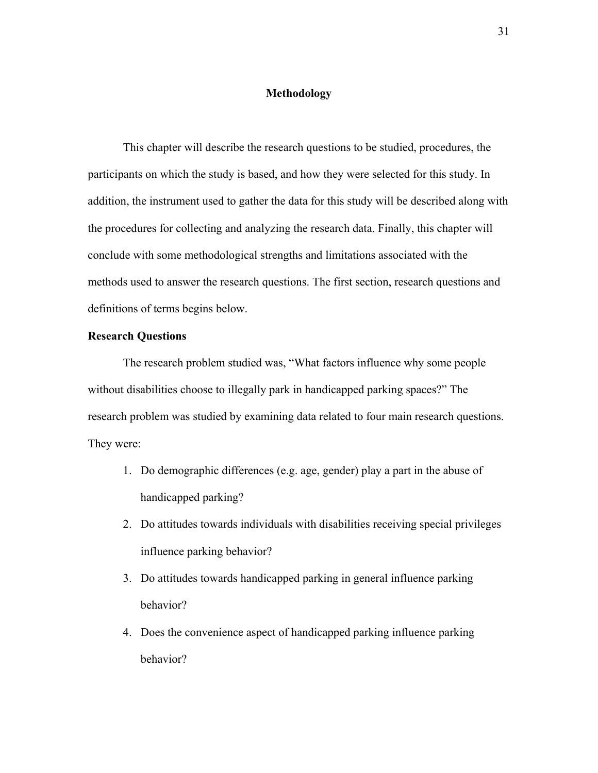### **Methodology**

This chapter will describe the research questions to be studied, procedures, the participants on which the study is based, and how they were selected for this study. In addition, the instrument used to gather the data for this study will be described along with the procedures for collecting and analyzing the research data. Finally, this chapter will conclude with some methodological strengths and limitations associated with the methods used to answer the research questions. The first section, research questions and definitions of terms begins below.

### **Research Questions**

The research problem studied was, "What factors influence why some people without disabilities choose to illegally park in handicapped parking spaces?" The research problem was studied by examining data related to four main research questions. They were:

- 1. Do demographic differences (e.g. age, gender) play a part in the abuse of handicapped parking?
- 2. Do attitudes towards individuals with disabilities receiving special privileges influence parking behavior?
- 3. Do attitudes towards handicapped parking in general influence parking behavior?
- 4. Does the convenience aspect of handicapped parking influence parking behavior?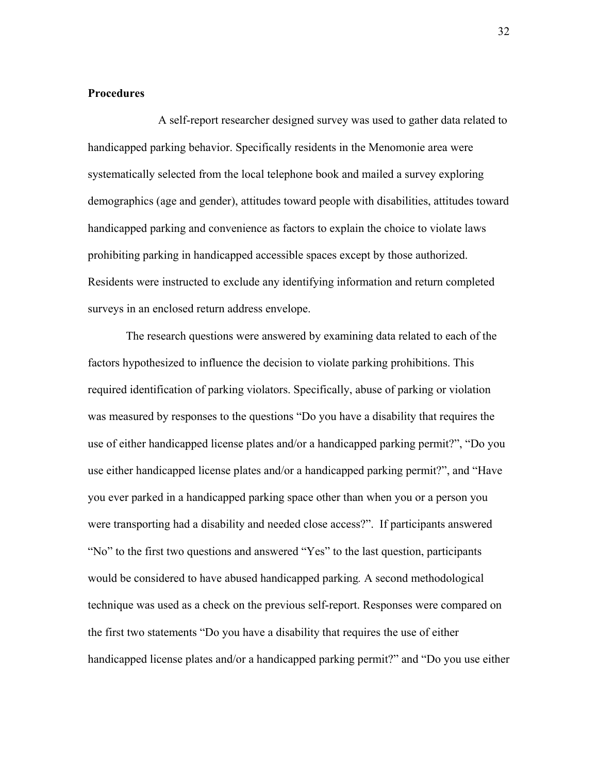# **Procedures**

A self-report researcher designed survey was used to gather data related to handicapped parking behavior. Specifically residents in the Menomonie area were systematically selected from the local telephone book and mailed a survey exploring demographics (age and gender), attitudes toward people with disabilities, attitudes toward handicapped parking and convenience as factors to explain the choice to violate laws prohibiting parking in handicapped accessible spaces except by those authorized. Residents were instructed to exclude any identifying information and return completed surveys in an enclosed return address envelope.

 The research questions were answered by examining data related to each of the factors hypothesized to influence the decision to violate parking prohibitions. This required identification of parking violators. Specifically, abuse of parking or violation was measured by responses to the questions "Do you have a disability that requires the use of either handicapped license plates and/or a handicapped parking permit?", "Do you use either handicapped license plates and/or a handicapped parking permit?", and "Have you ever parked in a handicapped parking space other than when you or a person you were transporting had a disability and needed close access?". If participants answered "No" to the first two questions and answered "Yes" to the last question, participants would be considered to have abused handicapped parking*.* A second methodological technique was used as a check on the previous self-report. Responses were compared on the first two statements "Do you have a disability that requires the use of either handicapped license plates and/or a handicapped parking permit?" and "Do you use either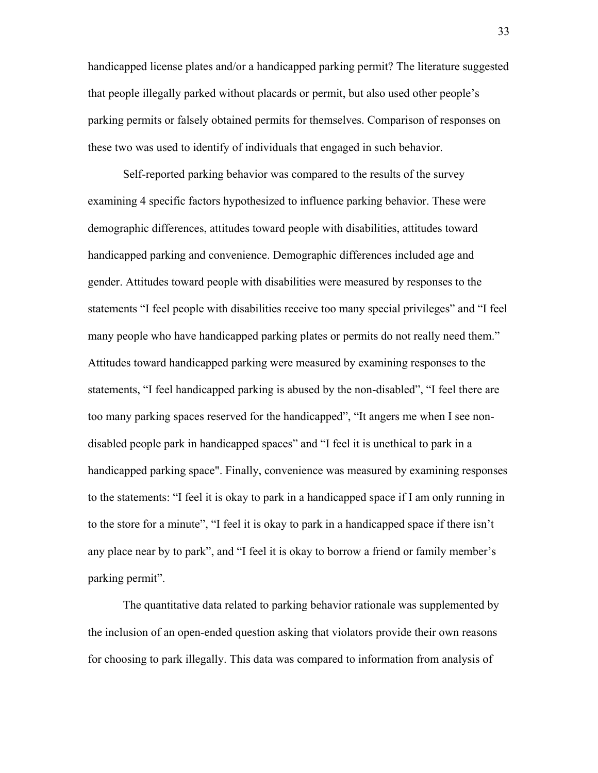handicapped license plates and/or a handicapped parking permit? The literature suggested that people illegally parked without placards or permit, but also used other people's parking permits or falsely obtained permits for themselves. Comparison of responses on these two was used to identify of individuals that engaged in such behavior.

Self-reported parking behavior was compared to the results of the survey examining 4 specific factors hypothesized to influence parking behavior. These were demographic differences, attitudes toward people with disabilities, attitudes toward handicapped parking and convenience. Demographic differences included age and gender. Attitudes toward people with disabilities were measured by responses to the statements "I feel people with disabilities receive too many special privileges" and "I feel many people who have handicapped parking plates or permits do not really need them." Attitudes toward handicapped parking were measured by examining responses to the statements, "I feel handicapped parking is abused by the non-disabled", "I feel there are too many parking spaces reserved for the handicapped", "It angers me when I see nondisabled people park in handicapped spaces" and "I feel it is unethical to park in a handicapped parking space". Finally, convenience was measured by examining responses to the statements: "I feel it is okay to park in a handicapped space if I am only running in to the store for a minute", "I feel it is okay to park in a handicapped space if there isn't any place near by to park", and "I feel it is okay to borrow a friend or family member's parking permit".

The quantitative data related to parking behavior rationale was supplemented by the inclusion of an open-ended question asking that violators provide their own reasons for choosing to park illegally. This data was compared to information from analysis of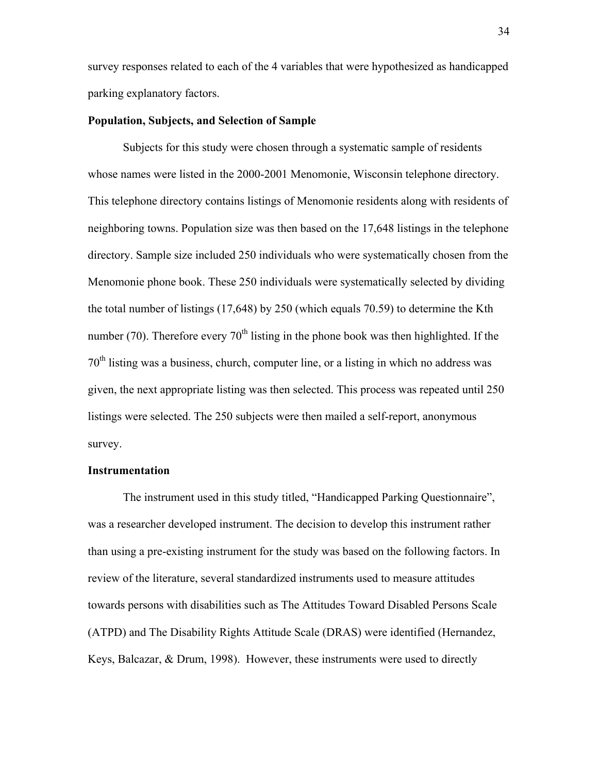survey responses related to each of the 4 variables that were hypothesized as handicapped parking explanatory factors.

### **Population, Subjects, and Selection of Sample**

Subjects for this study were chosen through a systematic sample of residents whose names were listed in the 2000-2001 Menomonie, Wisconsin telephone directory. This telephone directory contains listings of Menomonie residents along with residents of neighboring towns. Population size was then based on the 17,648 listings in the telephone directory. Sample size included 250 individuals who were systematically chosen from the Menomonie phone book. These 250 individuals were systematically selected by dividing the total number of listings (17,648) by 250 (which equals 70.59) to determine the Kth number (70). Therefore every  $70<sup>th</sup>$  listing in the phone book was then highlighted. If the  $70<sup>th</sup>$  listing was a business, church, computer line, or a listing in which no address was given, the next appropriate listing was then selected. This process was repeated until 250 listings were selected. The 250 subjects were then mailed a self-report, anonymous survey.

#### **Instrumentation**

The instrument used in this study titled, "Handicapped Parking Questionnaire", was a researcher developed instrument. The decision to develop this instrument rather than using a pre-existing instrument for the study was based on the following factors. In review of the literature, several standardized instruments used to measure attitudes towards persons with disabilities such as The Attitudes Toward Disabled Persons Scale (ATPD) and The Disability Rights Attitude Scale (DRAS) were identified (Hernandez, Keys, Balcazar, & Drum, 1998). However, these instruments were used to directly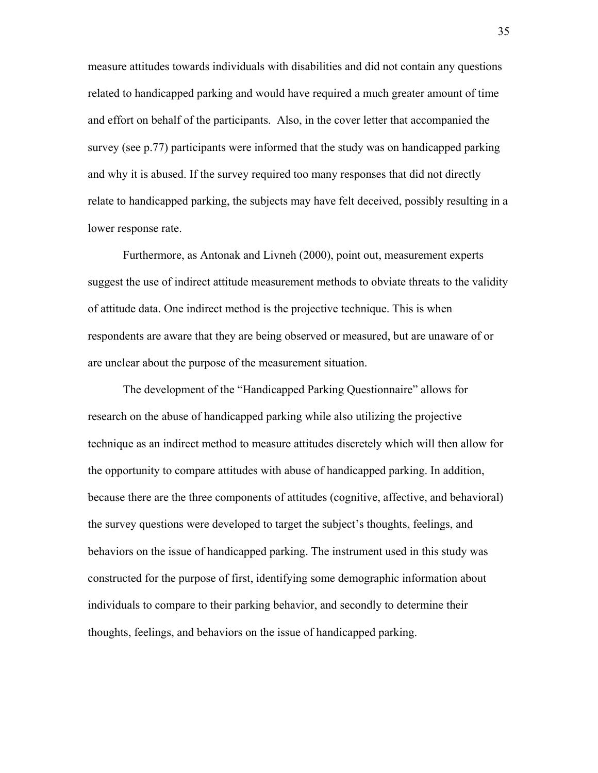measure attitudes towards individuals with disabilities and did not contain any questions related to handicapped parking and would have required a much greater amount of time and effort on behalf of the participants. Also, in the cover letter that accompanied the survey (see p.77) participants were informed that the study was on handicapped parking and why it is abused. If the survey required too many responses that did not directly relate to handicapped parking, the subjects may have felt deceived, possibly resulting in a lower response rate.

Furthermore, as Antonak and Livneh (2000), point out, measurement experts suggest the use of indirect attitude measurement methods to obviate threats to the validity of attitude data. One indirect method is the projective technique. This is when respondents are aware that they are being observed or measured, but are unaware of or are unclear about the purpose of the measurement situation.

The development of the "Handicapped Parking Questionnaire" allows for research on the abuse of handicapped parking while also utilizing the projective technique as an indirect method to measure attitudes discretely which will then allow for the opportunity to compare attitudes with abuse of handicapped parking. In addition, because there are the three components of attitudes (cognitive, affective, and behavioral) the survey questions were developed to target the subject's thoughts, feelings, and behaviors on the issue of handicapped parking. The instrument used in this study was constructed for the purpose of first, identifying some demographic information about individuals to compare to their parking behavior, and secondly to determine their thoughts, feelings, and behaviors on the issue of handicapped parking.

35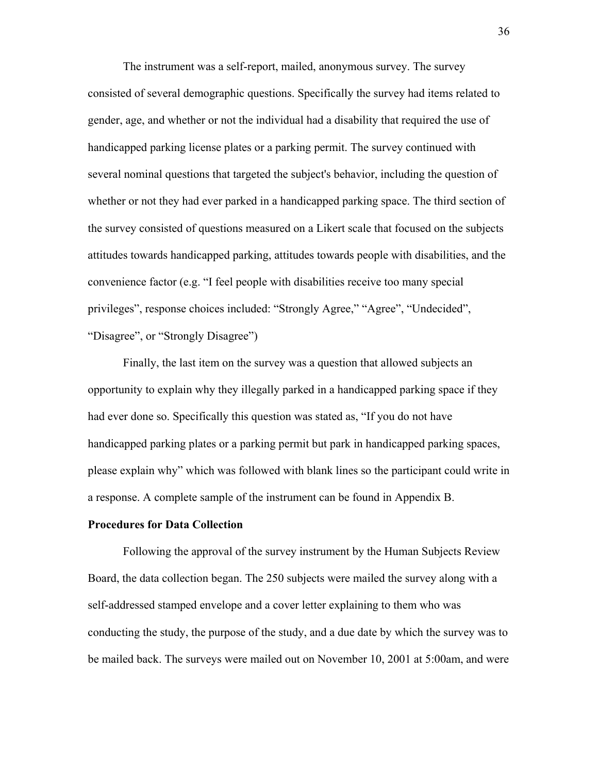The instrument was a self-report, mailed, anonymous survey. The survey consisted of several demographic questions. Specifically the survey had items related to gender, age, and whether or not the individual had a disability that required the use of handicapped parking license plates or a parking permit. The survey continued with several nominal questions that targeted the subject's behavior, including the question of whether or not they had ever parked in a handicapped parking space. The third section of the survey consisted of questions measured on a Likert scale that focused on the subjects attitudes towards handicapped parking, attitudes towards people with disabilities, and the convenience factor (e.g. "I feel people with disabilities receive too many special privileges", response choices included: "Strongly Agree," "Agree", "Undecided", "Disagree", or "Strongly Disagree")

Finally, the last item on the survey was a question that allowed subjects an opportunity to explain why they illegally parked in a handicapped parking space if they had ever done so. Specifically this question was stated as, "If you do not have handicapped parking plates or a parking permit but park in handicapped parking spaces, please explain why" which was followed with blank lines so the participant could write in a response. A complete sample of the instrument can be found in Appendix B.

#### **Procedures for Data Collection**

Following the approval of the survey instrument by the Human Subjects Review Board, the data collection began. The 250 subjects were mailed the survey along with a self-addressed stamped envelope and a cover letter explaining to them who was conducting the study, the purpose of the study, and a due date by which the survey was to be mailed back. The surveys were mailed out on November 10, 2001 at 5:00am, and were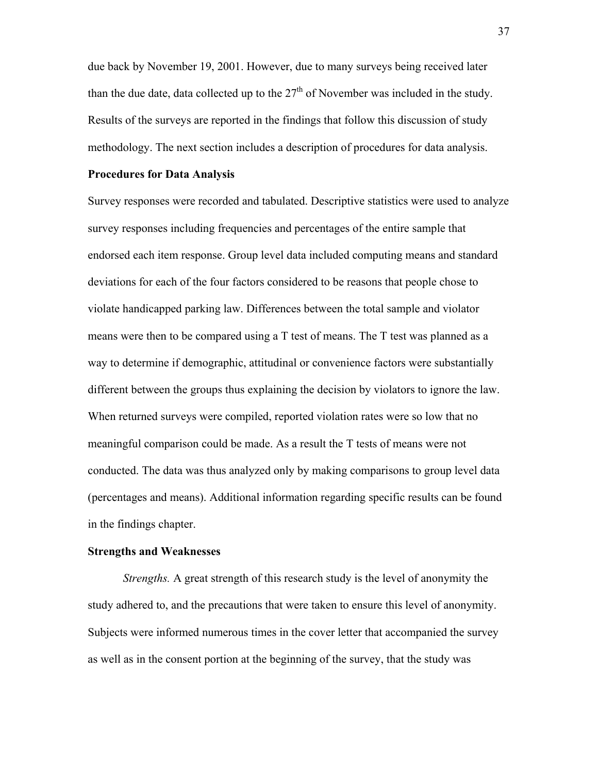due back by November 19, 2001. However, due to many surveys being received later than the due date, data collected up to the  $27<sup>th</sup>$  of November was included in the study. Results of the surveys are reported in the findings that follow this discussion of study methodology. The next section includes a description of procedures for data analysis.

### **Procedures for Data Analysis**

Survey responses were recorded and tabulated. Descriptive statistics were used to analyze survey responses including frequencies and percentages of the entire sample that endorsed each item response. Group level data included computing means and standard deviations for each of the four factors considered to be reasons that people chose to violate handicapped parking law. Differences between the total sample and violator means were then to be compared using a T test of means. The T test was planned as a way to determine if demographic, attitudinal or convenience factors were substantially different between the groups thus explaining the decision by violators to ignore the law. When returned surveys were compiled, reported violation rates were so low that no meaningful comparison could be made. As a result the T tests of means were not conducted. The data was thus analyzed only by making comparisons to group level data (percentages and means). Additional information regarding specific results can be found in the findings chapter.

### **Strengths and Weaknesses**

*Strengths.* A great strength of this research study is the level of anonymity the study adhered to, and the precautions that were taken to ensure this level of anonymity. Subjects were informed numerous times in the cover letter that accompanied the survey as well as in the consent portion at the beginning of the survey, that the study was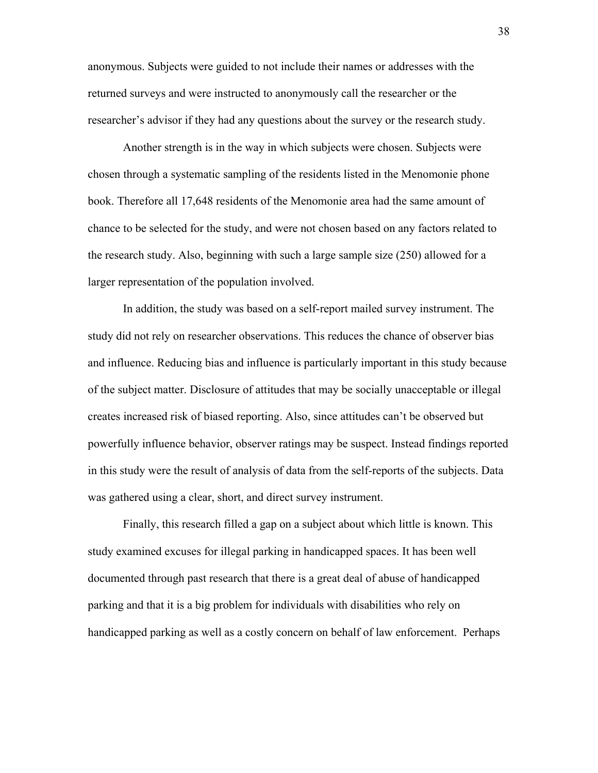anonymous. Subjects were guided to not include their names or addresses with the returned surveys and were instructed to anonymously call the researcher or the researcher's advisor if they had any questions about the survey or the research study.

Another strength is in the way in which subjects were chosen. Subjects were chosen through a systematic sampling of the residents listed in the Menomonie phone book. Therefore all 17,648 residents of the Menomonie area had the same amount of chance to be selected for the study, and were not chosen based on any factors related to the research study. Also, beginning with such a large sample size (250) allowed for a larger representation of the population involved.

In addition, the study was based on a self-report mailed survey instrument. The study did not rely on researcher observations. This reduces the chance of observer bias and influence. Reducing bias and influence is particularly important in this study because of the subject matter. Disclosure of attitudes that may be socially unacceptable or illegal creates increased risk of biased reporting. Also, since attitudes can't be observed but powerfully influence behavior, observer ratings may be suspect. Instead findings reported in this study were the result of analysis of data from the self-reports of the subjects. Data was gathered using a clear, short, and direct survey instrument.

Finally, this research filled a gap on a subject about which little is known. This study examined excuses for illegal parking in handicapped spaces. It has been well documented through past research that there is a great deal of abuse of handicapped parking and that it is a big problem for individuals with disabilities who rely on handicapped parking as well as a costly concern on behalf of law enforcement. Perhaps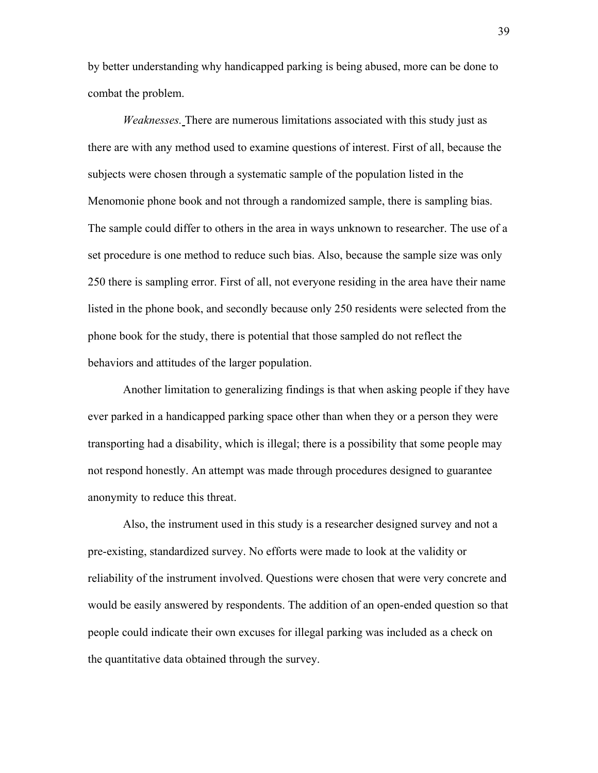by better understanding why handicapped parking is being abused, more can be done to combat the problem.

*Weaknesses.* There are numerous limitations associated with this study just as there are with any method used to examine questions of interest. First of all, because the subjects were chosen through a systematic sample of the population listed in the Menomonie phone book and not through a randomized sample, there is sampling bias. The sample could differ to others in the area in ways unknown to researcher. The use of a set procedure is one method to reduce such bias. Also, because the sample size was only 250 there is sampling error. First of all, not everyone residing in the area have their name listed in the phone book, and secondly because only 250 residents were selected from the phone book for the study, there is potential that those sampled do not reflect the behaviors and attitudes of the larger population.

Another limitation to generalizing findings is that when asking people if they have ever parked in a handicapped parking space other than when they or a person they were transporting had a disability, which is illegal; there is a possibility that some people may not respond honestly. An attempt was made through procedures designed to guarantee anonymity to reduce this threat.

Also, the instrument used in this study is a researcher designed survey and not a pre-existing, standardized survey. No efforts were made to look at the validity or reliability of the instrument involved. Questions were chosen that were very concrete and would be easily answered by respondents. The addition of an open-ended question so that people could indicate their own excuses for illegal parking was included as a check on the quantitative data obtained through the survey.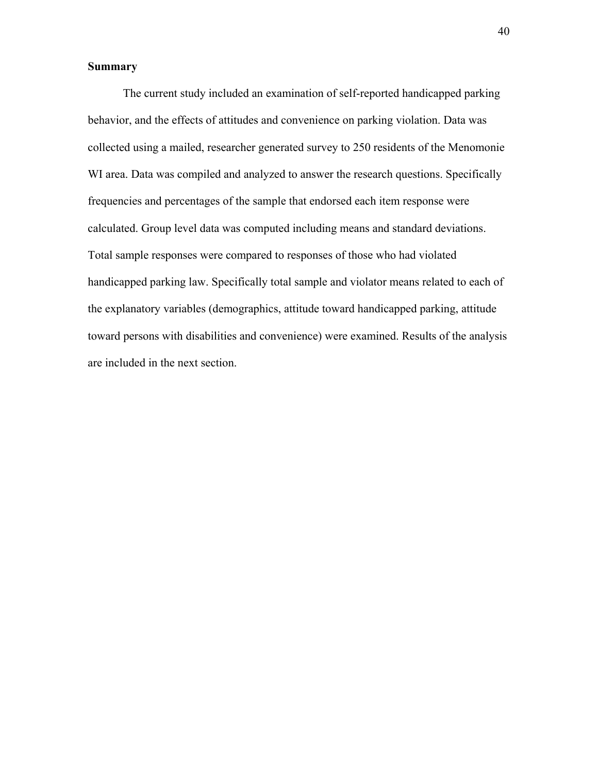# **Summary**

The current study included an examination of self-reported handicapped parking behavior, and the effects of attitudes and convenience on parking violation. Data was collected using a mailed, researcher generated survey to 250 residents of the Menomonie WI area. Data was compiled and analyzed to answer the research questions. Specifically frequencies and percentages of the sample that endorsed each item response were calculated. Group level data was computed including means and standard deviations. Total sample responses were compared to responses of those who had violated handicapped parking law. Specifically total sample and violator means related to each of the explanatory variables (demographics, attitude toward handicapped parking, attitude toward persons with disabilities and convenience) were examined. Results of the analysis are included in the next section.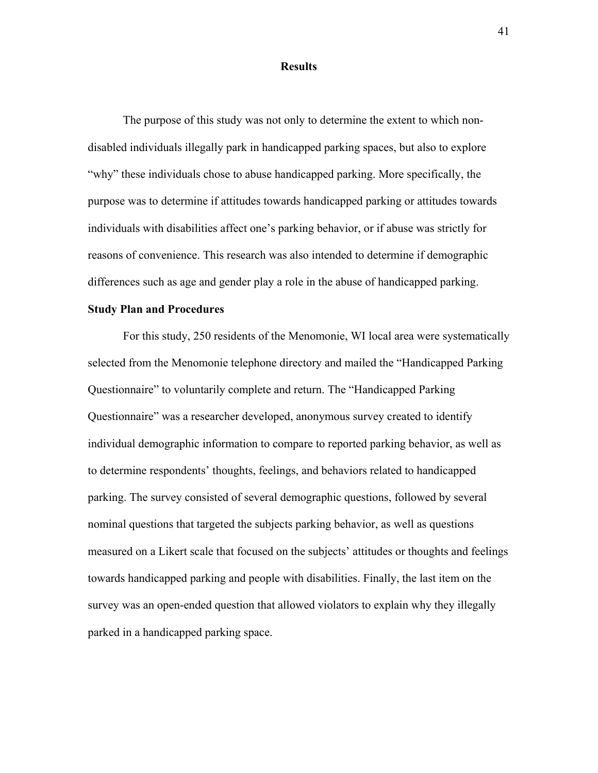### **Results**

The purpose of this study was not only to determine the extent to which nondisabled individuals illegally park in handicapped parking spaces, but also to explore "why" these individuals chose to abuse handicapped parking. More specifically, the purpose was to determine if attitudes towards handicapped parking or attitudes towards individuals with disabilities affect one's parking behavior, or if abuse was strictly for reasons of convenience. This research was also intended to determine if demographic differences such as age and gender play a role in the abuse of handicapped parking.

#### **Study Plan and Procedures**

For this study, 250 residents of the Menomonie, WI local area were systematically selected from the Menomonie telephone directory and mailed the "Handicapped Parking Questionnaire" to voluntarily complete and return. The "Handicapped Parking Questionnaire" was a researcher developed, anonymous survey created to identify individual demographic information to compare to reported parking behavior, as well as to determine respondents' thoughts, feelings, and behaviors related to handicapped parking. The survey consisted of several demographic questions, followed by several nominal questions that targeted the subjects parking behavior, as well as questions measured on a Likert scale that focused on the subjects' attitudes or thoughts and feelings towards handicapped parking and people with disabilities. Finally, the last item on the survey was an open-ended question that allowed violators to explain why they illegally parked in a handicapped parking space.

41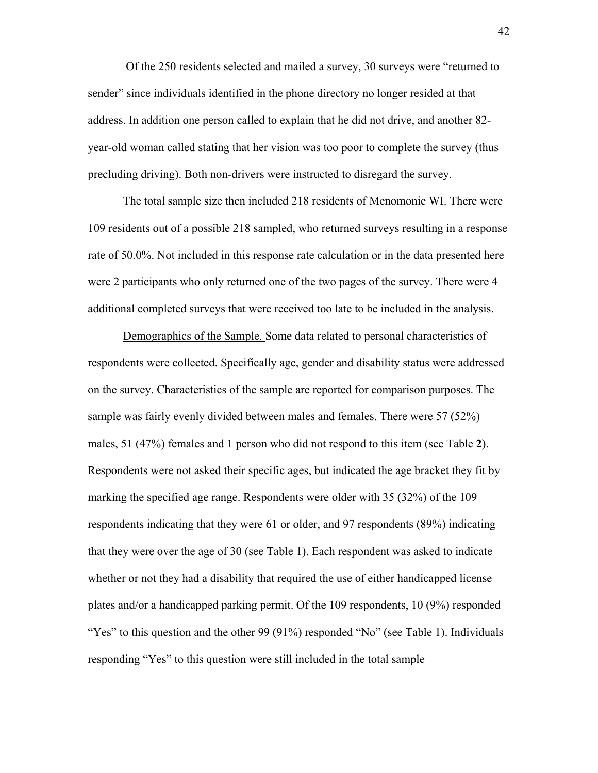Of the 250 residents selected and mailed a survey, 30 surveys were "returned to sender" since individuals identified in the phone directory no longer resided at that address. In addition one person called to explain that he did not drive, and another 82 year-old woman called stating that her vision was too poor to complete the survey (thus precluding driving). Both non-drivers were instructed to disregard the survey.

The total sample size then included 218 residents of Menomonie WI. There were 109 residents out of a possible 218 sampled, who returned surveys resulting in a response rate of 50.0%. Not included in this response rate calculation or in the data presented here were 2 participants who only returned one of the two pages of the survey. There were 4 additional completed surveys that were received too late to be included in the analysis.

Demographics of the Sample. Some data related to personal characteristics of respondents were collected. Specifically age, gender and disability status were addressed on the survey. Characteristics of the sample are reported for comparison purposes. The sample was fairly evenly divided between males and females. There were 57 (52%) males, 51 (47%) females and 1 person who did not respond to this item (see Table **2**). Respondents were not asked their specific ages, but indicated the age bracket they fit by marking the specified age range. Respondents were older with 35 (32%) of the 109 respondents indicating that they were 61 or older, and 97 respondents (89%) indicating that they were over the age of 30 (see Table 1). Each respondent was asked to indicate whether or not they had a disability that required the use of either handicapped license plates and/or a handicapped parking permit. Of the 109 respondents, 10 (9%) responded "Yes" to this question and the other 99 (91%) responded "No" (see Table 1). Individuals responding "Yes" to this question were still included in the total sample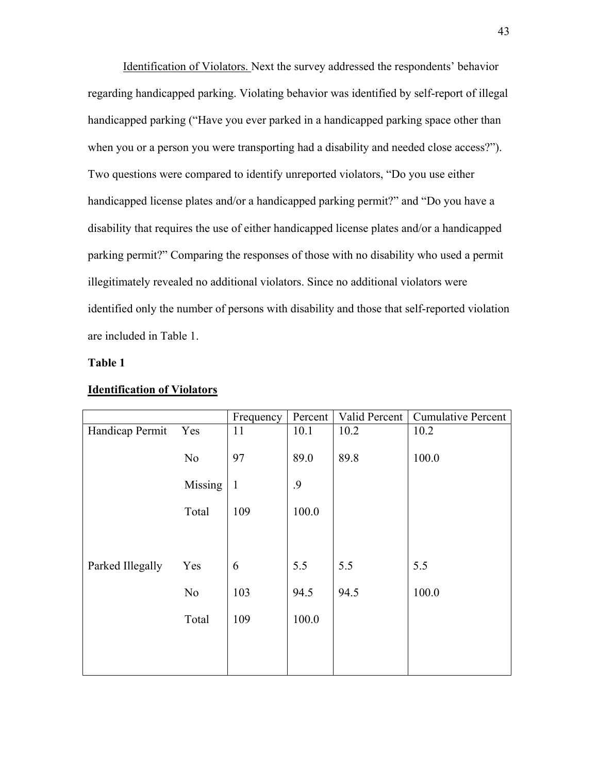Identification of Violators. Next the survey addressed the respondents' behavior regarding handicapped parking. Violating behavior was identified by self-report of illegal handicapped parking ("Have you ever parked in a handicapped parking space other than when you or a person you were transporting had a disability and needed close access?"). Two questions were compared to identify unreported violators, "Do you use either handicapped license plates and/or a handicapped parking permit?" and "Do you have a disability that requires the use of either handicapped license plates and/or a handicapped parking permit?" Comparing the responses of those with no disability who used a permit illegitimately revealed no additional violators. Since no additional violators were identified only the number of persons with disability and those that self-reported violation are included in Table 1.

### **Table 1**

|                  |                | Frequency    | Percent | Valid Percent | <b>Cumulative Percent</b> |
|------------------|----------------|--------------|---------|---------------|---------------------------|
| Handicap Permit  | Yes            | 11           | 10.1    | 10.2          | 10.2                      |
|                  | N <sub>o</sub> | 97           | 89.0    | 89.8          | 100.0                     |
|                  | Missing        | $\mathbf{1}$ | .9      |               |                           |
|                  | Total          | 109          | 100.0   |               |                           |
|                  |                |              |         |               |                           |
| Parked Illegally | Yes            | 6            | 5.5     | 5.5           | 5.5                       |
|                  | No             | 103          | 94.5    | 94.5          | 100.0                     |
|                  | Total          | 109          | 100.0   |               |                           |
|                  |                |              |         |               |                           |
|                  |                |              |         |               |                           |

#### **Identification of Violators**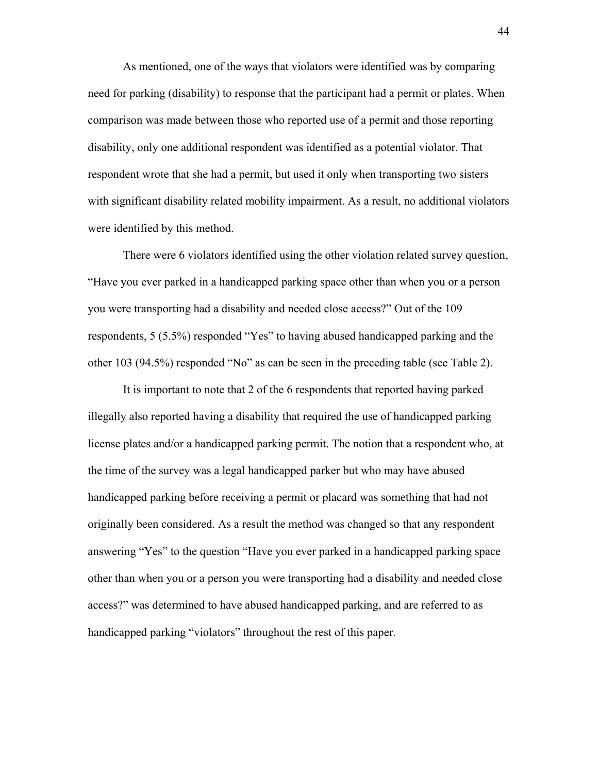As mentioned, one of the ways that violators were identified was by comparing need for parking (disability) to response that the participant had a permit or plates. When comparison was made between those who reported use of a permit and those reporting disability, only one additional respondent was identified as a potential violator. That respondent wrote that she had a permit, but used it only when transporting two sisters with significant disability related mobility impairment. As a result, no additional violators were identified by this method.

There were 6 violators identified using the other violation related survey question, "Have you ever parked in a handicapped parking space other than when you or a person you were transporting had a disability and needed close access?" Out of the 109 respondents, 5 (5.5%) responded "Yes" to having abused handicapped parking and the other 103 (94.5%) responded "No" as can be seen in the preceding table (see Table 2).

It is important to note that 2 of the 6 respondents that reported having parked illegally also reported having a disability that required the use of handicapped parking license plates and/or a handicapped parking permit. The notion that a respondent who, at the time of the survey was a legal handicapped parker but who may have abused handicapped parking before receiving a permit or placard was something that had not originally been considered. As a result the method was changed so that any respondent answering "Yes" to the question "Have you ever parked in a handicapped parking space other than when you or a person you were transporting had a disability and needed close access?" was determined to have abused handicapped parking, and are referred to as handicapped parking "violators" throughout the rest of this paper.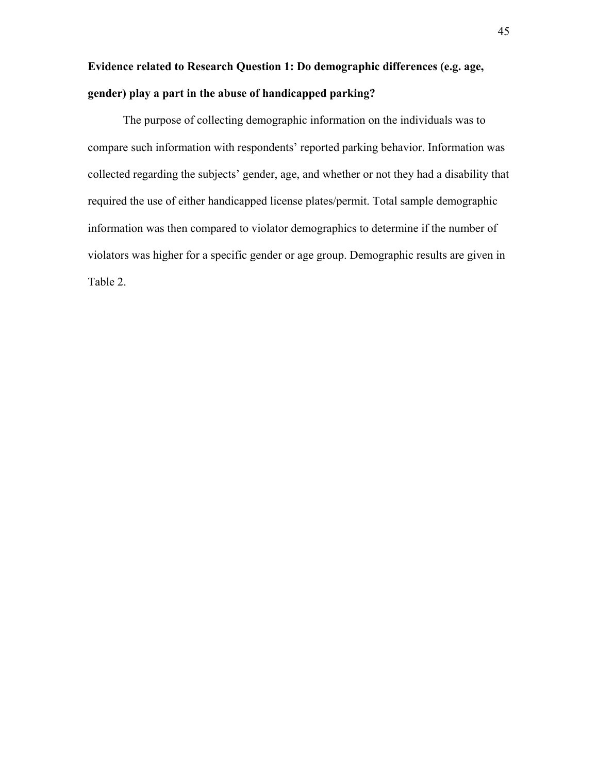# **Evidence related to Research Question 1: Do demographic differences (e.g. age, gender) play a part in the abuse of handicapped parking?**

The purpose of collecting demographic information on the individuals was to compare such information with respondents' reported parking behavior. Information was collected regarding the subjects' gender, age, and whether or not they had a disability that required the use of either handicapped license plates/permit. Total sample demographic information was then compared to violator demographics to determine if the number of violators was higher for a specific gender or age group. Demographic results are given in Table 2.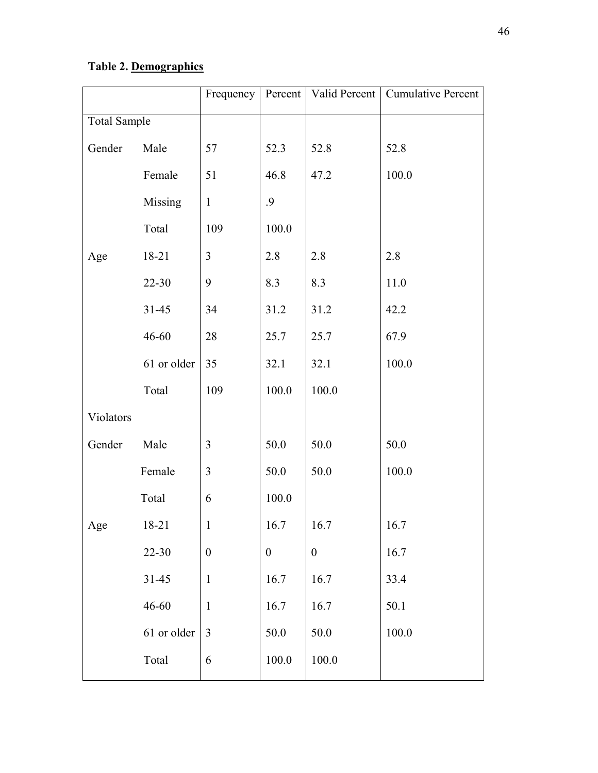# **Table 2. Demographics**

|                     |             | Frequency        |                  | Percent   Valid Percent | <b>Cumulative Percent</b> |
|---------------------|-------------|------------------|------------------|-------------------------|---------------------------|
| <b>Total Sample</b> |             |                  |                  |                         |                           |
| Gender              | Male        | 57               | 52.3             | 52.8                    | 52.8                      |
|                     | Female      | 51               | 46.8             | 47.2                    | 100.0                     |
|                     | Missing     | $\mathbf{1}$     | 9.               |                         |                           |
|                     | Total       | 109              | 100.0            |                         |                           |
| Age                 | 18-21       | 3                | 2.8              | 2.8                     | 2.8                       |
|                     | $22 - 30$   | 9                | 8.3              | 8.3                     | 11.0                      |
|                     | $31 - 45$   | 34               | 31.2             | 31.2                    | 42.2                      |
|                     | 46-60       | 28               | 25.7             | 25.7                    | 67.9                      |
|                     | 61 or older | 35               | 32.1             | 32.1                    | 100.0                     |
|                     | Total       | 109              | 100.0            | 100.0                   |                           |
| Violators           |             |                  |                  |                         |                           |
| Gender              | Male        | 3                | 50.0             | 50.0                    | 50.0                      |
|                     | Female      | 3                | 50.0             | 50.0                    | 100.0                     |
|                     | Total       | 6                | 100.0            |                         |                           |
| $_{\rm Age}$        | 18-21       | 1                | 16.7             | 16.7                    | 16.7                      |
|                     | $22 - 30$   | $\boldsymbol{0}$ | $\boldsymbol{0}$ | $\boldsymbol{0}$        | 16.7                      |
|                     | $31 - 45$   | $\mathbf{1}$     | 16.7             | 16.7                    | 33.4                      |
|                     | $46 - 60$   | $\mathbf{1}$     | 16.7             | 16.7                    | 50.1                      |
|                     | 61 or older | 3                | 50.0             | 50.0                    | 100.0                     |
|                     | Total       | 6                | 100.0            | 100.0                   |                           |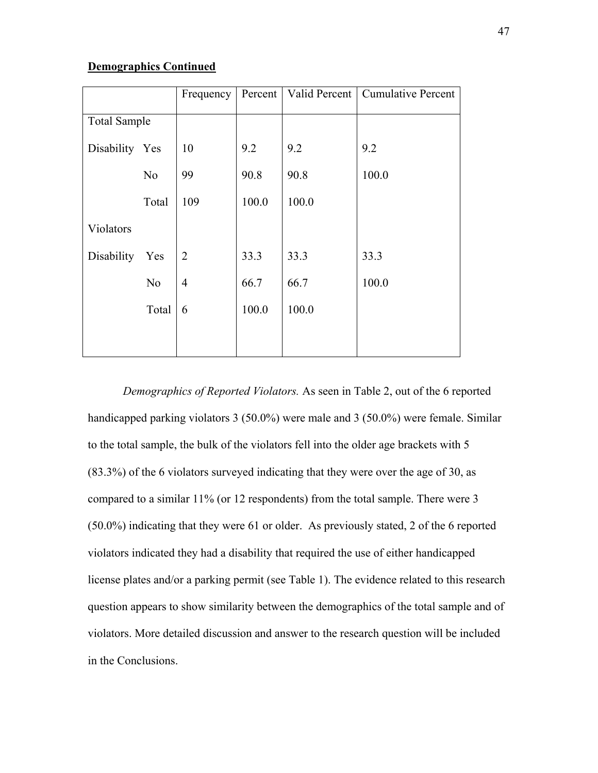# **Demographics Continued**

|                     |                | Frequency      | Percent | Valid Percent | <b>Cumulative Percent</b> |
|---------------------|----------------|----------------|---------|---------------|---------------------------|
| <b>Total Sample</b> |                |                |         |               |                           |
| Disability Yes      |                | 10             | 9.2     | 9.2           | 9.2                       |
|                     | N <sub>0</sub> | 99             | 90.8    | 90.8          | 100.0                     |
|                     | Total          | 109            | 100.0   | 100.0         |                           |
| Violators           |                |                |         |               |                           |
| <b>Disability</b>   | Yes            | $\overline{2}$ | 33.3    | 33.3          | 33.3                      |
|                     | N <sub>0</sub> | $\overline{4}$ | 66.7    | 66.7          | 100.0                     |
|                     | Total          | 6              | 100.0   | 100.0         |                           |
|                     |                |                |         |               |                           |

*Demographics of Reported Violators.* As seen in Table 2, out of the 6 reported handicapped parking violators 3 (50.0%) were male and 3 (50.0%) were female. Similar to the total sample, the bulk of the violators fell into the older age brackets with 5 (83.3%) of the 6 violators surveyed indicating that they were over the age of 30, as compared to a similar 11% (or 12 respondents) from the total sample. There were 3 (50.0%) indicating that they were 61 or older. As previously stated, 2 of the 6 reported violators indicated they had a disability that required the use of either handicapped license plates and/or a parking permit (see Table 1). The evidence related to this research question appears to show similarity between the demographics of the total sample and of violators. More detailed discussion and answer to the research question will be included in the Conclusions.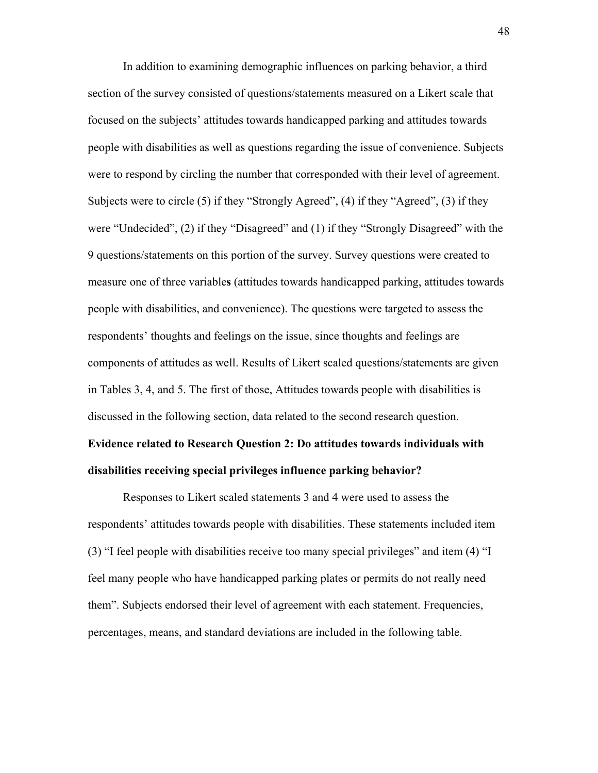In addition to examining demographic influences on parking behavior, a third section of the survey consisted of questions/statements measured on a Likert scale that focused on the subjects' attitudes towards handicapped parking and attitudes towards people with disabilities as well as questions regarding the issue of convenience. Subjects were to respond by circling the number that corresponded with their level of agreement. Subjects were to circle (5) if they "Strongly Agreed", (4) if they "Agreed", (3) if they were "Undecided", (2) if they "Disagreed" and (1) if they "Strongly Disagreed" with the 9 questions/statements on this portion of the survey. Survey questions were created to measure one of three variable**s** (attitudes towards handicapped parking, attitudes towards people with disabilities, and convenience). The questions were targeted to assess the respondents' thoughts and feelings on the issue, since thoughts and feelings are components of attitudes as well. Results of Likert scaled questions/statements are given in Tables 3, 4, and 5. The first of those, Attitudes towards people with disabilities is discussed in the following section, data related to the second research question.

# **Evidence related to Research Question 2: Do attitudes towards individuals with disabilities receiving special privileges influence parking behavior?**

Responses to Likert scaled statements 3 and 4 were used to assess the respondents' attitudes towards people with disabilities. These statements included item (3) "I feel people with disabilities receive too many special privileges" and item (4) "I feel many people who have handicapped parking plates or permits do not really need them". Subjects endorsed their level of agreement with each statement. Frequencies, percentages, means, and standard deviations are included in the following table.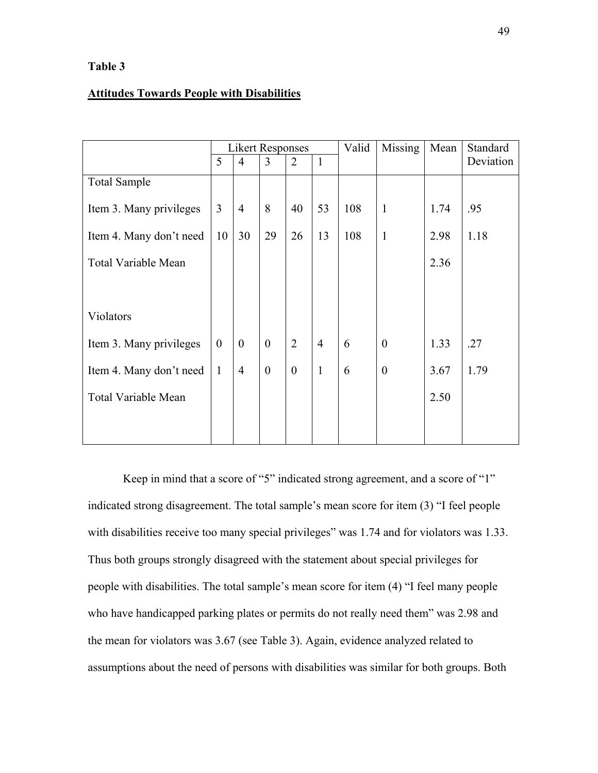# **Table 3**

# **Attitudes Towards People with Disabilities**

|                            | <b>Likert Responses</b> |                |                |                | Missing<br>Valid |     | Mean             | Standard |           |
|----------------------------|-------------------------|----------------|----------------|----------------|------------------|-----|------------------|----------|-----------|
|                            | 5                       | $\overline{4}$ | 3              | $\overline{2}$ | $\mathbf{1}$     |     |                  |          | Deviation |
| <b>Total Sample</b>        |                         |                |                |                |                  |     |                  |          |           |
| Item 3. Many privileges    | $\overline{3}$          | $\overline{4}$ | 8              | 40             | 53               | 108 | $\mathbf{1}$     | 1.74     | .95       |
| Item 4. Many don't need    | 10                      | 30             | 29             | 26             | 13               | 108 | $\mathbf{1}$     | 2.98     | 1.18      |
| <b>Total Variable Mean</b> |                         |                |                |                |                  |     |                  | 2.36     |           |
|                            |                         |                |                |                |                  |     |                  |          |           |
| Violators                  |                         |                |                |                |                  |     |                  |          |           |
| Item 3. Many privileges    | $\theta$                | $\theta$       | $\theta$       | $\overline{2}$ | $\overline{4}$   | 6   | $\boldsymbol{0}$ | 1.33     | .27       |
| Item 4. Many don't need    | $\mathbf{1}$            | $\overline{4}$ | $\overline{0}$ | $\mathbf{0}$   | $\mathbf{1}$     | 6   | $\boldsymbol{0}$ | 3.67     | 1.79      |
| <b>Total Variable Mean</b> |                         |                |                |                |                  |     |                  | 2.50     |           |
|                            |                         |                |                |                |                  |     |                  |          |           |
|                            |                         |                |                |                |                  |     |                  |          |           |

Keep in mind that a score of "5" indicated strong agreement, and a score of "1" indicated strong disagreement. The total sample's mean score for item (3) "I feel people with disabilities receive too many special privileges" was 1.74 and for violators was 1.33. Thus both groups strongly disagreed with the statement about special privileges for people with disabilities. The total sample's mean score for item (4) "I feel many people who have handicapped parking plates or permits do not really need them" was 2.98 and the mean for violators was 3.67 (see Table 3). Again, evidence analyzed related to assumptions about the need of persons with disabilities was similar for both groups. Both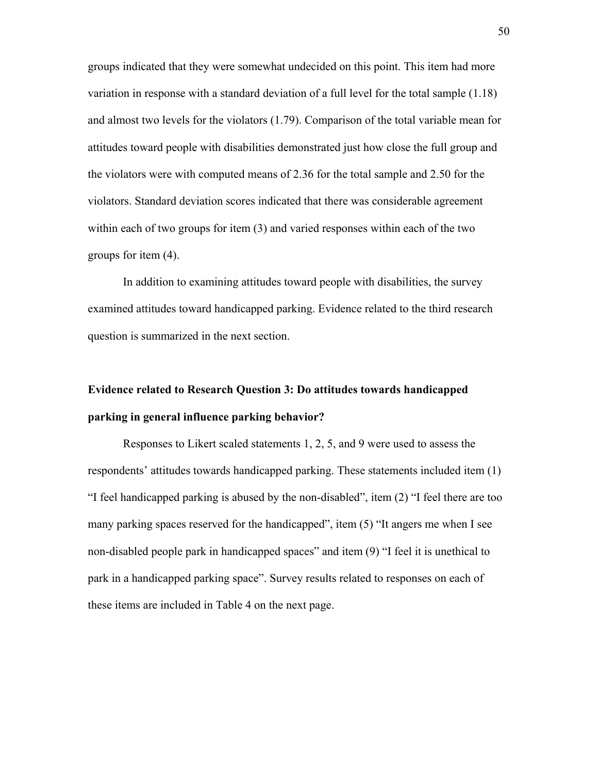groups indicated that they were somewhat undecided on this point. This item had more variation in response with a standard deviation of a full level for the total sample (1.18) and almost two levels for the violators (1.79). Comparison of the total variable mean for attitudes toward people with disabilities demonstrated just how close the full group and the violators were with computed means of 2.36 for the total sample and 2.50 for the violators. Standard deviation scores indicated that there was considerable agreement within each of two groups for item (3) and varied responses within each of the two groups for item (4).

In addition to examining attitudes toward people with disabilities, the survey examined attitudes toward handicapped parking. Evidence related to the third research question is summarized in the next section.

# **Evidence related to Research Question 3: Do attitudes towards handicapped parking in general influence parking behavior?**

Responses to Likert scaled statements 1, 2, 5, and 9 were used to assess the respondents' attitudes towards handicapped parking. These statements included item (1) "I feel handicapped parking is abused by the non-disabled", item (2) "I feel there are too many parking spaces reserved for the handicapped", item (5) "It angers me when I see non-disabled people park in handicapped spaces" and item (9) "I feel it is unethical to park in a handicapped parking space". Survey results related to responses on each of these items are included in Table 4 on the next page.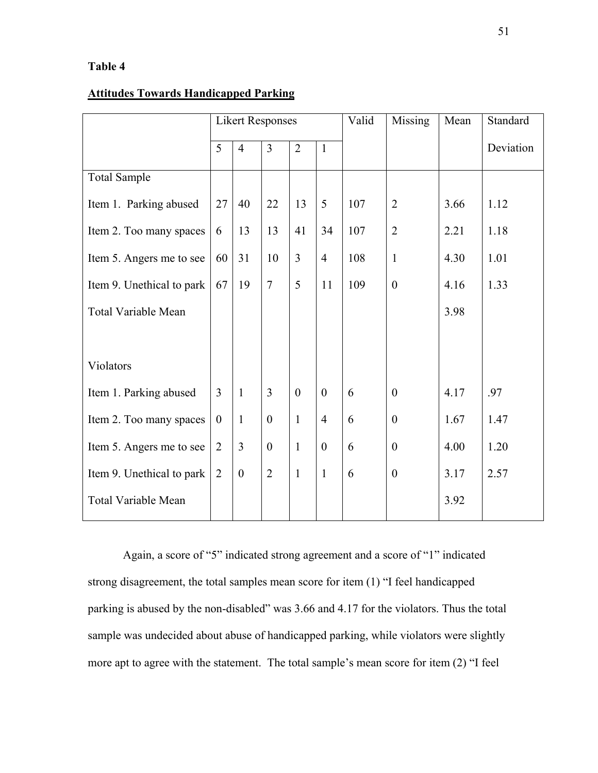# **Table 4**

# **Attitudes Towards Handicapped Parking**

|                            | <b>Likert Responses</b> |                  |                  |                |                  | Valid | Missing        | Mean | Standard  |
|----------------------------|-------------------------|------------------|------------------|----------------|------------------|-------|----------------|------|-----------|
|                            | 5                       | $\overline{4}$   | $\overline{3}$   | $\overline{2}$ | $\mathbf{1}$     |       |                |      | Deviation |
| <b>Total Sample</b>        |                         |                  |                  |                |                  |       |                |      |           |
| Item 1. Parking abused     | 27                      | 40               | 22               | 13             | 5                | 107   | $\overline{2}$ | 3.66 | 1.12      |
| Item 2. Too many spaces    | 6                       | 13               | 13               | 41             | 34               | 107   | $\overline{2}$ | 2.21 | 1.18      |
| Item 5. Angers me to see   | 60                      | 31               | 10               | $\overline{3}$ | $\overline{4}$   | 108   | $\mathbf{1}$   | 4.30 | 1.01      |
| Item 9. Unethical to park  | 67                      | 19               | $\overline{7}$   | 5              | 11               | 109   | $\theta$       | 4.16 | 1.33      |
| <b>Total Variable Mean</b> |                         |                  |                  |                |                  |       |                | 3.98 |           |
|                            |                         |                  |                  |                |                  |       |                |      |           |
| Violators                  |                         |                  |                  |                |                  |       |                |      |           |
| Item 1. Parking abused     | 3                       | $\mathbf{1}$     | $\overline{3}$   | $\theta$       | $\boldsymbol{0}$ | 6     | $\overline{0}$ | 4.17 | .97       |
| Item 2. Too many spaces    | $\boldsymbol{0}$        | $\mathbf{1}$     | $\boldsymbol{0}$ | $\mathbf{1}$   | $\overline{4}$   | 6     | $\overline{0}$ | 1.67 | 1.47      |
| Item 5. Angers me to see   | $\overline{2}$          | $\overline{3}$   | $\boldsymbol{0}$ | $\mathbf{1}$   | $\overline{0}$   | 6     | $\theta$       | 4.00 | 1.20      |
| Item 9. Unethical to park  | $\overline{2}$          | $\boldsymbol{0}$ | $\overline{2}$   | $\mathbf{1}$   | $\mathbf{1}$     | 6     | $\theta$       | 3.17 | 2.57      |
| <b>Total Variable Mean</b> |                         |                  |                  |                |                  |       |                | 3.92 |           |

Again, a score of "5" indicated strong agreement and a score of "1" indicated strong disagreement, the total samples mean score for item (1) "I feel handicapped parking is abused by the non-disabled" was 3.66 and 4.17 for the violators. Thus the total sample was undecided about abuse of handicapped parking, while violators were slightly more apt to agree with the statement. The total sample's mean score for item (2) "I feel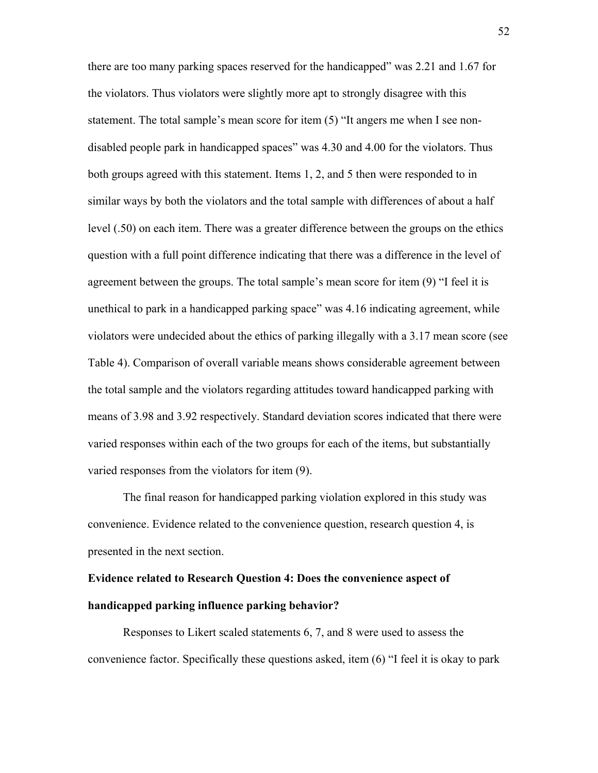there are too many parking spaces reserved for the handicapped" was 2.21 and 1.67 for the violators. Thus violators were slightly more apt to strongly disagree with this statement. The total sample's mean score for item (5) "It angers me when I see nondisabled people park in handicapped spaces" was 4.30 and 4.00 for the violators. Thus both groups agreed with this statement. Items 1, 2, and 5 then were responded to in similar ways by both the violators and the total sample with differences of about a half level (.50) on each item. There was a greater difference between the groups on the ethics question with a full point difference indicating that there was a difference in the level of agreement between the groups. The total sample's mean score for item (9) "I feel it is unethical to park in a handicapped parking space" was 4.16 indicating agreement, while violators were undecided about the ethics of parking illegally with a 3.17 mean score (see Table 4). Comparison of overall variable means shows considerable agreement between the total sample and the violators regarding attitudes toward handicapped parking with means of 3.98 and 3.92 respectively. Standard deviation scores indicated that there were varied responses within each of the two groups for each of the items, but substantially varied responses from the violators for item (9).

The final reason for handicapped parking violation explored in this study was convenience. Evidence related to the convenience question, research question 4, is presented in the next section.

# **Evidence related to Research Question 4: Does the convenience aspect of handicapped parking influence parking behavior?**

Responses to Likert scaled statements 6, 7, and 8 were used to assess the convenience factor. Specifically these questions asked, item (6) "I feel it is okay to park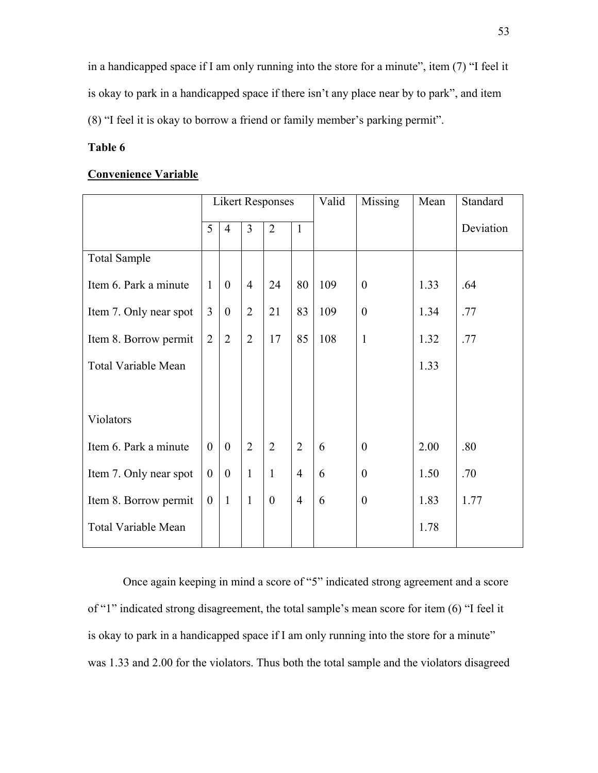in a handicapped space if I am only running into the store for a minute", item (7) "I feel it is okay to park in a handicapped space if there isn't any place near by to park", and item (8) "I feel it is okay to borrow a friend or family member's parking permit".

# **Table 6**

# **Convenience Variable**

|                            | <b>Likert Responses</b> |                |                |                  |                | Valid | Missing          | Mean | Standard  |
|----------------------------|-------------------------|----------------|----------------|------------------|----------------|-------|------------------|------|-----------|
|                            | 5                       | $\overline{4}$ | 3              | $\overline{2}$   | $\mathbf{1}$   |       |                  |      | Deviation |
| <b>Total Sample</b>        |                         |                |                |                  |                |       |                  |      |           |
| Item 6. Park a minute      | $\mathbf{1}$            | $\overline{0}$ | $\overline{4}$ | 24               | 80             | 109   | $\boldsymbol{0}$ | 1.33 | .64       |
| Item 7. Only near spot     | $\overline{3}$          | $\overline{0}$ | $\overline{2}$ | 21               | 83             | 109   | $\overline{0}$   | 1.34 | .77       |
| Item 8. Borrow permit      | $\overline{2}$          | $\overline{2}$ | $\overline{2}$ | 17               | 85             | 108   | $\mathbf{1}$     | 1.32 | .77       |
| <b>Total Variable Mean</b> |                         |                |                |                  |                |       |                  | 1.33 |           |
|                            |                         |                |                |                  |                |       |                  |      |           |
| Violators                  |                         |                |                |                  |                |       |                  |      |           |
| Item 6. Park a minute      | $\overline{0}$          | $\mathbf{0}$   | $\overline{2}$ | $\overline{2}$   | $\overline{2}$ | 6     | $\theta$         | 2.00 | .80       |
| Item 7. Only near spot     | $\overline{0}$          | $\overline{0}$ | $\mathbf{1}$   | $\mathbf{1}$     | $\overline{4}$ | 6     | $\boldsymbol{0}$ | 1.50 | .70       |
| Item 8. Borrow permit      | $\theta$                | $\mathbf{1}$   | $\mathbf{1}$   | $\boldsymbol{0}$ | $\overline{4}$ | 6     | $\overline{0}$   | 1.83 | 1.77      |
| <b>Total Variable Mean</b> |                         |                |                |                  |                |       |                  | 1.78 |           |

Once again keeping in mind a score of "5" indicated strong agreement and a score of "1" indicated strong disagreement, the total sample's mean score for item (6) "I feel it is okay to park in a handicapped space if I am only running into the store for a minute" was 1.33 and 2.00 for the violators. Thus both the total sample and the violators disagreed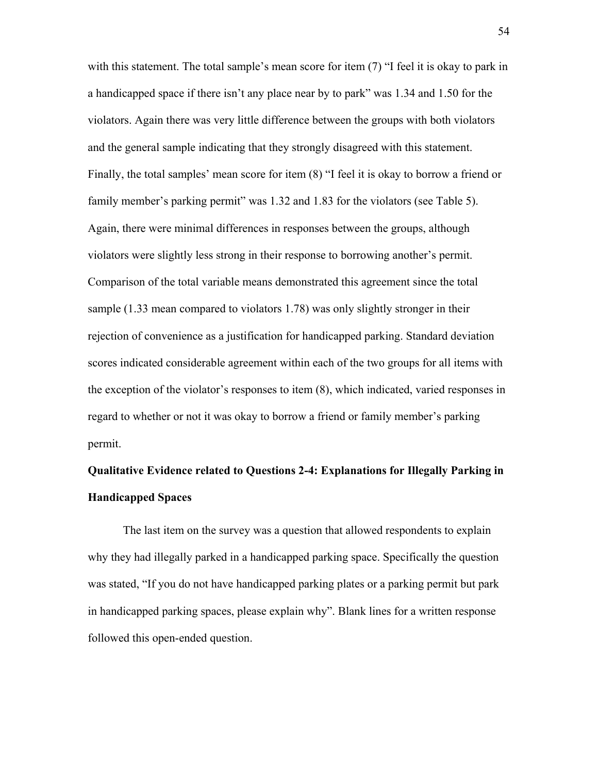with this statement. The total sample's mean score for item (7) "I feel it is okay to park in a handicapped space if there isn't any place near by to park" was 1.34 and 1.50 for the violators. Again there was very little difference between the groups with both violators and the general sample indicating that they strongly disagreed with this statement. Finally, the total samples' mean score for item (8) "I feel it is okay to borrow a friend or family member's parking permit" was 1.32 and 1.83 for the violators (see Table 5). Again, there were minimal differences in responses between the groups, although violators were slightly less strong in their response to borrowing another's permit. Comparison of the total variable means demonstrated this agreement since the total sample (1.33 mean compared to violators 1.78) was only slightly stronger in their rejection of convenience as a justification for handicapped parking. Standard deviation scores indicated considerable agreement within each of the two groups for all items with the exception of the violator's responses to item (8), which indicated, varied responses in regard to whether or not it was okay to borrow a friend or family member's parking permit.

# **Qualitative Evidence related to Questions 2-4: Explanations for Illegally Parking in Handicapped Spaces**

The last item on the survey was a question that allowed respondents to explain why they had illegally parked in a handicapped parking space. Specifically the question was stated, "If you do not have handicapped parking plates or a parking permit but park in handicapped parking spaces, please explain why". Blank lines for a written response followed this open-ended question.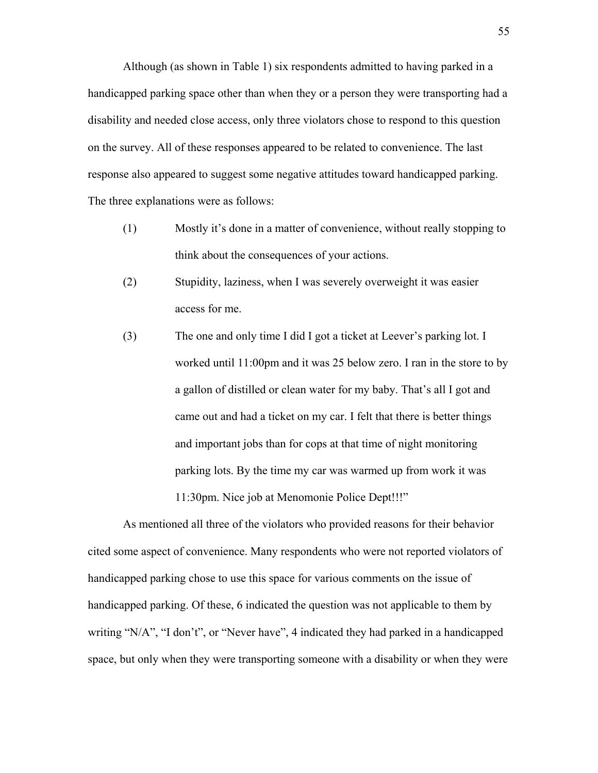Although (as shown in Table 1) six respondents admitted to having parked in a handicapped parking space other than when they or a person they were transporting had a disability and needed close access, only three violators chose to respond to this question on the survey. All of these responses appeared to be related to convenience. The last response also appeared to suggest some negative attitudes toward handicapped parking. The three explanations were as follows:

- (1) Mostly it's done in a matter of convenience, without really stopping to think about the consequences of your actions.
- (2) Stupidity, laziness, when I was severely overweight it was easier access for me.
- (3) The one and only time I did I got a ticket at Leever's parking lot. I worked until 11:00pm and it was 25 below zero. I ran in the store to by a gallon of distilled or clean water for my baby. That's all I got and came out and had a ticket on my car. I felt that there is better things and important jobs than for cops at that time of night monitoring parking lots. By the time my car was warmed up from work it was 11:30pm. Nice job at Menomonie Police Dept!!!"

As mentioned all three of the violators who provided reasons for their behavior cited some aspect of convenience. Many respondents who were not reported violators of handicapped parking chose to use this space for various comments on the issue of handicapped parking. Of these, 6 indicated the question was not applicable to them by writing "N/A", "I don't", or "Never have", 4 indicated they had parked in a handicapped space, but only when they were transporting someone with a disability or when they were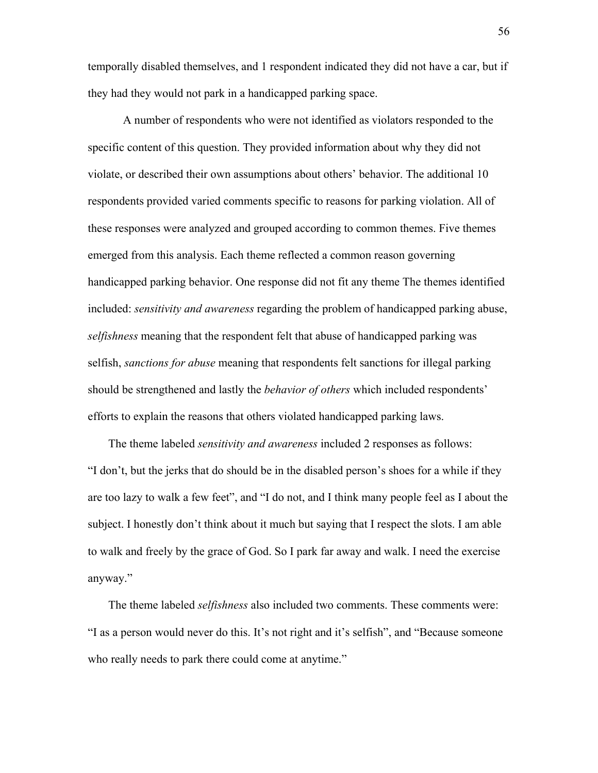temporally disabled themselves, and 1 respondent indicated they did not have a car, but if they had they would not park in a handicapped parking space.

A number of respondents who were not identified as violators responded to the specific content of this question. They provided information about why they did not violate, or described their own assumptions about others' behavior. The additional 10 respondents provided varied comments specific to reasons for parking violation. All of these responses were analyzed and grouped according to common themes. Five themes emerged from this analysis. Each theme reflected a common reason governing handicapped parking behavior. One response did not fit any theme The themes identified included: *sensitivity and awareness* regarding the problem of handicapped parking abuse, *selfishness* meaning that the respondent felt that abuse of handicapped parking was selfish, *sanctions for abuse* meaning that respondents felt sanctions for illegal parking should be strengthened and lastly the *behavior of others* which included respondents' efforts to explain the reasons that others violated handicapped parking laws.

The theme labeled *sensitivity and awareness* included 2 responses as follows: "I don't, but the jerks that do should be in the disabled person's shoes for a while if they are too lazy to walk a few feet", and "I do not, and I think many people feel as I about the subject. I honestly don't think about it much but saying that I respect the slots. I am able to walk and freely by the grace of God. So I park far away and walk. I need the exercise anyway."

The theme labeled *selfishness* also included two comments. These comments were: "I as a person would never do this. It's not right and it's selfish", and "Because someone who really needs to park there could come at anytime."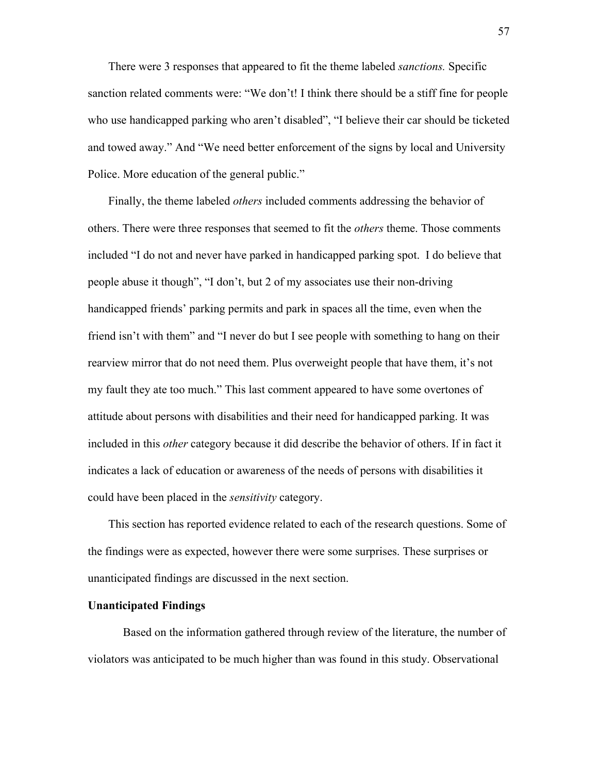There were 3 responses that appeared to fit the theme labeled *sanctions.* Specific sanction related comments were: "We don't! I think there should be a stiff fine for people who use handicapped parking who aren't disabled", "I believe their car should be ticketed and towed away." And "We need better enforcement of the signs by local and University Police. More education of the general public."

Finally, the theme labeled *others* included comments addressing the behavior of others. There were three responses that seemed to fit the *others* theme. Those comments included "I do not and never have parked in handicapped parking spot. I do believe that people abuse it though", "I don't, but 2 of my associates use their non-driving handicapped friends' parking permits and park in spaces all the time, even when the friend isn't with them" and "I never do but I see people with something to hang on their rearview mirror that do not need them. Plus overweight people that have them, it's not my fault they ate too much." This last comment appeared to have some overtones of attitude about persons with disabilities and their need for handicapped parking. It was included in this *other* category because it did describe the behavior of others. If in fact it indicates a lack of education or awareness of the needs of persons with disabilities it could have been placed in the *sensitivity* category.

This section has reported evidence related to each of the research questions. Some of the findings were as expected, however there were some surprises. These surprises or unanticipated findings are discussed in the next section.

### **Unanticipated Findings**

Based on the information gathered through review of the literature, the number of violators was anticipated to be much higher than was found in this study. Observational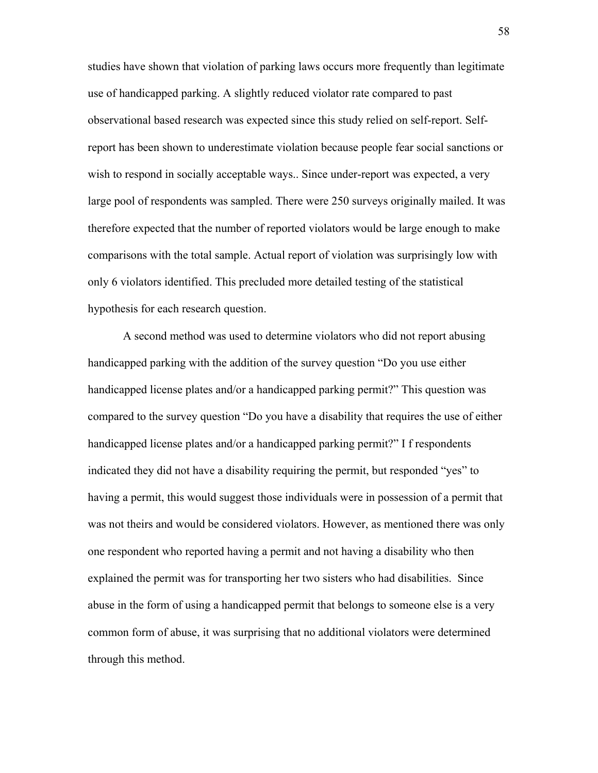studies have shown that violation of parking laws occurs more frequently than legitimate use of handicapped parking. A slightly reduced violator rate compared to past observational based research was expected since this study relied on self-report. Selfreport has been shown to underestimate violation because people fear social sanctions or wish to respond in socially acceptable ways.. Since under-report was expected, a very large pool of respondents was sampled. There were 250 surveys originally mailed. It was therefore expected that the number of reported violators would be large enough to make comparisons with the total sample. Actual report of violation was surprisingly low with only 6 violators identified. This precluded more detailed testing of the statistical hypothesis for each research question.

A second method was used to determine violators who did not report abusing handicapped parking with the addition of the survey question "Do you use either handicapped license plates and/or a handicapped parking permit?" This question was compared to the survey question "Do you have a disability that requires the use of either handicapped license plates and/or a handicapped parking permit?" I f respondents indicated they did not have a disability requiring the permit, but responded "yes" to having a permit, this would suggest those individuals were in possession of a permit that was not theirs and would be considered violators. However, as mentioned there was only one respondent who reported having a permit and not having a disability who then explained the permit was for transporting her two sisters who had disabilities. Since abuse in the form of using a handicapped permit that belongs to someone else is a very common form of abuse, it was surprising that no additional violators were determined through this method.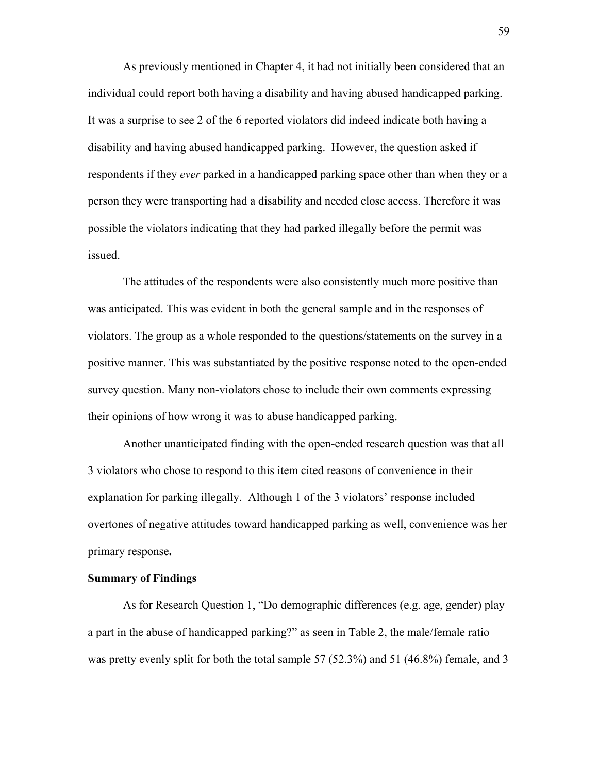As previously mentioned in Chapter 4, it had not initially been considered that an individual could report both having a disability and having abused handicapped parking. It was a surprise to see 2 of the 6 reported violators did indeed indicate both having a disability and having abused handicapped parking. However, the question asked if respondents if they *ever* parked in a handicapped parking space other than when they or a person they were transporting had a disability and needed close access. Therefore it was possible the violators indicating that they had parked illegally before the permit was issued.

The attitudes of the respondents were also consistently much more positive than was anticipated. This was evident in both the general sample and in the responses of violators. The group as a whole responded to the questions/statements on the survey in a positive manner. This was substantiated by the positive response noted to the open-ended survey question. Many non-violators chose to include their own comments expressing their opinions of how wrong it was to abuse handicapped parking.

Another unanticipated finding with the open-ended research question was that all 3 violators who chose to respond to this item cited reasons of convenience in their explanation for parking illegally. Although 1 of the 3 violators' response included overtones of negative attitudes toward handicapped parking as well, convenience was her primary response**.**

### **Summary of Findings**

As for Research Question 1, "Do demographic differences (e.g. age, gender) play a part in the abuse of handicapped parking?" as seen in Table 2, the male/female ratio was pretty evenly split for both the total sample 57 (52.3%) and 51 (46.8%) female, and 3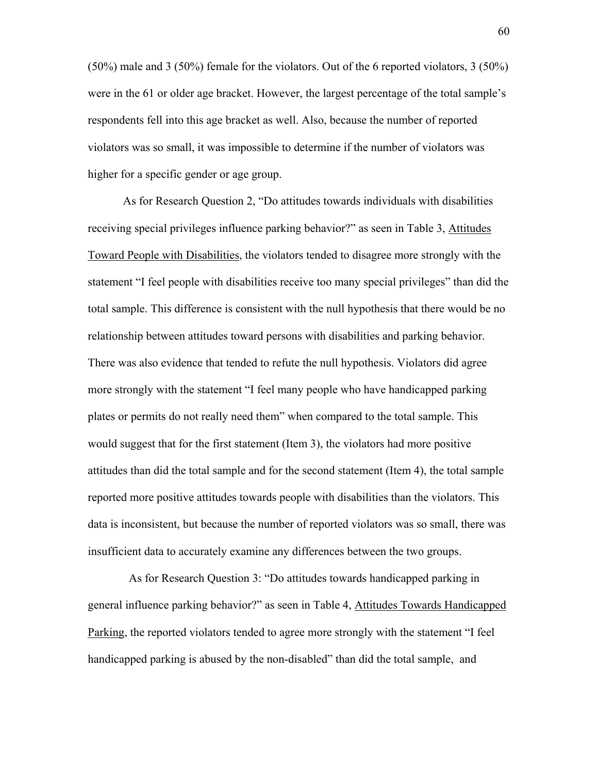(50%) male and 3 (50%) female for the violators. Out of the 6 reported violators, 3 (50%) were in the 61 or older age bracket. However, the largest percentage of the total sample's respondents fell into this age bracket as well. Also, because the number of reported violators was so small, it was impossible to determine if the number of violators was higher for a specific gender or age group.

As for Research Question 2, "Do attitudes towards individuals with disabilities receiving special privileges influence parking behavior?" as seen in Table 3, Attitudes Toward People with Disabilities, the violators tended to disagree more strongly with the statement "I feel people with disabilities receive too many special privileges" than did the total sample. This difference is consistent with the null hypothesis that there would be no relationship between attitudes toward persons with disabilities and parking behavior. There was also evidence that tended to refute the null hypothesis. Violators did agree more strongly with the statement "I feel many people who have handicapped parking plates or permits do not really need them" when compared to the total sample. This would suggest that for the first statement (Item 3), the violators had more positive attitudes than did the total sample and for the second statement (Item 4), the total sample reported more positive attitudes towards people with disabilities than the violators. This data is inconsistent, but because the number of reported violators was so small, there was insufficient data to accurately examine any differences between the two groups.

 As for Research Question 3: "Do attitudes towards handicapped parking in general influence parking behavior?" as seen in Table 4, Attitudes Towards Handicapped Parking, the reported violators tended to agree more strongly with the statement "I feel handicapped parking is abused by the non-disabled" than did the total sample, and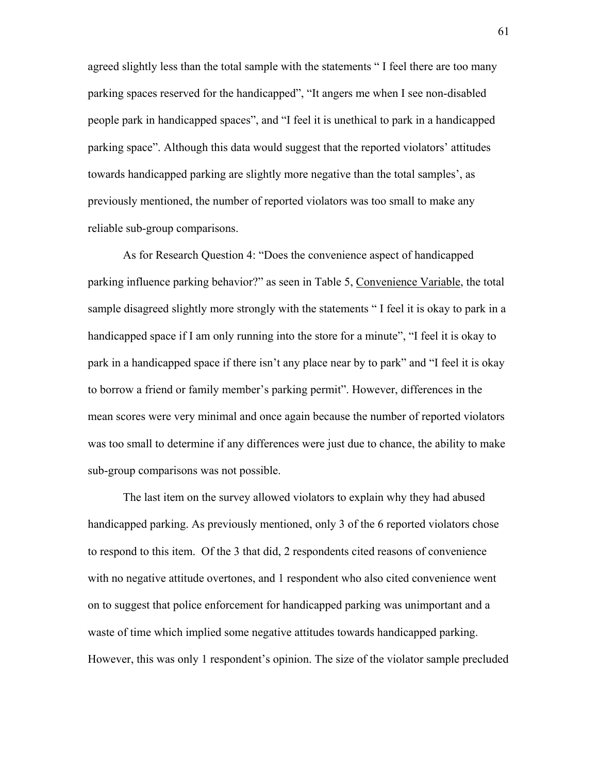agreed slightly less than the total sample with the statements " I feel there are too many parking spaces reserved for the handicapped", "It angers me when I see non-disabled people park in handicapped spaces", and "I feel it is unethical to park in a handicapped parking space". Although this data would suggest that the reported violators' attitudes towards handicapped parking are slightly more negative than the total samples', as previously mentioned, the number of reported violators was too small to make any reliable sub-group comparisons.

As for Research Question 4: "Does the convenience aspect of handicapped parking influence parking behavior?" as seen in Table 5, Convenience Variable, the total sample disagreed slightly more strongly with the statements " I feel it is okay to park in a handicapped space if I am only running into the store for a minute", "I feel it is okay to park in a handicapped space if there isn't any place near by to park" and "I feel it is okay to borrow a friend or family member's parking permit". However, differences in the mean scores were very minimal and once again because the number of reported violators was too small to determine if any differences were just due to chance, the ability to make sub-group comparisons was not possible.

The last item on the survey allowed violators to explain why they had abused handicapped parking. As previously mentioned, only 3 of the 6 reported violators chose to respond to this item. Of the 3 that did, 2 respondents cited reasons of convenience with no negative attitude overtones, and 1 respondent who also cited convenience went on to suggest that police enforcement for handicapped parking was unimportant and a waste of time which implied some negative attitudes towards handicapped parking. However, this was only 1 respondent's opinion. The size of the violator sample precluded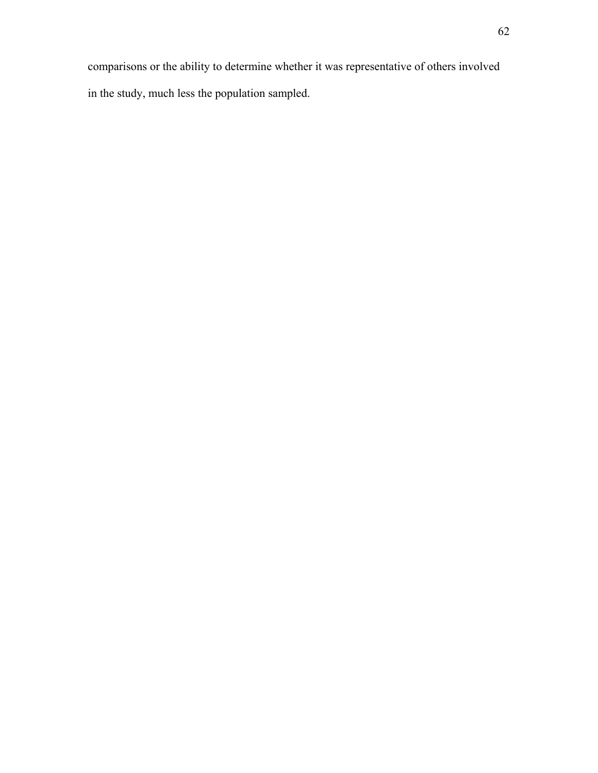comparisons or the ability to determine whether it was representative of others involved in the study, much less the population sampled.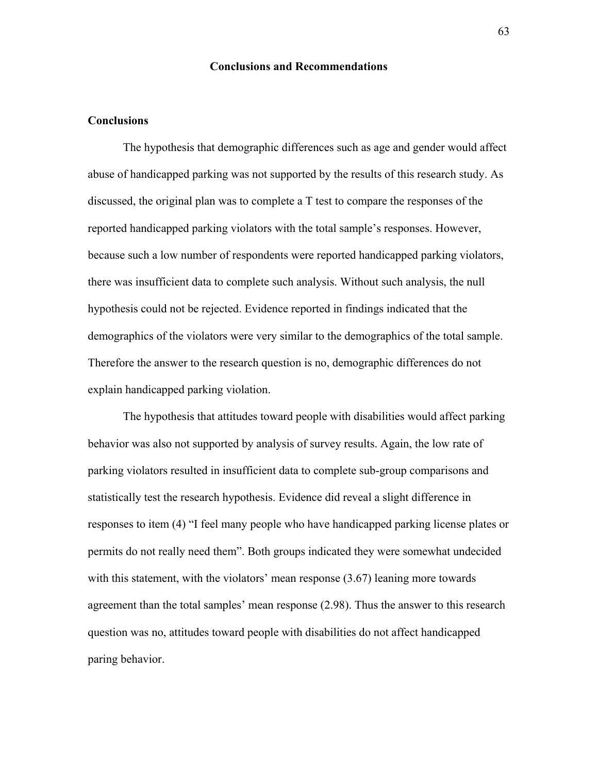### **Conclusions and Recommendations**

### **Conclusions**

The hypothesis that demographic differences such as age and gender would affect abuse of handicapped parking was not supported by the results of this research study. As discussed, the original plan was to complete a T test to compare the responses of the reported handicapped parking violators with the total sample's responses. However, because such a low number of respondents were reported handicapped parking violators, there was insufficient data to complete such analysis. Without such analysis, the null hypothesis could not be rejected. Evidence reported in findings indicated that the demographics of the violators were very similar to the demographics of the total sample. Therefore the answer to the research question is no, demographic differences do not explain handicapped parking violation.

The hypothesis that attitudes toward people with disabilities would affect parking behavior was also not supported by analysis of survey results. Again, the low rate of parking violators resulted in insufficient data to complete sub-group comparisons and statistically test the research hypothesis. Evidence did reveal a slight difference in responses to item (4) "I feel many people who have handicapped parking license plates or permits do not really need them". Both groups indicated they were somewhat undecided with this statement, with the violators' mean response  $(3.67)$  leaning more towards agreement than the total samples' mean response (2.98). Thus the answer to this research question was no, attitudes toward people with disabilities do not affect handicapped paring behavior.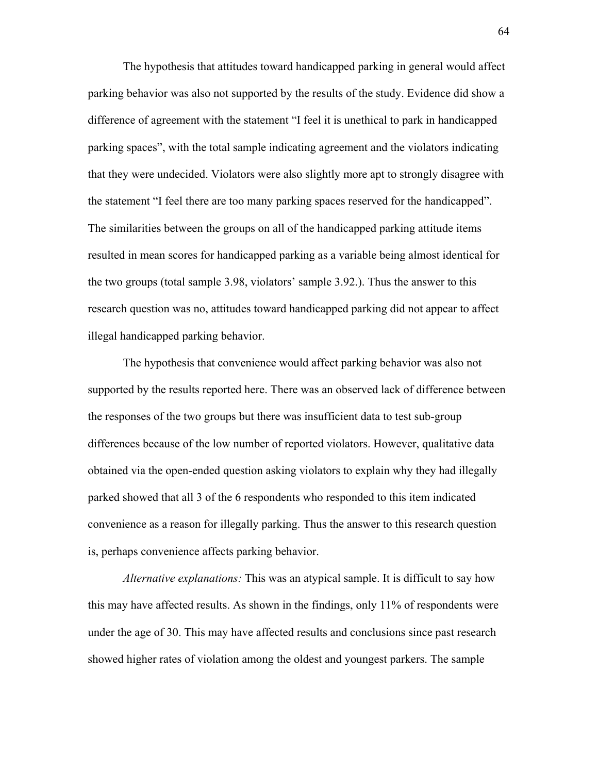The hypothesis that attitudes toward handicapped parking in general would affect parking behavior was also not supported by the results of the study. Evidence did show a difference of agreement with the statement "I feel it is unethical to park in handicapped parking spaces", with the total sample indicating agreement and the violators indicating that they were undecided. Violators were also slightly more apt to strongly disagree with the statement "I feel there are too many parking spaces reserved for the handicapped". The similarities between the groups on all of the handicapped parking attitude items resulted in mean scores for handicapped parking as a variable being almost identical for the two groups (total sample 3.98, violators' sample 3.92.). Thus the answer to this research question was no, attitudes toward handicapped parking did not appear to affect illegal handicapped parking behavior.

The hypothesis that convenience would affect parking behavior was also not supported by the results reported here. There was an observed lack of difference between the responses of the two groups but there was insufficient data to test sub-group differences because of the low number of reported violators. However, qualitative data obtained via the open-ended question asking violators to explain why they had illegally parked showed that all 3 of the 6 respondents who responded to this item indicated convenience as a reason for illegally parking. Thus the answer to this research question is, perhaps convenience affects parking behavior.

*Alternative explanations:* This was an atypical sample. It is difficult to say how this may have affected results. As shown in the findings, only 11% of respondents were under the age of 30. This may have affected results and conclusions since past research showed higher rates of violation among the oldest and youngest parkers. The sample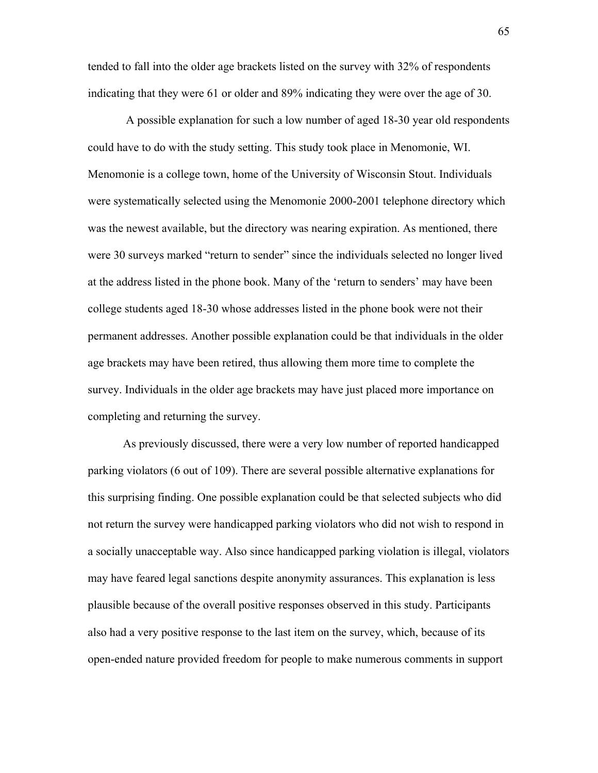tended to fall into the older age brackets listed on the survey with 32% of respondents indicating that they were 61 or older and 89% indicating they were over the age of 30.

 A possible explanation for such a low number of aged 18-30 year old respondents could have to do with the study setting. This study took place in Menomonie, WI. Menomonie is a college town, home of the University of Wisconsin Stout. Individuals were systematically selected using the Menomonie 2000-2001 telephone directory which was the newest available, but the directory was nearing expiration. As mentioned, there were 30 surveys marked "return to sender" since the individuals selected no longer lived at the address listed in the phone book. Many of the 'return to senders' may have been college students aged 18-30 whose addresses listed in the phone book were not their permanent addresses. Another possible explanation could be that individuals in the older age brackets may have been retired, thus allowing them more time to complete the survey. Individuals in the older age brackets may have just placed more importance on completing and returning the survey.

As previously discussed, there were a very low number of reported handicapped parking violators (6 out of 109). There are several possible alternative explanations for this surprising finding. One possible explanation could be that selected subjects who did not return the survey were handicapped parking violators who did not wish to respond in a socially unacceptable way. Also since handicapped parking violation is illegal, violators may have feared legal sanctions despite anonymity assurances. This explanation is less plausible because of the overall positive responses observed in this study. Participants also had a very positive response to the last item on the survey, which, because of its open-ended nature provided freedom for people to make numerous comments in support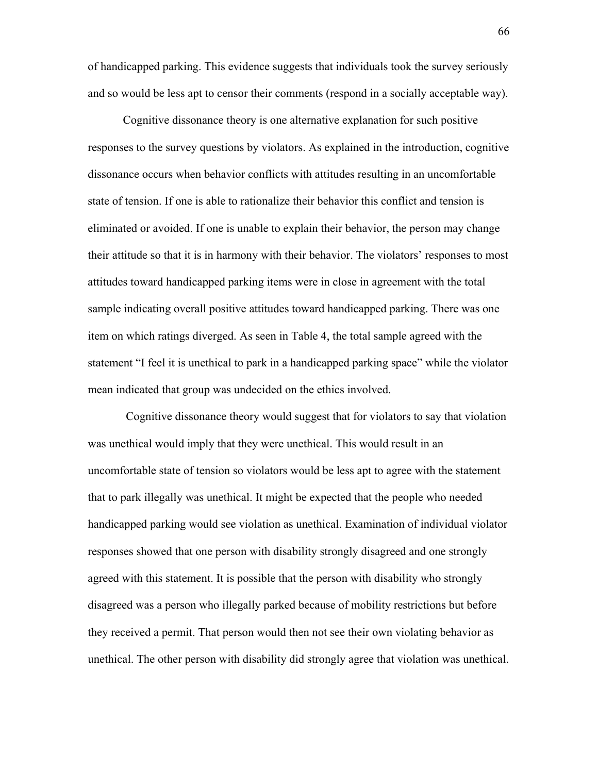of handicapped parking. This evidence suggests that individuals took the survey seriously and so would be less apt to censor their comments (respond in a socially acceptable way).

Cognitive dissonance theory is one alternative explanation for such positive responses to the survey questions by violators. As explained in the introduction, cognitive dissonance occurs when behavior conflicts with attitudes resulting in an uncomfortable state of tension. If one is able to rationalize their behavior this conflict and tension is eliminated or avoided. If one is unable to explain their behavior, the person may change their attitude so that it is in harmony with their behavior. The violators' responses to most attitudes toward handicapped parking items were in close in agreement with the total sample indicating overall positive attitudes toward handicapped parking. There was one item on which ratings diverged. As seen in Table 4, the total sample agreed with the statement "I feel it is unethical to park in a handicapped parking space" while the violator mean indicated that group was undecided on the ethics involved.

 Cognitive dissonance theory would suggest that for violators to say that violation was unethical would imply that they were unethical. This would result in an uncomfortable state of tension so violators would be less apt to agree with the statement that to park illegally was unethical. It might be expected that the people who needed handicapped parking would see violation as unethical. Examination of individual violator responses showed that one person with disability strongly disagreed and one strongly agreed with this statement. It is possible that the person with disability who strongly disagreed was a person who illegally parked because of mobility restrictions but before they received a permit. That person would then not see their own violating behavior as unethical. The other person with disability did strongly agree that violation was unethical.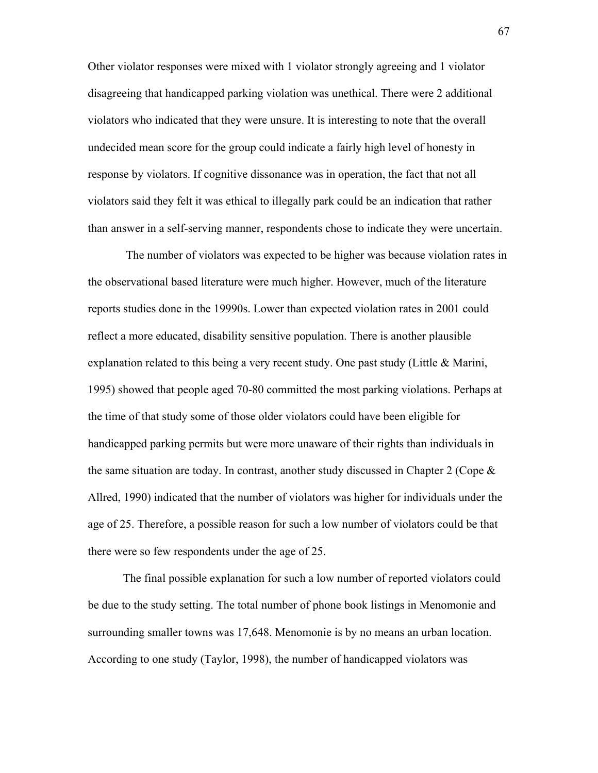Other violator responses were mixed with 1 violator strongly agreeing and 1 violator disagreeing that handicapped parking violation was unethical. There were 2 additional violators who indicated that they were unsure. It is interesting to note that the overall undecided mean score for the group could indicate a fairly high level of honesty in response by violators. If cognitive dissonance was in operation, the fact that not all violators said they felt it was ethical to illegally park could be an indication that rather than answer in a self-serving manner, respondents chose to indicate they were uncertain.

 The number of violators was expected to be higher was because violation rates in the observational based literature were much higher. However, much of the literature reports studies done in the 19990s. Lower than expected violation rates in 2001 could reflect a more educated, disability sensitive population. There is another plausible explanation related to this being a very recent study. One past study (Little  $\&$  Marini, 1995) showed that people aged 70-80 committed the most parking violations. Perhaps at the time of that study some of those older violators could have been eligible for handicapped parking permits but were more unaware of their rights than individuals in the same situation are today. In contrast, another study discussed in Chapter 2 (Cope  $\&$ Allred, 1990) indicated that the number of violators was higher for individuals under the age of 25. Therefore, a possible reason for such a low number of violators could be that there were so few respondents under the age of 25.

The final possible explanation for such a low number of reported violators could be due to the study setting. The total number of phone book listings in Menomonie and surrounding smaller towns was 17,648. Menomonie is by no means an urban location. According to one study (Taylor, 1998), the number of handicapped violators was

67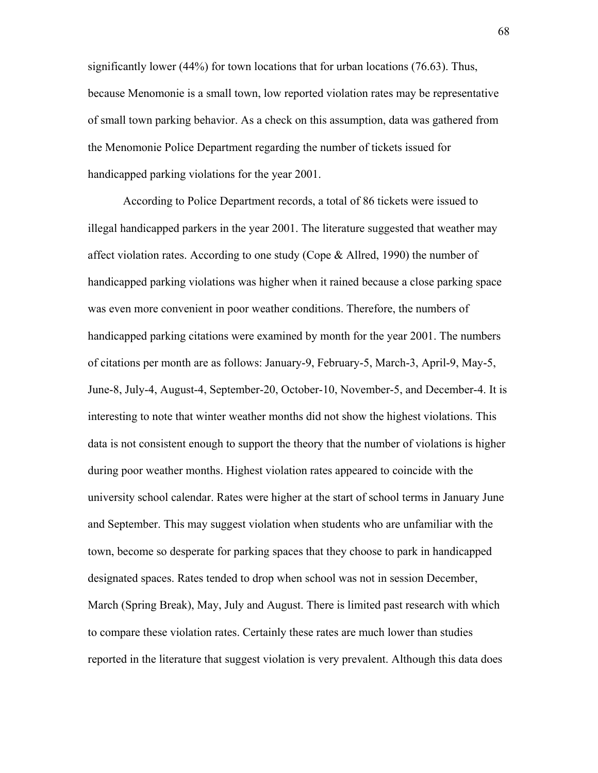significantly lower (44%) for town locations that for urban locations (76.63). Thus, because Menomonie is a small town, low reported violation rates may be representative of small town parking behavior. As a check on this assumption, data was gathered from the Menomonie Police Department regarding the number of tickets issued for handicapped parking violations for the year 2001.

According to Police Department records, a total of 86 tickets were issued to illegal handicapped parkers in the year 2001. The literature suggested that weather may affect violation rates. According to one study (Cope  $\&$  Allred, 1990) the number of handicapped parking violations was higher when it rained because a close parking space was even more convenient in poor weather conditions. Therefore, the numbers of handicapped parking citations were examined by month for the year 2001. The numbers of citations per month are as follows: January-9, February-5, March-3, April-9, May-5, June-8, July-4, August-4, September-20, October-10, November-5, and December-4. It is interesting to note that winter weather months did not show the highest violations. This data is not consistent enough to support the theory that the number of violations is higher during poor weather months. Highest violation rates appeared to coincide with the university school calendar. Rates were higher at the start of school terms in January June and September. This may suggest violation when students who are unfamiliar with the town, become so desperate for parking spaces that they choose to park in handicapped designated spaces. Rates tended to drop when school was not in session December, March (Spring Break), May, July and August. There is limited past research with which to compare these violation rates. Certainly these rates are much lower than studies reported in the literature that suggest violation is very prevalent. Although this data does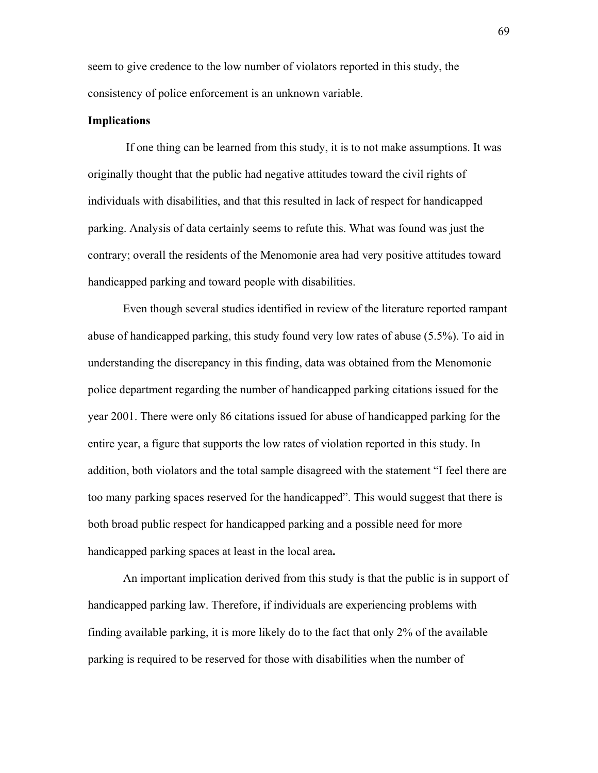seem to give credence to the low number of violators reported in this study, the consistency of police enforcement is an unknown variable.

#### **Implications**

If one thing can be learned from this study, it is to not make assumptions. It was originally thought that the public had negative attitudes toward the civil rights of individuals with disabilities, and that this resulted in lack of respect for handicapped parking. Analysis of data certainly seems to refute this. What was found was just the contrary; overall the residents of the Menomonie area had very positive attitudes toward handicapped parking and toward people with disabilities.

Even though several studies identified in review of the literature reported rampant abuse of handicapped parking, this study found very low rates of abuse (5.5%). To aid in understanding the discrepancy in this finding, data was obtained from the Menomonie police department regarding the number of handicapped parking citations issued for the year 2001. There were only 86 citations issued for abuse of handicapped parking for the entire year, a figure that supports the low rates of violation reported in this study. In addition, both violators and the total sample disagreed with the statement "I feel there are too many parking spaces reserved for the handicapped". This would suggest that there is both broad public respect for handicapped parking and a possible need for more handicapped parking spaces at least in the local area**.** 

An important implication derived from this study is that the public is in support of handicapped parking law. Therefore, if individuals are experiencing problems with finding available parking, it is more likely do to the fact that only 2% of the available parking is required to be reserved for those with disabilities when the number of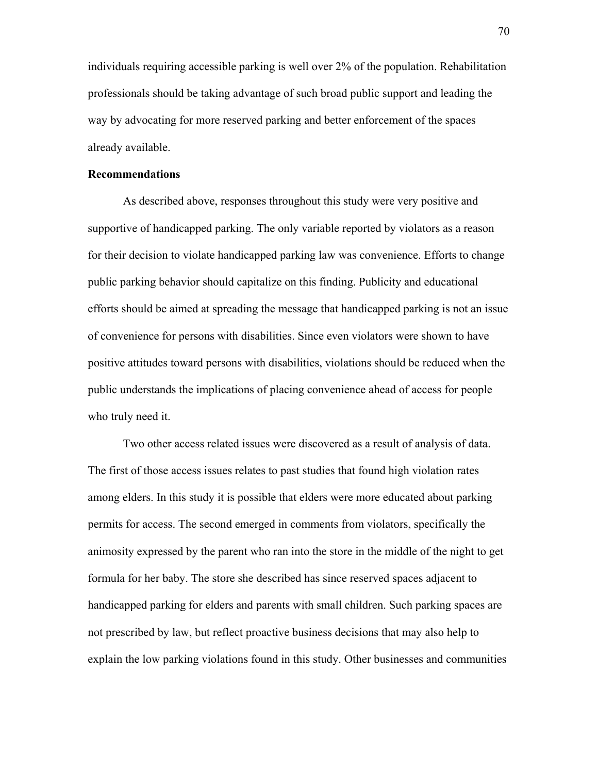individuals requiring accessible parking is well over 2% of the population. Rehabilitation professionals should be taking advantage of such broad public support and leading the way by advocating for more reserved parking and better enforcement of the spaces already available.

#### **Recommendations**

As described above, responses throughout this study were very positive and supportive of handicapped parking. The only variable reported by violators as a reason for their decision to violate handicapped parking law was convenience. Efforts to change public parking behavior should capitalize on this finding. Publicity and educational efforts should be aimed at spreading the message that handicapped parking is not an issue of convenience for persons with disabilities. Since even violators were shown to have positive attitudes toward persons with disabilities, violations should be reduced when the public understands the implications of placing convenience ahead of access for people who truly need it.

Two other access related issues were discovered as a result of analysis of data. The first of those access issues relates to past studies that found high violation rates among elders. In this study it is possible that elders were more educated about parking permits for access. The second emerged in comments from violators, specifically the animosity expressed by the parent who ran into the store in the middle of the night to get formula for her baby. The store she described has since reserved spaces adjacent to handicapped parking for elders and parents with small children. Such parking spaces are not prescribed by law, but reflect proactive business decisions that may also help to explain the low parking violations found in this study. Other businesses and communities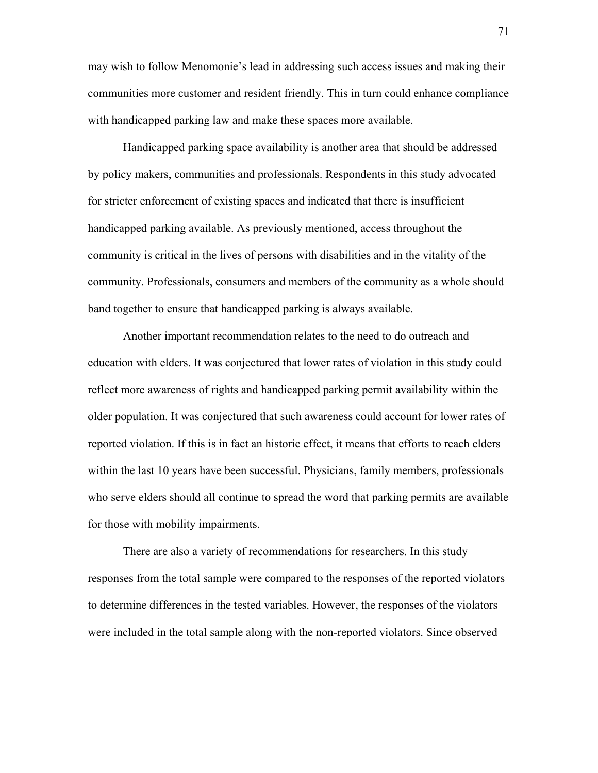may wish to follow Menomonie's lead in addressing such access issues and making their communities more customer and resident friendly. This in turn could enhance compliance with handicapped parking law and make these spaces more available.

Handicapped parking space availability is another area that should be addressed by policy makers, communities and professionals. Respondents in this study advocated for stricter enforcement of existing spaces and indicated that there is insufficient handicapped parking available. As previously mentioned, access throughout the community is critical in the lives of persons with disabilities and in the vitality of the community. Professionals, consumers and members of the community as a whole should band together to ensure that handicapped parking is always available.

Another important recommendation relates to the need to do outreach and education with elders. It was conjectured that lower rates of violation in this study could reflect more awareness of rights and handicapped parking permit availability within the older population. It was conjectured that such awareness could account for lower rates of reported violation. If this is in fact an historic effect, it means that efforts to reach elders within the last 10 years have been successful. Physicians, family members, professionals who serve elders should all continue to spread the word that parking permits are available for those with mobility impairments.

There are also a variety of recommendations for researchers. In this study responses from the total sample were compared to the responses of the reported violators to determine differences in the tested variables. However, the responses of the violators were included in the total sample along with the non-reported violators. Since observed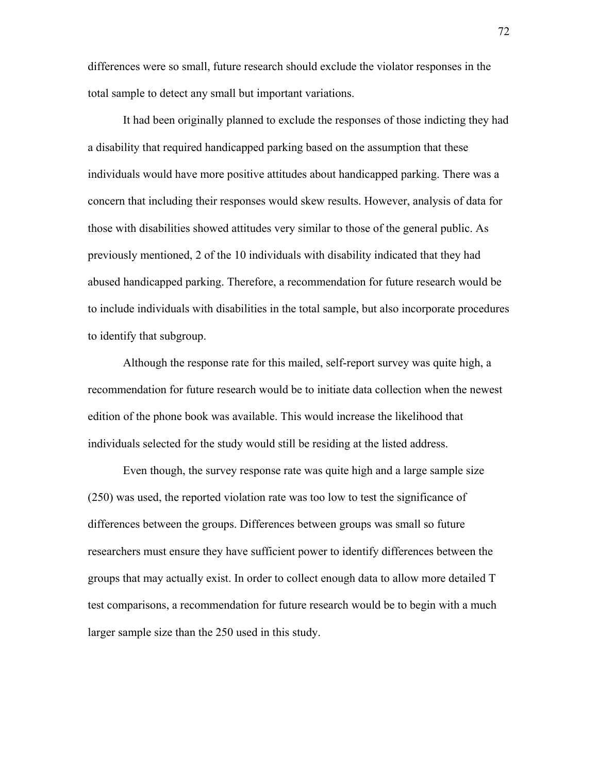differences were so small, future research should exclude the violator responses in the total sample to detect any small but important variations.

It had been originally planned to exclude the responses of those indicting they had a disability that required handicapped parking based on the assumption that these individuals would have more positive attitudes about handicapped parking. There was a concern that including their responses would skew results. However, analysis of data for those with disabilities showed attitudes very similar to those of the general public. As previously mentioned, 2 of the 10 individuals with disability indicated that they had abused handicapped parking. Therefore, a recommendation for future research would be to include individuals with disabilities in the total sample, but also incorporate procedures to identify that subgroup.

Although the response rate for this mailed, self-report survey was quite high, a recommendation for future research would be to initiate data collection when the newest edition of the phone book was available. This would increase the likelihood that individuals selected for the study would still be residing at the listed address.

Even though, the survey response rate was quite high and a large sample size (250) was used, the reported violation rate was too low to test the significance of differences between the groups. Differences between groups was small so future researchers must ensure they have sufficient power to identify differences between the groups that may actually exist. In order to collect enough data to allow more detailed T test comparisons, a recommendation for future research would be to begin with a much larger sample size than the 250 used in this study.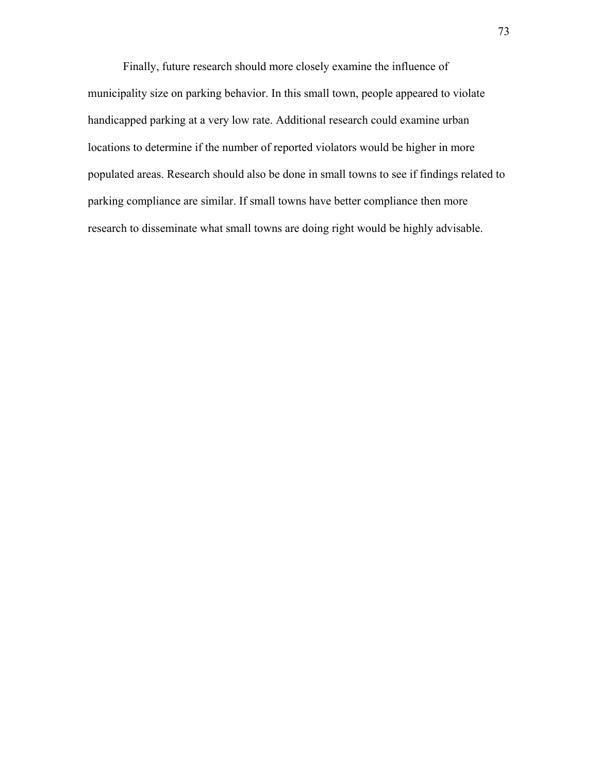Finally, future research should more closely examine the influence of municipality size on parking behavior. In this small town, people appeared to violate handicapped parking at a very low rate. Additional research could examine urban locations to determine if the number of reported violators would be higher in more populated areas. Research should also be done in small towns to see if findings related to parking compliance are similar. If small towns have better compliance then more research to disseminate what small towns are doing right would be highly advisable.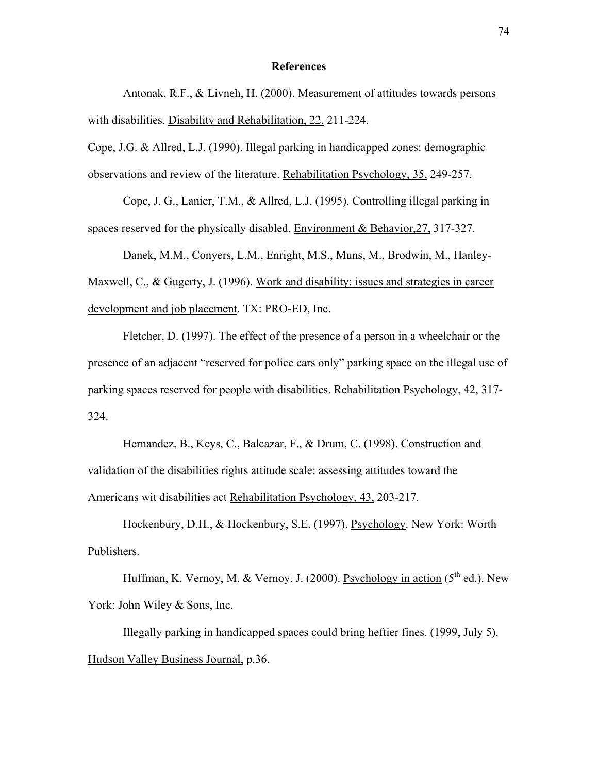#### **References**

Antonak, R.F., & Livneh, H. (2000). Measurement of attitudes towards persons with disabilities. Disability and Rehabilitation, 22, 211-224.

Cope, J.G. & Allred, L.J. (1990). Illegal parking in handicapped zones: demographic observations and review of the literature. Rehabilitation Psychology, 35, 249-257.

Cope, J. G., Lanier, T.M., & Allred, L.J. (1995). Controlling illegal parking in spaces reserved for the physically disabled. Environment & Behavior,27, 317-327.

Danek, M.M., Conyers, L.M., Enright, M.S., Muns, M., Brodwin, M., Hanley-Maxwell, C., & Gugerty, J. (1996). Work and disability: issues and strategies in career development and job placement. TX: PRO-ED, Inc.

Fletcher, D. (1997). The effect of the presence of a person in a wheelchair or the presence of an adjacent "reserved for police cars only" parking space on the illegal use of parking spaces reserved for people with disabilities. Rehabilitation Psychology, 42, 317- 324.

Hernandez, B., Keys, C., Balcazar, F., & Drum, C. (1998). Construction and validation of the disabilities rights attitude scale: assessing attitudes toward the Americans wit disabilities act Rehabilitation Psychology, 43, 203-217.

Hockenbury, D.H., & Hockenbury, S.E. (1997). Psychology. New York: Worth Publishers.

Huffman, K. Vernoy, M. & Vernoy, J. (2000). Psychology in action ( $5<sup>th</sup>$  ed.). New York: John Wiley & Sons, Inc.

Illegally parking in handicapped spaces could bring heftier fines. (1999, July 5). Hudson Valley Business Journal, p.36.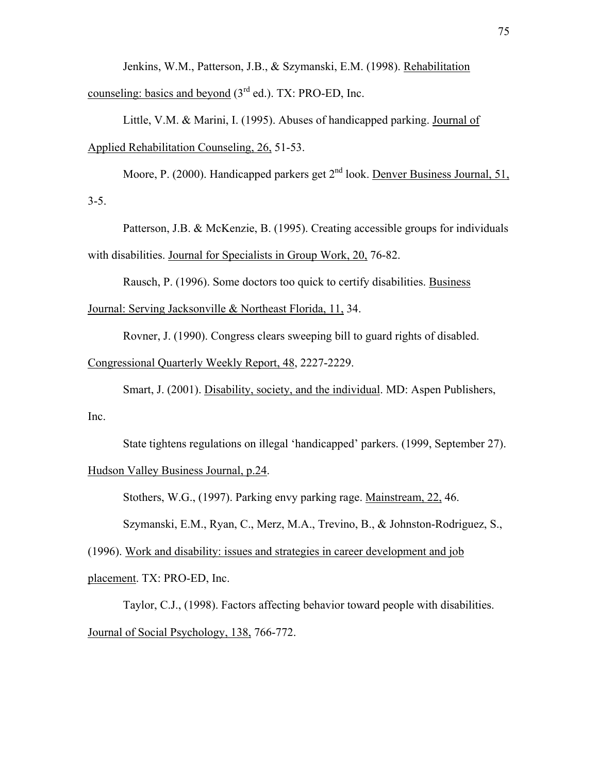Jenkins, W.M., Patterson, J.B., & Szymanski, E.M. (1998). Rehabilitation counseling: basics and beyond  $(3<sup>rd</sup>$  ed.). TX: PRO-ED, Inc.

Little, V.M. & Marini, I. (1995). Abuses of handicapped parking. Journal of Applied Rehabilitation Counseling, 26, 51-53.

Moore, P. (2000). Handicapped parkers get  $2<sup>nd</sup>$  look. Denver Business Journal, 51,  $3 - 5.$ 

Patterson, J.B. & McKenzie, B. (1995). Creating accessible groups for individuals with disabilities. Journal for Specialists in Group Work, 20, 76-82.

Rausch, P. (1996). Some doctors too quick to certify disabilities. Business

Journal: Serving Jacksonville & Northeast Florida, 11, 34.

Rovner, J. (1990). Congress clears sweeping bill to guard rights of disabled.

Congressional Quarterly Weekly Report, 48, 2227-2229.

Smart, J. (2001). Disability, society, and the individual. MD: Aspen Publishers,

Inc.

State tightens regulations on illegal 'handicapped' parkers. (1999, September 27).

Hudson Valley Business Journal, p.24.

Stothers, W.G., (1997). Parking envy parking rage. Mainstream, 22, 46.

Szymanski, E.M., Ryan, C., Merz, M.A., Trevino, B., & Johnston-Rodriguez, S.,

(1996). Work and disability: issues and strategies in career development and job placement. TX: PRO-ED, Inc.

Taylor, C.J., (1998). Factors affecting behavior toward people with disabilities. Journal of Social Psychology, 138, 766-772.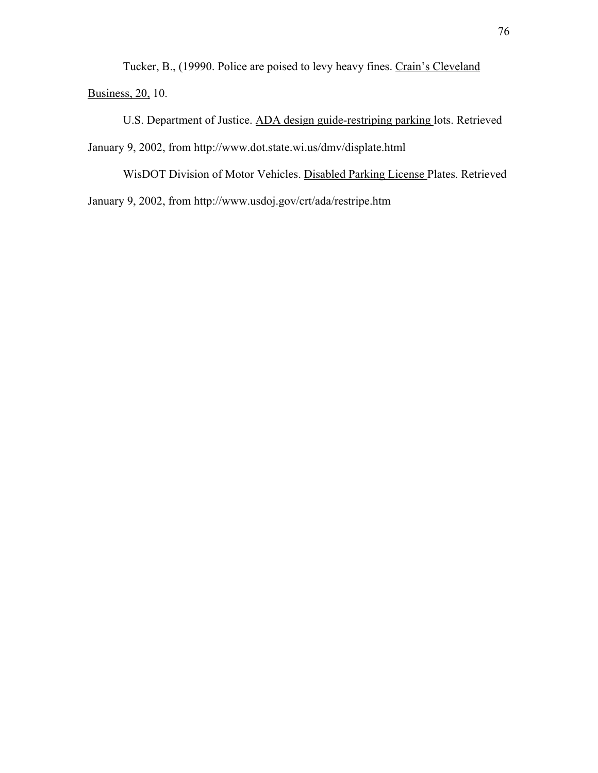Tucker, B., (19990. Police are poised to levy heavy fines. Crain's Cleveland **Business**, 20, 10.

U.S. Department of Justice. ADA design guide-restriping parking lots. Retrieved January 9, 2002, from http://www.dot.state.wi.us/dmv/displate.html

WisDOT Division of Motor Vehicles. Disabled Parking License Plates. Retrieved January 9, 2002, from http://www.usdoj.gov/crt/ada/restripe.htm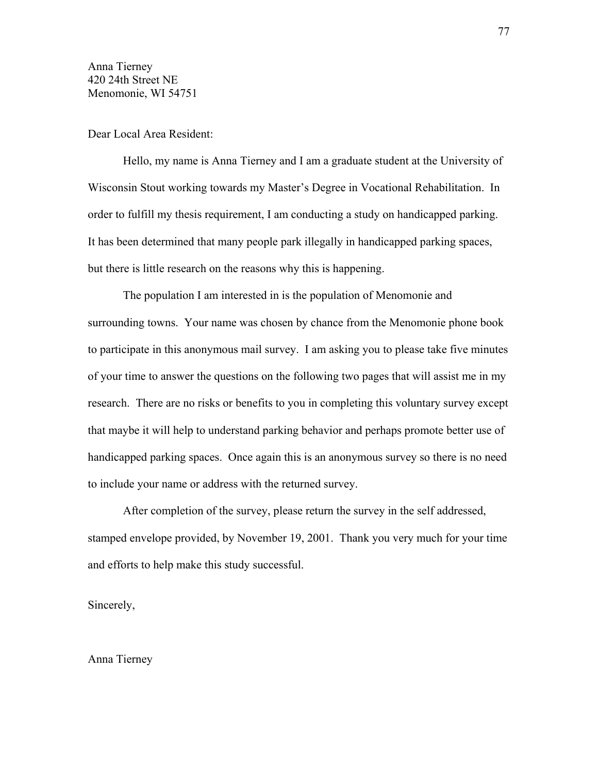Anna Tierney 420 24th Street NE Menomonie, WI 54751

Dear Local Area Resident:

Hello, my name is Anna Tierney and I am a graduate student at the University of Wisconsin Stout working towards my Master's Degree in Vocational Rehabilitation. In order to fulfill my thesis requirement, I am conducting a study on handicapped parking. It has been determined that many people park illegally in handicapped parking spaces, but there is little research on the reasons why this is happening.

The population I am interested in is the population of Menomonie and surrounding towns. Your name was chosen by chance from the Menomonie phone book to participate in this anonymous mail survey. I am asking you to please take five minutes of your time to answer the questions on the following two pages that will assist me in my research. There are no risks or benefits to you in completing this voluntary survey except that maybe it will help to understand parking behavior and perhaps promote better use of handicapped parking spaces. Once again this is an anonymous survey so there is no need to include your name or address with the returned survey.

After completion of the survey, please return the survey in the self addressed, stamped envelope provided, by November 19, 2001. Thank you very much for your time and efforts to help make this study successful.

Sincerely,

Anna Tierney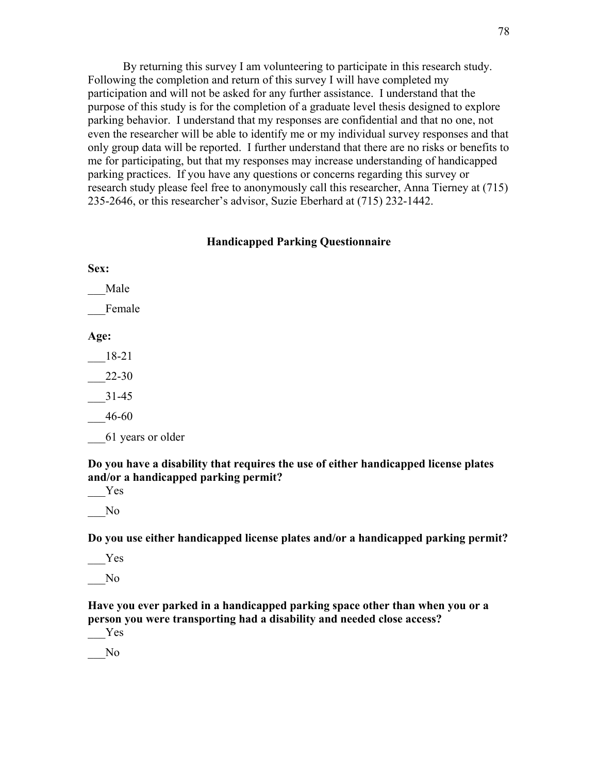By returning this survey I am volunteering to participate in this research study. Following the completion and return of this survey I will have completed my participation and will not be asked for any further assistance. I understand that the purpose of this study is for the completion of a graduate level thesis designed to explore parking behavior. I understand that my responses are confidential and that no one, not even the researcher will be able to identify me or my individual survey responses and that only group data will be reported. I further understand that there are no risks or benefits to me for participating, but that my responses may increase understanding of handicapped parking practices. If you have any questions or concerns regarding this survey or research study please feel free to anonymously call this researcher, Anna Tierney at (715) 235-2646, or this researcher's advisor, Suzie Eberhard at (715) 232-1442.

# **Handicapped Parking Questionnaire**

**Sex:** 

\_\_\_Male

\_\_\_Female

**Age:** 

\_\_\_18-21

\_\_\_22-30

- \_\_\_31-45
- \_\_\_46-60
- \_\_\_61 years or older

**Do you have a disability that requires the use of either handicapped license plates and/or a handicapped parking permit?** 

\_\_\_Yes

\_\_\_No

**Do you use either handicapped license plates and/or a handicapped parking permit?** 

 $-Y$ es

\_\_\_No

**Have you ever parked in a handicapped parking space other than when you or a person you were transporting had a disability and needed close access?**

\_\_\_Yes \_\_\_No